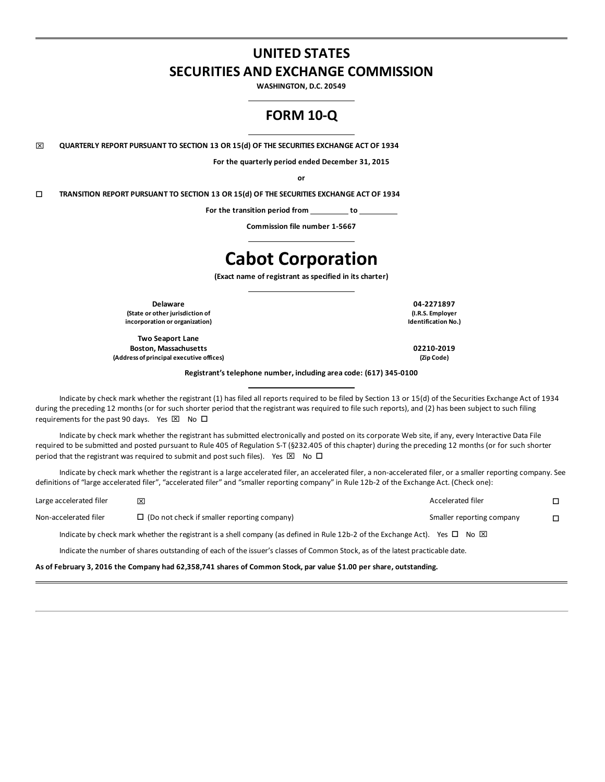# **UNITED STATES SECURITIES AND EXCHANGE COMMISSION**

**WASHINGTON, D.C. 20549**

## **FORM 10-Q**

x **QUARTERLY REPORT PURSUANT TO SECTION 13 OR 15(d) OF THE SECURITIES EXCHANGE ACT OF 1934**

**For the quarterly period ended December 31, 2015**

**or**

o **TRANSITION REPORT PURSUANT TO SECTION 13 OR 15(d) OF THE SECURITIES EXCHANGE ACT OF 1934**

**For the transition period from to**

**Commission file number 1-5667**

# **Cabot Corporation**

**(Exact name of registrant as specified in its charter)**

**Delaware 04-2271897 (State or other jurisdiction of incorporation or organization)**

**Two Seaport Lane Boston, Massachusetts 02210-2019 (Address of principal executive offices) (Zip Code)**

**(I.R.S. Employer Identification No.)**

**Registrant's telephone number, including area code: (617) 345-0100**

Indicate by check mark whether the registrant (1) has filed all reports required to be filed by Section 13 or 15(d) of the Securities Exchange Act of 1934 during the preceding 12 months (or for such shorter period that the registrant was required to file such reports), and (2) has been subject to such filing requirements for the past 90 days. Yes  $\boxtimes$  No  $\square$ 

Indicate by check mark whether the registrant has submitted electronically and posted on its corporate Web site, if any, every Interactive Data File required to be submitted and posted pursuant to Rule 405 of Regulation S-T (§232.405 of this chapter) during the preceding 12 months (or for such shorter period that the registrant was required to submit and post such files). Yes  $\boxtimes$  No  $\square$ 

Indicate by check mark whether the registrant is a large accelerated filer, an accelerated filer, a non-accelerated filer, or a smaller reporting company. See definitions of "large accelerated filer", "accelerated filer" and "smaller reporting company" in Rule 12b-2 of the Exchange Act. (Check one):

| Large accelerated filer | ⊠                                                                                                                                          | Accelerated filer         |        |
|-------------------------|--------------------------------------------------------------------------------------------------------------------------------------------|---------------------------|--------|
| Non-accelerated filer   | $\Box$ (Do not check if smaller reporting company)                                                                                         | Smaller reporting company | $\Box$ |
|                         | Indicate by check mark whether the registrant is a shell company (as defined in Rule 12b-2 of the Exchange Act). Yes $\Box$ No $\boxtimes$ |                           |        |
|                         | Indicate the number of shares outstanding of each of the issuer's classes of Common Stock, as of the latest practicable date.              |                           |        |

As of February 3, 2016 the Company had 62,358,741 shares of Common Stock, par value \$1.00 per share, outstanding.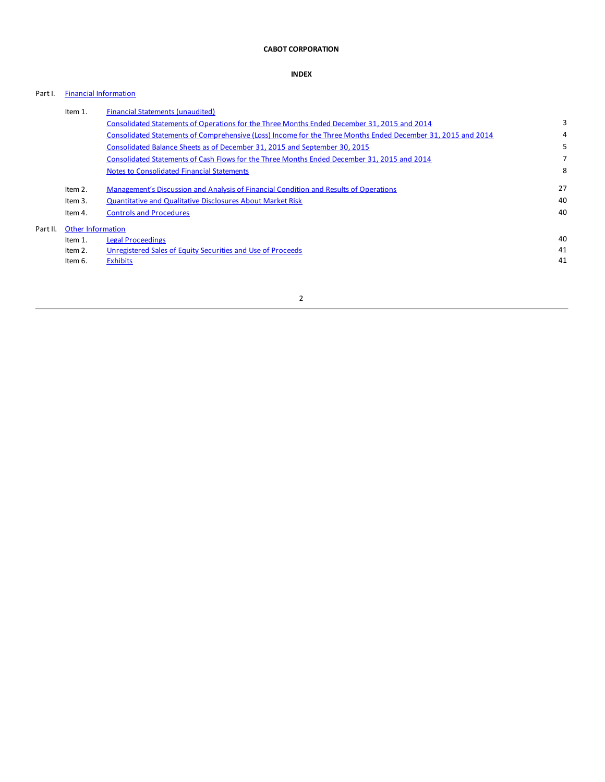### **CABOT CORPORATION**

### **INDEX**

### Part I. Financial [Information](#page-2-0)

Part II.

| Item 1.           | <b>Financial Statements (unaudited)</b>                                                                      |    |
|-------------------|--------------------------------------------------------------------------------------------------------------|----|
|                   | Consolidated Statements of Operations for the Three Months Ended December 31, 2015 and 2014                  | 3  |
|                   | Consolidated Statements of Comprehensive (Loss) Income for the Three Months Ended December 31, 2015 and 2014 | 4  |
|                   | Consolidated Balance Sheets as of December 31, 2015 and September 30, 2015                                   | 5  |
|                   | Consolidated Statements of Cash Flows for the Three Months Ended December 31, 2015 and 2014                  | 7  |
|                   | <b>Notes to Consolidated Financial Statements</b>                                                            | 8  |
| Item 2.           | Management's Discussion and Analysis of Financial Condition and Results of Operations                        | 27 |
| Item 3.           | <b>Quantitative and Qualitative Disclosures About Market Risk</b>                                            | 40 |
| Item 4.           | <b>Controls and Procedures</b>                                                                               | 40 |
| Other Information |                                                                                                              |    |
| Item 1.           | Legal Proceedings                                                                                            | 40 |
| Item 2.           | Unregistered Sales of Equity Securities and Use of Proceeds                                                  | 41 |
| Item 6.           | <b>Exhibits</b>                                                                                              | 41 |
|                   |                                                                                                              |    |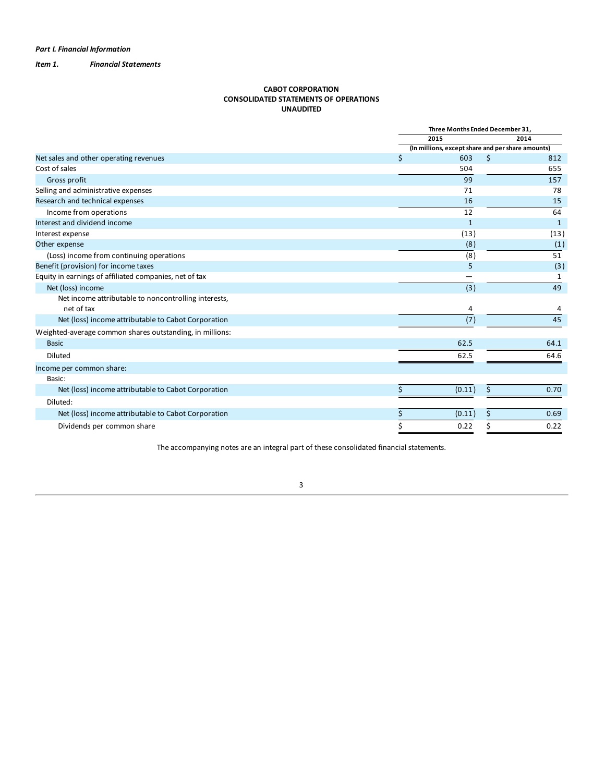<span id="page-2-0"></span>*Item 1. Financial Statements*

### **CABOT CORPORATION CONSOLIDATED STATEMENTS OF OPERATIONS UNAUDITED**

|                                                                    |    | Three Months Ended December 31,                   |              |  |  |  |
|--------------------------------------------------------------------|----|---------------------------------------------------|--------------|--|--|--|
|                                                                    |    | 2015                                              |              |  |  |  |
|                                                                    |    | (In millions, except share and per share amounts) |              |  |  |  |
| Net sales and other operating revenues                             | \$ | 603<br>Ś.                                         | 812          |  |  |  |
| Cost of sales                                                      |    | 504                                               | 655          |  |  |  |
| Gross profit                                                       |    | 99                                                | 157          |  |  |  |
| Selling and administrative expenses                                |    | 71                                                | 78           |  |  |  |
| Research and technical expenses                                    |    | 16                                                | 15           |  |  |  |
| Income from operations                                             |    | 12                                                | 64           |  |  |  |
| Interest and dividend income                                       |    | $\mathbf{1}$                                      | $\mathbf{1}$ |  |  |  |
| Interest expense                                                   |    | (13)                                              | (13)         |  |  |  |
| Other expense                                                      |    | (8)                                               | (1)          |  |  |  |
| (Loss) income from continuing operations                           |    | (8)                                               | 51           |  |  |  |
| Benefit (provision) for income taxes                               |    | 5                                                 | (3)          |  |  |  |
| Equity in earnings of affiliated companies, net of tax             |    |                                                   | 1            |  |  |  |
| Net (loss) income                                                  |    | (3)                                               | 49           |  |  |  |
| Net income attributable to noncontrolling interests,<br>net of tax |    | 4                                                 | 4            |  |  |  |
| Net (loss) income attributable to Cabot Corporation                |    | (7)                                               | 45           |  |  |  |
| Weighted-average common shares outstanding, in millions:           |    |                                                   |              |  |  |  |
| <b>Basic</b>                                                       |    | 62.5                                              | 64.1         |  |  |  |
| Diluted                                                            |    | 62.5                                              | 64.6         |  |  |  |
| Income per common share:                                           |    |                                                   |              |  |  |  |
| Basic:                                                             |    |                                                   |              |  |  |  |
| Net (loss) income attributable to Cabot Corporation                | Ś. | \$<br>(0.11)                                      | 0.70         |  |  |  |
| Diluted:                                                           |    |                                                   |              |  |  |  |
| Net (loss) income attributable to Cabot Corporation                |    | \$<br>(0.11)                                      | 0.69         |  |  |  |
| Dividends per common share                                         |    | 0.22                                              | 0.22         |  |  |  |

The accompanying notes are an integral part of these consolidated financial statements.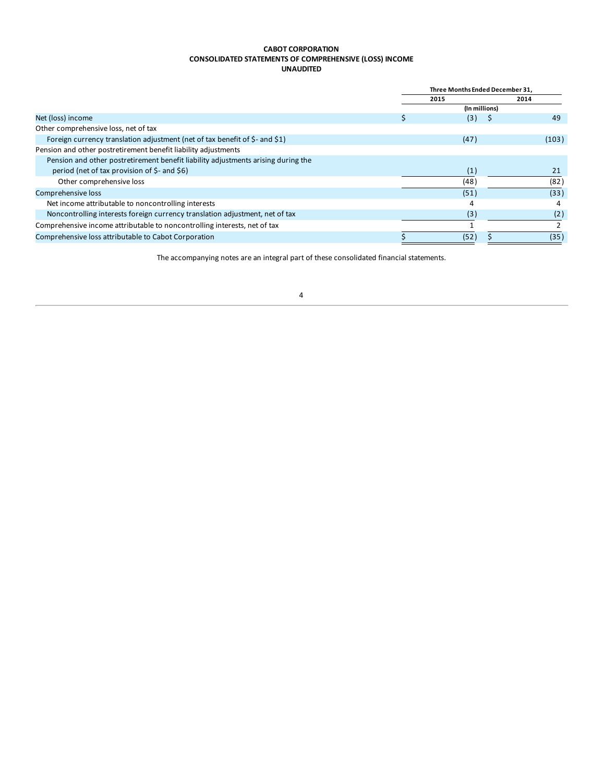### **CABOT CORPORATION CONSOLIDATED STATEMENTS OF COMPREHENSIVE (LOSS) INCOME UNAUDITED**

<span id="page-3-0"></span>

|                                                                                         | Three Months Ended December 31, |               |   |       |  |
|-----------------------------------------------------------------------------------------|---------------------------------|---------------|---|-------|--|
|                                                                                         |                                 | 2015          |   | 2014  |  |
|                                                                                         |                                 | (In millions) |   |       |  |
| Net (loss) income                                                                       |                                 | (3)           | S | 49    |  |
| Other comprehensive loss, net of tax                                                    |                                 |               |   |       |  |
| Foreign currency translation adjustment (net of tax benefit of $\zeta$ - and $\zeta$ 1) |                                 | (47)          |   | (103) |  |
| Pension and other postretirement benefit liability adjustments                          |                                 |               |   |       |  |
| Pension and other postretirement benefit liability adjustments arising during the       |                                 |               |   |       |  |
| period (net of tax provision of \$- and \$6)                                            |                                 | (1)           |   | 21    |  |
| Other comprehensive loss                                                                |                                 | (48)          |   | (82)  |  |
| Comprehensive loss                                                                      |                                 | (51)          |   | (33)  |  |
| Net income attributable to noncontrolling interests                                     |                                 | 4             |   | 4     |  |
| Noncontrolling interests foreign currency translation adjustment, net of tax            |                                 | (3)           |   | (2)   |  |
| Comprehensive income attributable to noncontrolling interests, net of tax               |                                 |               |   |       |  |
| Comprehensive loss attributable to Cabot Corporation                                    |                                 | (52)          |   | (35)  |  |

The accompanying notes are an integral part of these consolidated financial statements.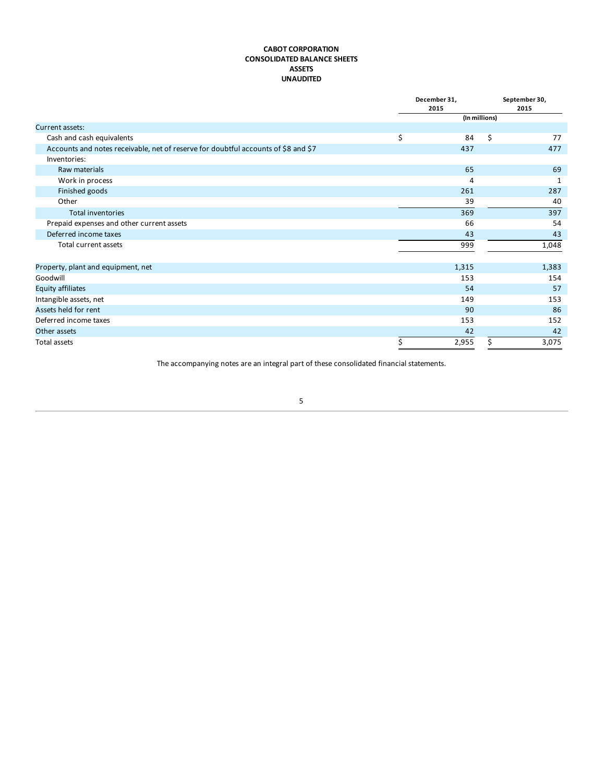### **CABOT CORPORATION CONSOLIDATED BALANCE SHEETS ASSETS UNAUDITED**

<span id="page-4-0"></span>

|                                                                                    | December 31,<br>2015 | September 30,<br>2015 |
|------------------------------------------------------------------------------------|----------------------|-----------------------|
|                                                                                    |                      | (In millions)         |
| Current assets:                                                                    |                      |                       |
| Cash and cash equivalents                                                          | \$<br>84             | \$<br>77              |
| Accounts and notes receivable, net of reserve for doubtful accounts of \$8 and \$7 | 437                  | 477                   |
| Inventories:                                                                       |                      |                       |
| Raw materials                                                                      | 65                   | 69                    |
| Work in process                                                                    | 4                    | 1                     |
| Finished goods                                                                     | 261                  | 287                   |
| Other                                                                              | 39                   | 40                    |
| <b>Total inventories</b>                                                           | 369                  | 397                   |
| Prepaid expenses and other current assets                                          | 66                   | 54                    |
| Deferred income taxes                                                              | 43                   | 43                    |
| Total current assets                                                               | 999                  | 1,048                 |
|                                                                                    |                      |                       |
| Property, plant and equipment, net                                                 | 1,315                | 1,383                 |
| Goodwill                                                                           | 153                  | 154                   |
| <b>Equity affiliates</b>                                                           | 54                   | 57                    |
| Intangible assets, net                                                             | 149                  | 153                   |
| Assets held for rent                                                               | 90                   | 86                    |
| Deferred income taxes                                                              | 153                  | 152                   |
| Other assets                                                                       | 42                   | 42                    |
| Total assets                                                                       | 2,955                | Ś<br>3,075            |

The accompanying notes are an integral part of these consolidated financial statements.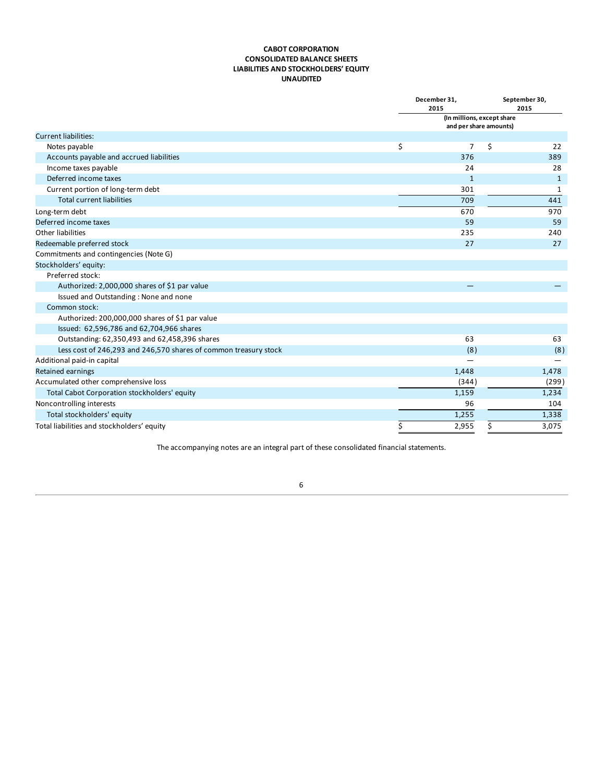### **CABOT CORPORATION CONSOLIDATED BALANCE SHEETS LIABILITIES AND STOCKHOLDERS' EQUITY UNAUDITED**

|                                                                  | December 31,<br>2015                                 | September 30,<br>2015 |
|------------------------------------------------------------------|------------------------------------------------------|-----------------------|
|                                                                  | (In millions, except share<br>and per share amounts) |                       |
| <b>Current liabilities:</b>                                      |                                                      |                       |
| Notes payable                                                    | \$<br>\$<br>$\overline{7}$                           | 22                    |
| Accounts payable and accrued liabilities                         | 376                                                  | 389                   |
| Income taxes payable                                             | 24                                                   | 28                    |
| Deferred income taxes                                            | $\mathbf{1}$                                         | $\mathbf{1}$          |
| Current portion of long-term debt                                | 301                                                  | 1                     |
| <b>Total current liabilities</b>                                 | 709                                                  | 441                   |
| Long-term debt                                                   | 670                                                  | 970                   |
| Deferred income taxes                                            | 59                                                   | 59                    |
| Other liabilities                                                | 235                                                  | 240                   |
| Redeemable preferred stock                                       | 27                                                   | 27                    |
| Commitments and contingencies (Note G)                           |                                                      |                       |
| Stockholders' equity:                                            |                                                      |                       |
| Preferred stock:                                                 |                                                      |                       |
| Authorized: 2,000,000 shares of \$1 par value                    |                                                      |                       |
| Issued and Outstanding: None and none                            |                                                      |                       |
| Common stock:                                                    |                                                      |                       |
| Authorized: 200,000,000 shares of \$1 par value                  |                                                      |                       |
| Issued: 62,596,786 and 62,704,966 shares                         |                                                      |                       |
| Outstanding: 62,350,493 and 62,458,396 shares                    | 63                                                   | 63                    |
| Less cost of 246,293 and 246,570 shares of common treasury stock | (8)                                                  | (8)                   |
| Additional paid-in capital                                       |                                                      |                       |
| <b>Retained earnings</b>                                         | 1,448                                                | 1,478                 |
| Accumulated other comprehensive loss                             | (344)                                                | (299)                 |
| Total Cabot Corporation stockholders' equity                     | 1,159                                                | 1,234                 |
| Noncontrolling interests                                         | 96                                                   | 104                   |
| Total stockholders' equity                                       | 1,255                                                | 1,338                 |
| Total liabilities and stockholders' equity                       | \$<br>2,955<br>\$                                    | 3,075                 |

The accompanying notes are an integral part of these consolidated financial statements.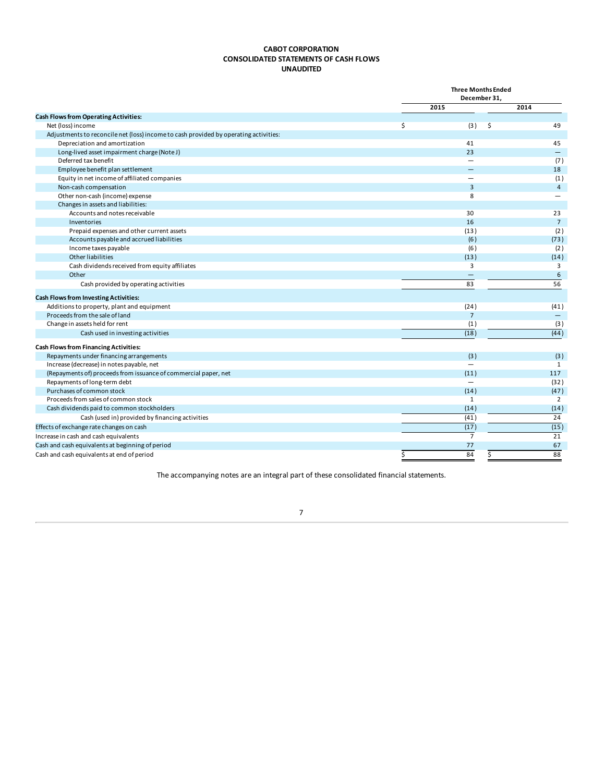### **CABOT CORPORATION CONSOLIDATED STATEMENTS OF CASH FLOWS UNAUDITED**

<span id="page-6-0"></span>

|                                                                                      | <b>Three Months Ended</b><br>December 31, |                   |  |  |  |  |  |  |
|--------------------------------------------------------------------------------------|-------------------------------------------|-------------------|--|--|--|--|--|--|
|                                                                                      | 2015                                      | 2014              |  |  |  |  |  |  |
| <b>Cash Flows from Operating Activities:</b>                                         |                                           |                   |  |  |  |  |  |  |
| Net (loss) income                                                                    | \$<br>(3)<br>\$                           | 49                |  |  |  |  |  |  |
| Adjustments to reconcile net (loss) income to cash provided by operating activities: |                                           |                   |  |  |  |  |  |  |
| Depreciation and amortization                                                        | 41                                        | 45                |  |  |  |  |  |  |
| Long-lived asset impairment charge (Note J)                                          | 23                                        | $\qquad \qquad -$ |  |  |  |  |  |  |
| Deferred tax benefit                                                                 |                                           | (7)               |  |  |  |  |  |  |
| Employee benefit plan settlement                                                     | —                                         | 18                |  |  |  |  |  |  |
| Equity in net income of affiliated companies                                         | $\overline{\phantom{0}}$                  | (1)               |  |  |  |  |  |  |
| Non-cash compensation                                                                | $\overline{3}$                            | $\overline{4}$    |  |  |  |  |  |  |
| Other non-cash (income) expense                                                      | 8                                         |                   |  |  |  |  |  |  |
| Changes in assets and liabilities:                                                   |                                           |                   |  |  |  |  |  |  |
| Accounts and notes receivable                                                        | 30                                        | 23                |  |  |  |  |  |  |
| Inventories                                                                          | 16                                        | $7\overline{ }$   |  |  |  |  |  |  |
| Prepaid expenses and other current assets                                            | (13)                                      | (2)               |  |  |  |  |  |  |
| Accounts payable and accrued liabilities                                             | (6)                                       | (73)              |  |  |  |  |  |  |
| Income taxes payable                                                                 | (6)                                       | (2)               |  |  |  |  |  |  |
| Other liabilities                                                                    | (13)                                      | (14)              |  |  |  |  |  |  |
| Cash dividends received from equity affiliates                                       | 3                                         | 3                 |  |  |  |  |  |  |
| Other                                                                                |                                           | $6\phantom{1}6$   |  |  |  |  |  |  |
| Cash provided by operating activities                                                | 83                                        | 56                |  |  |  |  |  |  |
| <b>Cash Flows from Investing Activities:</b>                                         |                                           |                   |  |  |  |  |  |  |
| Additions to property, plant and equipment                                           | (24)                                      | (41)              |  |  |  |  |  |  |
| Proceeds from the sale of land                                                       | 7                                         |                   |  |  |  |  |  |  |
| Change in assets held for rent                                                       | (1)                                       | (3)               |  |  |  |  |  |  |
| Cash used in investing activities                                                    | (18)                                      | (44)              |  |  |  |  |  |  |
| <b>Cash Flows from Financing Activities:</b>                                         |                                           |                   |  |  |  |  |  |  |
| Repayments under financing arrangements                                              | (3)                                       | (3)               |  |  |  |  |  |  |
| Increase (decrease) in notes payable, net                                            |                                           | 1                 |  |  |  |  |  |  |
| (Repayments of) proceeds from issuance of commercial paper, net                      | (11)                                      | 117               |  |  |  |  |  |  |
| Repayments of long-term debt                                                         |                                           | (32)              |  |  |  |  |  |  |
| Purchases of common stock                                                            | (14)                                      | (47)              |  |  |  |  |  |  |
| Proceeds from sales of common stock                                                  | 1                                         | 2                 |  |  |  |  |  |  |
| Cash dividends paid to common stockholders                                           | (14)                                      | (14)              |  |  |  |  |  |  |
| Cash (used in) provided by financing activities                                      | (41)                                      | 24                |  |  |  |  |  |  |
| Effects of exchange rate changes on cash                                             | (17)                                      | (15)              |  |  |  |  |  |  |
| Increase in cash and cash equivalents                                                | $\overline{7}$                            | 21                |  |  |  |  |  |  |
| Cash and cash equivalents at beginning of period                                     | 77                                        | 67                |  |  |  |  |  |  |
| Cash and cash equivalents at end of period                                           | \$<br>84<br>\$                            | 88                |  |  |  |  |  |  |

The accompanying notes are an integral part of these consolidated financial statements.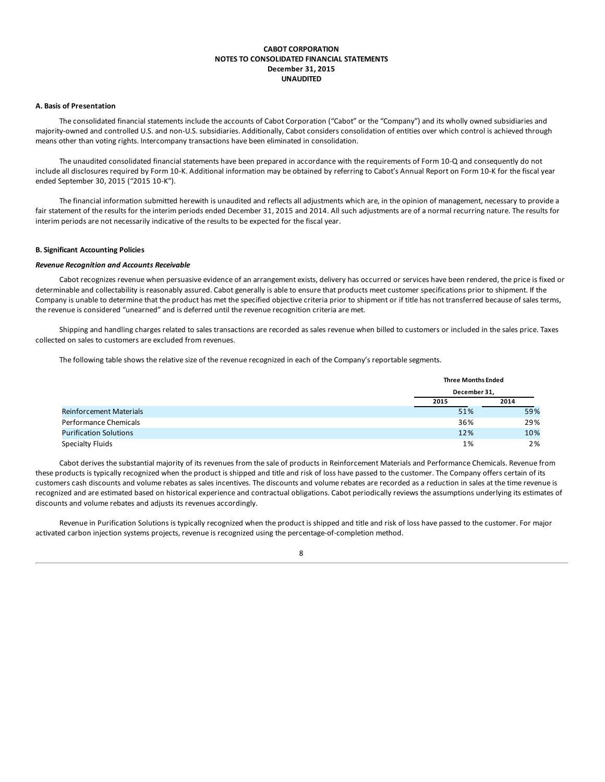#### **CABOT CORPORATION NOTES TO CONSOLIDATED FINANCIAL STATEMENTS December 31, 2015 UNAUDITED**

#### <span id="page-7-0"></span>**A. Basis of Presentation**

The consolidated financial statements include the accounts of Cabot Corporation ("Cabot" or the "Company") and its wholly owned subsidiaries and majority-owned and controlled U.S. and non-U.S. subsidiaries. Additionally, Cabot considers consolidation of entities over which control is achieved through means other than voting rights. Intercompany transactions have been eliminated in consolidation.

The unaudited consolidated financial statements have been prepared in accordance with the requirements of Form 10-Q and consequently do not include all disclosures required by Form 10-K. Additional information may be obtained by referring to Cabot's Annual Report on Form 10-K for the fiscal year ended September 30, 2015 ("2015 10-K").

The financial information submitted herewith is unaudited and reflects all adjustments which are, in the opinion of management, necessary to provide a fair statement of the results for the interim periods ended December 31, 2015 and 2014. All such adjustments are of a normal recurring nature. The results for interim periods are not necessarily indicative of the results to be expected for the fiscal year.

#### **B. Significant Accounting Policies**

#### *Revenue Recognition and Accounts Receivable*

Cabot recognizes revenue when persuasive evidence of an arrangement exists, delivery has occurred or services have been rendered, the price is fixed or determinable and collectability is reasonably assured. Cabot generally is able to ensure that products meet customer specifications prior to shipment. If the Company is unable to determine that the product has met the specified objective criteria prior to shipment or if title has not transferred because of sales terms, the revenue is considered "unearned" and is deferred until the revenue recognition criteria are met.

Shipping and handling charges related to sales transactions are recorded as sales revenue when billed to customers or included in the sales price. Taxes collected on sales to customers are excluded from revenues.

The following table shows the relative size of the revenue recognized in each of the Company's reportable segments.

|                                | <b>Three Months Ended</b> |      |
|--------------------------------|---------------------------|------|
|                                | December 31,              |      |
|                                | 2015                      | 2014 |
| <b>Reinforcement Materials</b> | 51%                       | 59%  |
| Performance Chemicals          | 36%                       | 29%  |
| <b>Purification Solutions</b>  | 12%                       | 10%  |
| <b>Specialty Fluids</b>        | 1%                        | 2%   |

Cabot derives the substantial majority of its revenues from the sale of products in Reinforcement Materials and Performance Chemicals. Revenue from these products is typically recognized when the product is shipped and title and risk of loss have passed to the customer. The Company offers certain of its customers cash discounts and volume rebates as sales incentives. The discounts and volume rebates are recorded as a reduction in sales at the time revenue is recognized and are estimated based on historical experience and contractual obligations. Cabot periodically reviews the assumptions underlying its estimates of discounts and volume rebates and adjusts its revenues accordingly.

Revenue in Purification Solutions is typically recognized when the product is shipped and title and risk of loss have passed to the customer. For major activated carbon injection systems projects, revenue is recognized using the percentage-of-completion method.

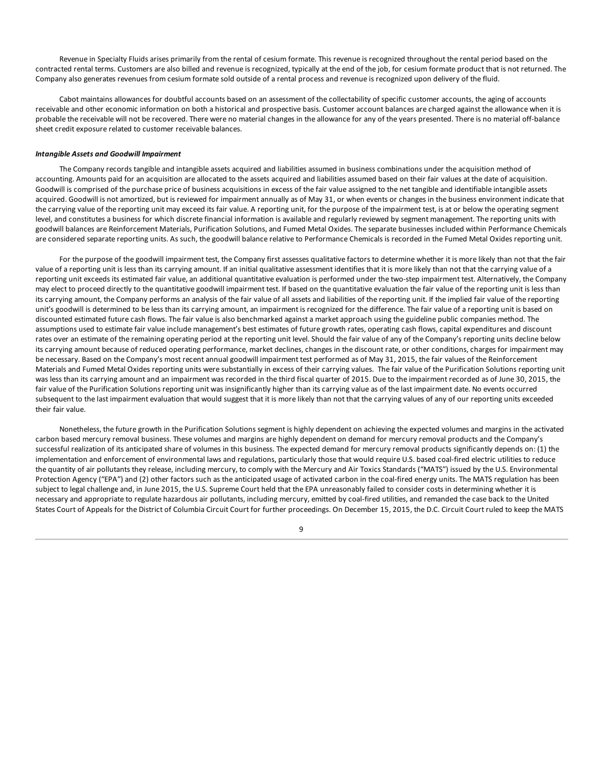Revenue in Specialty Fluids arises primarily from the rental of cesium formate. This revenue is recognized throughout the rental period based on the contracted rental terms. Customers are also billed and revenue is recognized, typically at the end of the job, for cesium formate product that is not returned. The Company also generates revenues from cesium formate sold outside of a rental process and revenue is recognized upon delivery of the fluid.

Cabot maintains allowances for doubtful accounts based on an assessment of the collectability of specific customer accounts, the aging of accounts receivable and other economic information on both a historical and prospective basis. Customer account balances are charged against the allowance when it is probable the receivable will not be recovered. There were no material changes in the allowance for any of the years presented. There is no material off-balance sheet credit exposure related to customer receivable balances.

#### *Intangible Assets and Goodwill Impairment*

The Company records tangible and intangible assets acquired and liabilities assumed in business combinations under the acquisition method of accounting. Amounts paid for an acquisition are allocated to the assets acquired and liabilities assumed based on their fair values at the date of acquisition. Goodwill is comprised of the purchase price of business acquisitions in excess of the fair value assigned to the net tangible and identifiable intangible assets acquired. Goodwill is not amortized, but is reviewed for impairment annually as of May 31, or when events or changes in the business environment indicate that the carrying value of the reporting unit may exceed its fair value. A reporting unit, for the purpose of the impairment test, is at or below the operating segment level, and constitutes a business for which discrete financial information is available and regularly reviewed by segment management. The reporting units with goodwill balances are Reinforcement Materials, Purification Solutions, and Fumed Metal Oxides. The separate businesses included within Performance Chemicals are considered separate reporting units. As such, the goodwill balance relative to Performance Chemicals is recorded in the Fumed Metal Oxides reporting unit.

For the purpose of the goodwill impairment test, the Company first assesses qualitative factors to determine whether it is more likely than not that the fair value of a reporting unit is less than its carrying amount. If an initial qualitative assessment identifies that it is more likely than not that the carrying value of a reporting unit exceeds its estimated fair value, an additional quantitative evaluation is performed under the two-step impairment test. Alternatively, the Company may elect to proceed directly to the quantitative goodwill impairment test. If based on the quantitative evaluation the fair value of the reporting unit is less than its carrying amount, the Company performs an analysis of the fair value of all assets and liabilities of the reporting unit. If the implied fair value of the reporting unit's goodwill is determined to be less than its carrying amount, an impairment is recognized for the difference. The fair value of a reporting unit is based on discounted estimated future cash flows. The fair value is also benchmarked against a market approach using the guideline public companies method. The assumptions used to estimate fair value include management's best estimates of future growth rates, operating cash flows, capital expenditures and discount rates over an estimate of the remaining operating period at the reporting unit level. Should the fair value of any of the Company's reporting units decline below its carrying amount because of reduced operating performance, market declines, changes in the discount rate, or other conditions, charges for impairment may be necessary. Based on the Company's most recent annual goodwill impairment test performed as of May 31, 2015, the fair values of the Reinforcement Materials and Fumed Metal Oxides reporting units were substantially in excess of their carrying values. The fair value of the Purification Solutions reporting unit was less than its carrying amount and an impairment was recorded in the third fiscal quarter of 2015. Due to the impairment recorded as of June 30, 2015, the fair value of the Purification Solutions reporting unit was insignificantly higher than its carrying value as of the last impairment date. No events occurred subsequent to the last impairment evaluation that would suggest that it is more likely than not that the carrying values of any of our reporting units exceeded their fair value.

Nonetheless, the future growth in the Purification Solutions segment is highly dependent on achieving the expected volumes and margins in the activated carbon based mercury removal business. These volumes and margins are highly dependent on demand for mercury removal products and the Company's successful realization of its anticipated share of volumes in this business. The expected demand for mercury removal products significantly depends on: (1) the implementation and enforcement of environmental laws and regulations, particularly those that would require U.S. based coal-fired electric utilities to reduce the quantity of air pollutants they release, including mercury, to comply with the Mercury and Air Toxics Standards ("MATS") issued by the U.S. Environmental Protection Agency ("EPA") and (2) other factors such as the anticipated usage of activated carbon in the coal-fired energy units. The MATS regulation has been subject to legal challenge and, in June 2015, the U.S. Supreme Court held that the EPA unreasonably failed to consider costs in determining whether it is necessary and appropriate to regulate hazardous air pollutants, including mercury, emitted by coal-fired utilities, and remanded the case back to the United States Court of Appeals for the District of Columbia Circuit Court for further proceedings. On December 15, 2015, the D.C. Circuit Court ruled to keep the MATS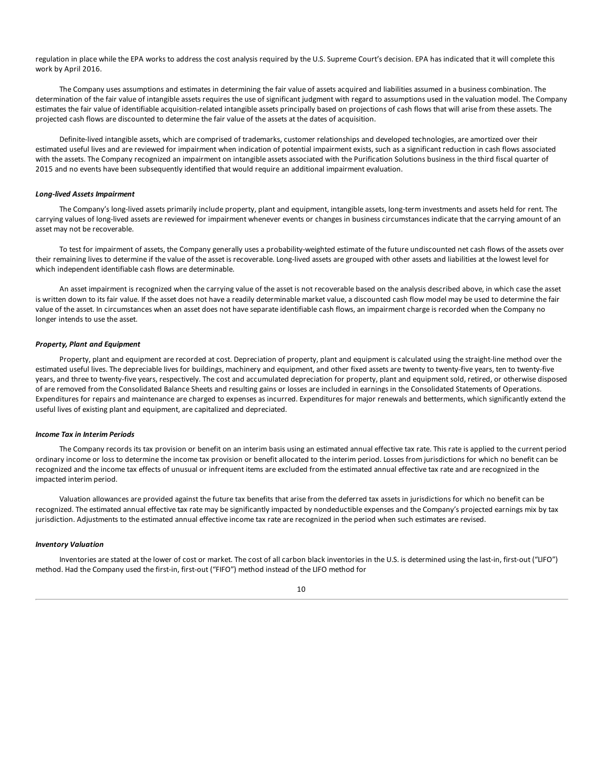regulation in place while the EPA works to address the cost analysis required by the U.S. Supreme Court's decision. EPA has indicated that it will complete this work by April 2016.

The Company uses assumptions and estimates in determining the fair value of assets acquired and liabilities assumed in a business combination. The determination of the fair value of intangible assets requires the use of significant judgment with regard to assumptions used in the valuation model. The Company estimates the fair value of identifiable acquisition-related intangible assets principally based on projections of cash flows that will arise from these assets. The projected cash flows are discounted to determine the fair value of the assets at the dates of acquisition.

Definite-lived intangible assets, which are comprised of trademarks, customer relationships and developed technologies, are amortized over their estimated useful lives and are reviewed for impairment when indication of potential impairment exists, such as a significant reduction in cash flows associated with the assets. The Company recognized an impairment on intangible assets associated with the Purification Solutions business in the third fiscal quarter of 2015 and no events have been subsequently identified that would require an additional impairment evaluation.

#### *Long-lived Assets Impairment*

The Company's long-lived assets primarily include property, plant and equipment, intangible assets, long-term investments and assets held for rent. The carrying values of long-lived assets are reviewed for impairment whenever events or changes in business circumstances indicate that the carrying amount of an asset may not be recoverable.

To test for impairment of assets, the Company generally uses a probability-weighted estimate of the future undiscounted net cash flows of the assets over their remaining lives to determine if the value of the asset is recoverable. Long-lived assets are grouped with other assets and liabilities at the lowest level for which independent identifiable cash flows are determinable.

An asset impairment is recognized when the carrying value of the asset is not recoverable based on the analysis described above, in which case the asset is written down to its fair value. If the asset does not have a readily determinable market value, a discounted cash flow model may be used to determine the fair value of the asset. In circumstances when an asset does not have separate identifiable cash flows, an impairment charge is recorded when the Company no longer intends to use the asset.

#### *Property, Plant and Equipment*

Property, plant and equipment are recorded at cost. Depreciation of property, plant and equipment is calculated using the straight-line method over the estimated useful lives. The depreciable lives for buildings, machinery and equipment, and other fixed assets are twenty to twenty-five years, ten to twenty-five years, and three to twenty-five years, respectively. The cost and accumulated depreciation for property, plant and equipment sold, retired, or otherwise disposed of are removed from the Consolidated Balance Sheets and resulting gains or losses are included in earnings in the Consolidated Statements of Operations. Expenditures for repairs and maintenance are charged to expenses as incurred. Expenditures for major renewals and betterments, which significantly extend the useful lives of existing plant and equipment, are capitalized and depreciated.

#### *Income Tax in Interim Periods*

The Company records its tax provision or benefit on an interim basis using an estimated annual effective tax rate. This rate is applied to the current period ordinary income or loss to determine the income tax provision or benefit allocated to the interim period. Losses from jurisdictions for which no benefit can be recognized and the income tax effects of unusual or infrequent items are excluded from the estimated annual effective tax rate and are recognized in the impacted interim period.

Valuation allowances are provided against the future tax benefits that arise from the deferred tax assets in jurisdictions for which no benefit can be recognized. The estimated annual effective tax rate may be significantly impacted by nondeductible expenses and the Company's projected earnings mix by tax jurisdiction. Adjustments to the estimated annual effective income tax rate are recognized in the period when such estimates are revised.

#### *Inventory Valuation*

Inventories are stated at the lower of cost or market. The cost of all carbon black inventories in the U.S. is determined using the last-in, first-out ("LIFO") method. Had the Company used the first-in, first-out ("FIFO") method instead of the LIFO method for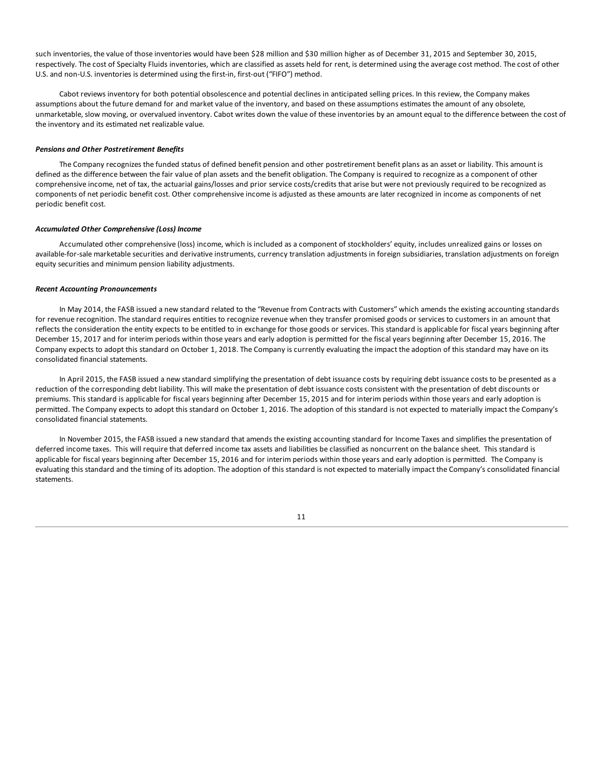such inventories, the value of those inventories would have been \$28 million and \$30 million higher as of December 31, 2015 and September 30, 2015, respectively. The cost of Specialty Fluids inventories, which are classified as assets held for rent, is determined using the average cost method. The cost of other U.S. and non-U.S. inventories is determined using the first-in, first-out ("FIFO") method.

Cabot reviews inventory for both potential obsolescence and potential declines in anticipated selling prices. In this review, the Company makes assumptions about the future demand for and market value of the inventory, and based on these assumptions estimates the amount of any obsolete, unmarketable, slow moving, or overvalued inventory. Cabot writes down the value of these inventories by an amount equal to the difference between the cost of the inventory and its estimated net realizable value.

#### *Pensions and Other Postretirement Benefits*

The Company recognizes the funded status of defined benefit pension and other postretirement benefit plans as an asset or liability. This amount is defined as the difference between the fair value of plan assets and the benefit obligation. The Company is required to recognize as a component of other comprehensive income, net of tax, the actuarial gains/losses and prior service costs/credits that arise but were not previously required to be recognized as components of net periodic benefit cost. Other comprehensive income is adjusted as these amounts are later recognized in income as components of net periodic benefit cost.

#### *Accumulated Other Comprehensive (Loss) Income*

Accumulated other comprehensive (loss) income, which is included as a component of stockholders' equity, includes unrealized gains or losses on available-for-sale marketable securities and derivative instruments, currency translation adjustments in foreign subsidiaries, translation adjustments on foreign equity securities and minimum pension liability adjustments.

#### *Recent Accounting Pronouncements*

In May 2014, the FASB issued a new standard related to the "Revenue from Contracts with Customers" which amends the existing accounting standards for revenue recognition. The standard requires entities to recognize revenue when they transfer promised goods or services to customers in an amount that reflects the consideration the entity expects to be entitled to in exchange for those goods or services. This standard is applicable for fiscal years beginning after December 15, 2017 and for interim periods within those years and early adoption is permitted for the fiscal years beginning after December 15, 2016. The Company expects to adopt this standard on October 1, 2018. The Company is currently evaluating the impact the adoption of this standard may have on its consolidated financial statements.

In April 2015, the FASB issued a new standard simplifying the presentation of debt issuance costs by requiring debt issuance costs to be presented as a reduction of the corresponding debt liability. This will make the presentation of debt issuance costs consistent with the presentation of debt discounts or premiums. This standard is applicable for fiscal years beginning after December 15, 2015 and for interim periods within those years and early adoption is permitted. The Company expects to adopt this standard on October 1, 2016. The adoption of this standard is not expected to materially impact the Company's consolidated financial statements.

In November 2015, the FASB issued a new standard that amends the existing accounting standard for Income Taxes and simplifies the presentation of deferred income taxes. This will require that deferred income tax assets and liabilities be classified as noncurrent on the balance sheet. This standard is applicable for fiscal years beginning after December 15, 2016 and for interim periods within those years and early adoption is permitted. The Company is evaluating this standard and the timing of its adoption. The adoption of this standard is not expected to materially impact the Company's consolidated financial statements.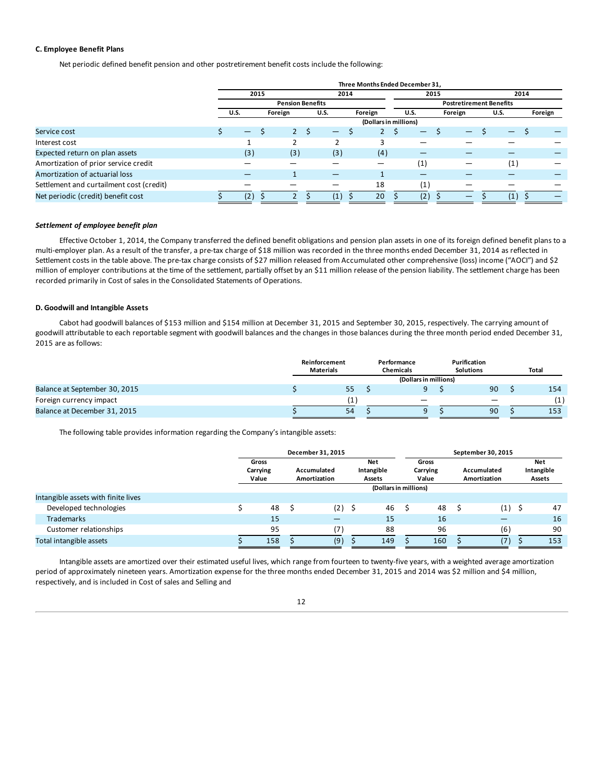#### **C. Employee Benefit Plans**

Net periodic defined benefit pension and other postretirement benefit costs include the following:

|                                          |             |      |                         |   |             |      | Three Months Ended December 31. |                                |      |         |   |             |     |         |  |  |  |
|------------------------------------------|-------------|------|-------------------------|---|-------------|------|---------------------------------|--------------------------------|------|---------|---|-------------|-----|---------|--|--|--|
|                                          |             | 2015 |                         |   |             | 2014 |                                 |                                | 2015 |         |   | 2014        |     |         |  |  |  |
|                                          |             |      | <b>Pension Benefits</b> |   |             |      |                                 | <b>Postretirement Benefits</b> |      |         |   |             |     |         |  |  |  |
|                                          | <b>U.S.</b> |      | Foreign                 |   | <b>U.S.</b> |      | Foreign                         | <b>U.S.</b>                    |      | Foreign |   | <b>U.S.</b> |     | Foreign |  |  |  |
|                                          |             |      |                         |   |             |      | (Dollars in millions)           |                                |      |         |   |             |     |         |  |  |  |
| Service cost                             | —           |      | 2                       | S |             |      | $2^{\circ}$                     |                                |      |         |   |             |     |         |  |  |  |
| Interest cost                            |             |      | h                       |   |             |      | 3                               |                                |      |         |   |             |     |         |  |  |  |
| Expected return on plan assets           | (3)         |      | (3)                     |   | (3)         |      | (4)                             |                                |      |         |   |             |     |         |  |  |  |
| Amortization of prior service credit     |             |      |                         |   |             |      |                                 |                                | (1)  |         |   |             | (1) |         |  |  |  |
| Amortization of actuarial loss           |             |      |                         |   |             |      |                                 |                                |      |         |   |             |     |         |  |  |  |
| Settlement and curtailment cost (credit) |             |      |                         |   |             |      | 18                              |                                | (1)  |         |   |             |     |         |  |  |  |
| Net periodic (credit) benefit cost       | 2           |      |                         |   | (1)         |      | 20                              |                                | (2)  |         | – |             | (1) |         |  |  |  |

#### *Settlement of employee benefit plan*

Effective October 1, 2014, the Company transferred the defined benefit obligations and pension plan assets in one of its foreign defined benefit plans to a multi-employer plan. As a result of the transfer, a pre-tax charge of \$18 million was recorded in the three months ended December 31, 2014 as reflected in Settlement costs in the table above. The pre-tax charge consists of \$27 million released from Accumulated other comprehensive (loss) income ("AOCI") and \$2 million of employer contributions at the time of the settlement, partially offset by an \$11 million release of the pension liability. The settlement charge has been recorded primarily in Cost of sales in the Consolidated Statements of Operations.

### **D. Goodwill and Intangible Assets**

Cabot had goodwill balances of \$153 million and \$154 million at December 31, 2015 and September 30, 2015, respectively. The carrying amount of goodwill attributable to each reportable segment with goodwill balances and the changes in those balances during the three month period ended December 31, 2015 are as follows:

|                               | Reinforcement<br><b>Materials</b> |                   | Performance<br><b>Chemicals</b> | Purification<br><b>Solutions</b> | Total |
|-------------------------------|-----------------------------------|-------------------|---------------------------------|----------------------------------|-------|
|                               |                                   |                   | (Dollars in millions)           |                                  |       |
| Balance at September 30, 2015 |                                   | 55                |                                 | 90                               | 154   |
| Foreign currency impact       |                                   | $\left( 1\right)$ |                                 |                                  | (1)   |
| Balance at December 31, 2015  |                                   | 54                |                                 | 90                               | 153   |

The following table provides information regarding the Company's intangible assets:

|                                     |  |                            |  | December 31, 2015 |  |                       |  | September 30, 2015 |     |     |  |     |  |  |  |                             |  |                             |                            |  |                             |  |  |                             |
|-------------------------------------|--|----------------------------|--|-------------------|--|-----------------------|--|--------------------|-----|-----|--|-----|--|--|--|-----------------------------|--|-----------------------------|----------------------------|--|-----------------------------|--|--|-----------------------------|
|                                     |  | Gross<br>Carrying<br>Value |  |                   |  |                       |  |                    |     |     |  |     |  |  |  | Accumulated<br>Amortization |  | Net<br>Intangible<br>Assets | Gross<br>Carrying<br>Value |  | Accumulated<br>Amortization |  |  | Net<br>Intangible<br>Assets |
|                                     |  |                            |  |                   |  | (Dollars in millions) |  |                    |     |     |  |     |  |  |  |                             |  |                             |                            |  |                             |  |  |                             |
| Intangible assets with finite lives |  |                            |  |                   |  |                       |  |                    |     |     |  |     |  |  |  |                             |  |                             |                            |  |                             |  |  |                             |
| Developed technologies              |  | 48                         |  | $(2)$ \$          |  | 46                    |  | 48                 | - S | (1) |  | 47  |  |  |  |                             |  |                             |                            |  |                             |  |  |                             |
| <b>Trademarks</b>                   |  | 15                         |  | –                 |  | 15                    |  | 16                 |     |     |  | 16  |  |  |  |                             |  |                             |                            |  |                             |  |  |                             |
| Customer relationships              |  | 95                         |  | (7)               |  | 88                    |  | 96                 |     | (6) |  | 90  |  |  |  |                             |  |                             |                            |  |                             |  |  |                             |
| Total intangible assets             |  | 158                        |  | (9)               |  | 149                   |  | 160                |     | (7) |  | 153 |  |  |  |                             |  |                             |                            |  |                             |  |  |                             |

Intangible assets are amortized over their estimated useful lives, which range from fourteen to twenty-five years, with a weighted average amortization period of approximately nineteen years. Amortization expense for the three months ended December 31, 2015 and 2014 was \$2 million and \$4 million, respectively, and is included in Cost of sales and Selling and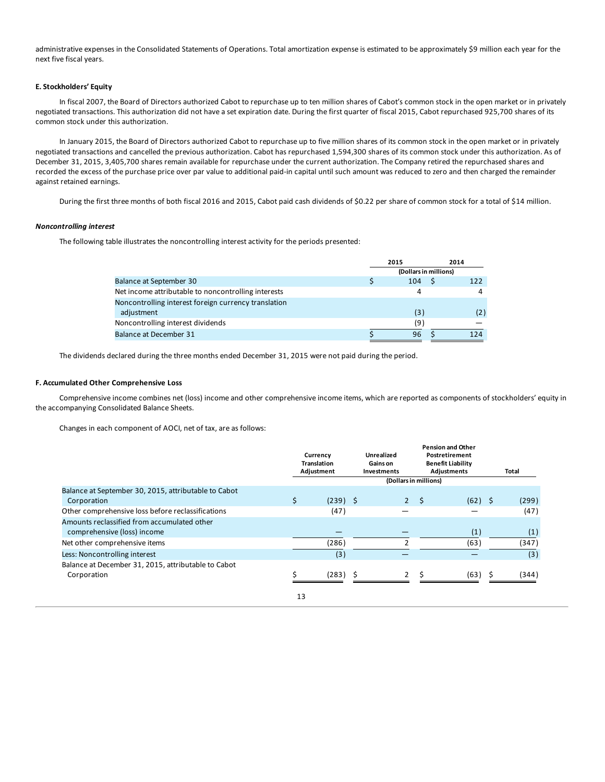administrative expenses in the Consolidated Statements of Operations. Total amortization expense is estimated to be approximately \$9 million each year for the next five fiscal years.

#### **E. Stockholders' Equity**

In fiscal 2007, the Board of Directors authorized Cabot to repurchase up to ten million shares of Cabot's common stock in the open market or in privately negotiated transactions. This authorization did not have a set expiration date. During the first quarter of fiscal 2015, Cabot repurchased 925,700 shares of its common stock under this authorization.

In January 2015, the Board of Directors authorized Cabot to repurchase up to five million shares of its common stock in the open market or in privately negotiated transactions and cancelled the previous authorization. Cabot has repurchased 1,594,300 shares of its common stock under this authorization. As of December 31, 2015, 3,405,700 shares remain available for repurchase under the current authorization. The Company retired the repurchased shares and recorded the excess of the purchase price over par value to additional paid-in capital until such amount was reduced to zero and then charged the remainder against retained earnings.

During the first three months of both fiscal 2016 and 2015, Cabot paid cash dividends of \$0.22 per share of common stock for a total of \$14 million.

#### *Noncontrolling interest*

The following table illustrates the noncontrolling interest activity for the periods presented:

|                                                      | 2015                  | 2014 |
|------------------------------------------------------|-----------------------|------|
|                                                      | (Dollars in millions) |      |
| <b>Balance at September 30</b>                       | 104                   | 122  |
| Net income attributable to noncontrolling interests  | Δ                     | 4    |
| Noncontrolling interest foreign currency translation |                       |      |
| adjustment                                           | (3)                   | (2)  |
| Noncontrolling interest dividends                    | (9)                   |      |
| <b>Balance at December 31</b>                        | 96                    |      |

The dividends declared during the three months ended December 31, 2015 were not paid during the period.

#### **F. Accumulated Other Comprehensive Loss**

Comprehensive income combines net (loss) income and other comprehensive income items, which are reported as components of stockholders' equity in the accompanying Consolidated Balance Sheets.

Changes in each component of AOCI, net of tax, are as follows:

|                                                                    | <b>Unrealized</b><br>Currency<br>Translation<br>Gains on<br>Adjustment<br><b>Investments</b> |            |  |  | <b>Pension and Other</b><br>Postretirement<br><b>Benefit Liability</b><br>Adjustments<br>(Dollars in millions) | Total     |       |  |
|--------------------------------------------------------------------|----------------------------------------------------------------------------------------------|------------|--|--|----------------------------------------------------------------------------------------------------------------|-----------|-------|--|
| Balance at September 30, 2015, attributable to Cabot               |                                                                                              |            |  |  |                                                                                                                |           |       |  |
| Corporation                                                        | \$                                                                                           | $(239)$ \$ |  |  | 2 <sup>5</sup>                                                                                                 | $(62)$ \$ | (299) |  |
| Other comprehensive loss before reclassifications                  |                                                                                              | (47)       |  |  |                                                                                                                |           | (47)  |  |
| Amounts reclassified from accumulated other                        |                                                                                              |            |  |  |                                                                                                                |           |       |  |
| comprehensive (loss) income                                        |                                                                                              |            |  |  |                                                                                                                | (1)       | (1)   |  |
| Net other comprehensive items                                      |                                                                                              | (286)      |  |  |                                                                                                                | (63)      | (347) |  |
| Less: Noncontrolling interest                                      |                                                                                              | (3)        |  |  |                                                                                                                |           | (3)   |  |
| Balance at December 31, 2015, attributable to Cabot<br>Corporation |                                                                                              | (283)      |  |  |                                                                                                                | (63)      | (344) |  |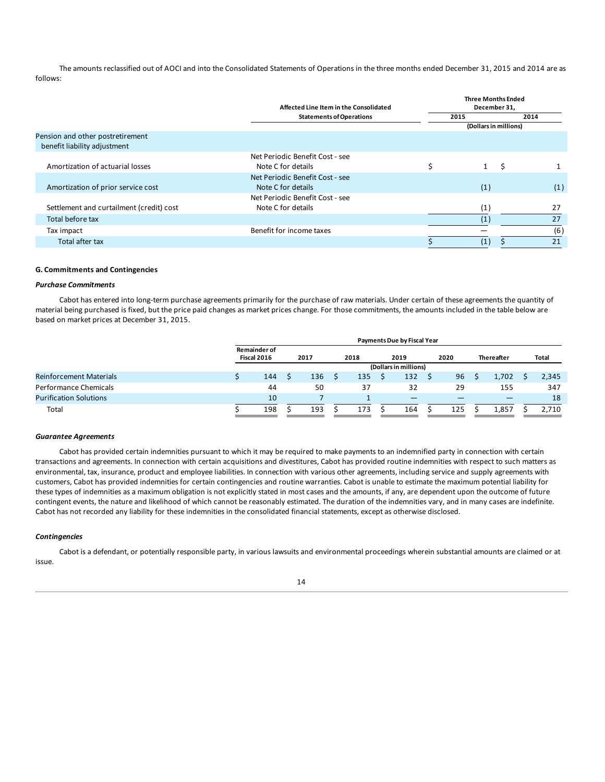The amounts reclassified out of AOCI and into the Consolidated Statements of Operations in the three months ended December 31, 2015 and 2014 are as follows:

|                                          | Affected Line Item in the Consolidated | <b>Three Months Ended</b><br>December 31, |      |  |  |  |  |  |  |
|------------------------------------------|----------------------------------------|-------------------------------------------|------|--|--|--|--|--|--|
|                                          | <b>Statements of Operations</b>        | 2015                                      | 2014 |  |  |  |  |  |  |
|                                          |                                        | (Dollars in millions)                     |      |  |  |  |  |  |  |
| Pension and other postretirement         |                                        |                                           |      |  |  |  |  |  |  |
| benefit liability adjustment             |                                        |                                           |      |  |  |  |  |  |  |
|                                          | Net Periodic Benefit Cost - see        |                                           |      |  |  |  |  |  |  |
| Amortization of actuarial losses         | Note C for details                     | - \$                                      |      |  |  |  |  |  |  |
|                                          | Net Periodic Benefit Cost - see        |                                           |      |  |  |  |  |  |  |
| Amortization of prior service cost       | Note C for details                     | (1)                                       | (1)  |  |  |  |  |  |  |
|                                          | Net Periodic Benefit Cost - see        |                                           |      |  |  |  |  |  |  |
| Settlement and curtailment (credit) cost | Note C for details                     | (1)                                       | 27   |  |  |  |  |  |  |
| Total before tax                         |                                        | (1)                                       | 27   |  |  |  |  |  |  |
| Tax impact                               | Benefit for income taxes               |                                           | (6)  |  |  |  |  |  |  |
| Total after tax                          |                                        | (1)                                       | 21   |  |  |  |  |  |  |

#### **G. Commitments and Contingencies**

#### *Purchase Commitments*

Cabot has entered into long-term purchase agreements primarily for the purchase of raw materials. Under certain of these agreements the quantity of material being purchased is fixed, but the price paid changes as market prices change. For those commitments, the amounts included in the table below are based on market prices at December 31, 2015.

|                                |                                    |      |      | <b>Payments Due by Fiscal Year</b> |      |            |       |
|--------------------------------|------------------------------------|------|------|------------------------------------|------|------------|-------|
|                                | <b>Remainder of</b><br>Fiscal 2016 | 2017 | 2018 | 2019                               | 2020 | Thereafter | Total |
|                                |                                    |      |      | (Dollars in millions)              |      |            |       |
| <b>Reinforcement Materials</b> | 144                                | 136  | 135  | 132                                | 96   | 1.702      | 2,345 |
| Performance Chemicals          | 44                                 | 50   | 37   | 32                                 | 29   | 155        | 347   |
| <b>Purification Solutions</b>  | 10                                 |      |      | _                                  |      |            | 18    |
| Total                          | 198                                | 193  | 173  | 164                                | 125  | 1.857      | 2,710 |

#### *Guarantee Agreements*

Cabot has provided certain indemnities pursuant to which it may be required to make payments to an indemnified party in connection with certain transactions and agreements. In connection with certain acquisitions and divestitures, Cabot has provided routine indemnities with respect to such matters as environmental, tax, insurance, product and employee liabilities. In connection with various other agreements, including service and supply agreements with customers, Cabot has provided indemnities for certain contingencies and routine warranties. Cabot is unable to estimate the maximum potential liability for these types of indemnities as a maximum obligation is not explicitly stated in most cases and the amounts, if any, are dependent upon the outcome of future contingent events, the nature and likelihood of which cannot be reasonably estimated. The duration of the indemnities vary, and in many cases are indefinite. Cabot has not recorded any liability for these indemnities in the consolidated financial statements, except as otherwise disclosed.

#### *Contingencies*

Cabot is a defendant, or potentially responsible party, in various lawsuits and environmental proceedings wherein substantial amounts are claimed or at issue.

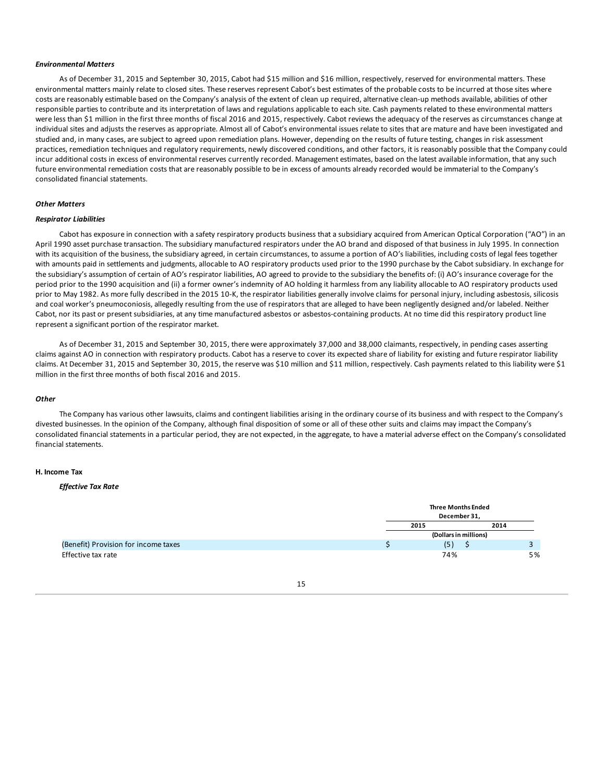#### *Environmental Matters*

As of December 31, 2015 and September 30, 2015, Cabot had \$15 million and \$16 million, respectively, reserved for environmental matters. These environmental matters mainly relate to closed sites. These reserves represent Cabot's best estimates of the probable costs to be incurred at those sites where costs are reasonably estimable based on the Company's analysis of the extent of clean up required, alternative clean-up methods available, abilities of other responsible parties to contribute and its interpretation of laws and regulations applicable to each site. Cash payments related to these environmental matters were less than \$1 million in the first three months of fiscal 2016 and 2015, respectively. Cabot reviews the adequacy of the reserves as circumstances change at individual sites and adjusts the reserves as appropriate. Almost all of Cabot's environmental issues relate to sites that are mature and have been investigated and studied and, in many cases, are subject to agreed upon remediation plans. However, depending on the results of future testing, changes in risk assessment practices, remediation techniques and regulatory requirements, newly discovered conditions, and other factors, it is reasonably possible that the Company could incur additional costs in excess of environmental reserves currently recorded. Management estimates, based on the latest available information, that any such future environmental remediation costs that are reasonably possible to be in excess of amounts already recorded would be immaterial to the Company's consolidated financial statements.

#### *Other Matters*

#### *Respirator Liabilities*

Cabot has exposure in connection with a safety respiratory products business that a subsidiary acquired from American Optical Corporation ("AO") in an April 1990 asset purchase transaction. The subsidiary manufactured respirators under the AO brand and disposed of that business in July 1995. In connection with its acquisition of the business, the subsidiary agreed, in certain circumstances, to assume a portion of AO's liabilities, including costs of legal fees together with amounts paid in settlements and judgments, allocable to AO respiratory products used prior to the 1990 purchase by the Cabot subsidiary. In exchange for the subsidiary's assumption of certain of AO's respirator liabilities, AO agreed to provide to the subsidiary the benefits of: (i) AO's insurance coverage for the period prior to the 1990 acquisition and (ii) a former owner's indemnity of AO holding it harmless from any liability allocable to AO respiratory products used prior to May 1982. As more fully described in the 2015 10-K, the respirator liabilities generally involve claims for personal injury, including asbestosis, silicosis and coal worker's pneumoconiosis, allegedly resulting from the use of respirators that are alleged to have been negligently designed and/or labeled. Neither Cabot, nor its past or present subsidiaries, at any time manufactured asbestos or asbestos-containing products. At no time did this respiratory product line represent a significant portion of the respirator market.

As of December 31, 2015 and September 30, 2015, there were approximately 37,000 and 38,000 claimants, respectively, in pending cases asserting claims against AO in connection with respiratory products. Cabot has a reserve to cover its expected share of liability for existing and future respirator liability claims. At December 31, 2015 and September 30, 2015, the reserve was \$10 million and \$11 million, respectively. Cash payments related to this liability were \$1 million in the first three months of both fiscal 2016 and 2015.

#### *Other*

The Company has various other lawsuits, claims and contingent liabilities arising in the ordinary course of its business and with respect to the Company's divested businesses. In the opinion of the Company, although final disposition of some or all of these other suits and claims may impact the Company's consolidated financial statements in a particular period, they are not expected, in the aggregate, to have a material adverse effect on the Company's consolidated financial statements.

#### **H. Income Tax**

#### *Effective Tax Rate*

|                                      |                       | <b>Three Months Ended</b><br>December 31, |      |    |  |  |  |  |  |
|--------------------------------------|-----------------------|-------------------------------------------|------|----|--|--|--|--|--|
|                                      |                       | 2015                                      | 2014 |    |  |  |  |  |  |
|                                      | (Dollars in millions) |                                           |      |    |  |  |  |  |  |
| (Benefit) Provision for income taxes |                       | (5)                                       |      |    |  |  |  |  |  |
| Effective tax rate                   |                       | 74%                                       |      | 5% |  |  |  |  |  |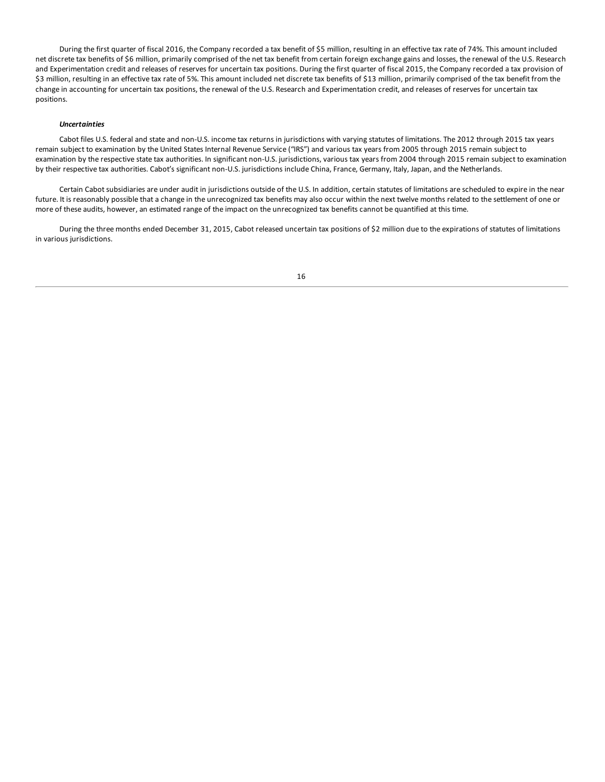During the first quarter of fiscal 2016, the Company recorded a tax benefit of \$5 million, resulting in an effective tax rate of 74%. This amount included net discrete tax benefits of \$6 million, primarily comprised of the net tax benefit from certain foreign exchange gains and losses, the renewal of the U.S. Research and Experimentation credit and releases of reserves for uncertain tax positions. During the first quarter of fiscal 2015, the Company recorded a tax provision of \$3 million, resulting in an effective tax rate of 5%. This amount included net discrete tax benefits of \$13 million, primarily comprised of the tax benefit from the change in accounting for uncertain tax positions, the renewal of the U.S. Research and Experimentation credit, and releases of reserves for uncertain tax positions.

#### *Uncertainties*

Cabot files U.S. federal and state and non-U.S. income tax returns in jurisdictions with varying statutes of limitations. The 2012 through 2015 tax years remain subject to examination by the United States Internal Revenue Service ("IRS") and various tax years from 2005 through 2015 remain subject to examination by the respective state tax authorities. In significant non-U.S. jurisdictions, various tax years from 2004 through 2015 remain subject to examination by their respective tax authorities. Cabot's significant non-U.S. jurisdictions include China, France, Germany, Italy, Japan, and the Netherlands.

Certain Cabot subsidiaries are under audit in jurisdictions outside of the U.S. In addition, certain statutes of limitations are scheduled to expire in the near future. It is reasonably possible that a change in the unrecognized tax benefits may also occur within the next twelve months related to the settlement of one or more of these audits, however, an estimated range of the impact on the unrecognized tax benefits cannot be quantified at this time.

During the three months ended December 31, 2015, Cabot released uncertain tax positions of \$2 million due to the expirations of statutes of limitations in various jurisdictions.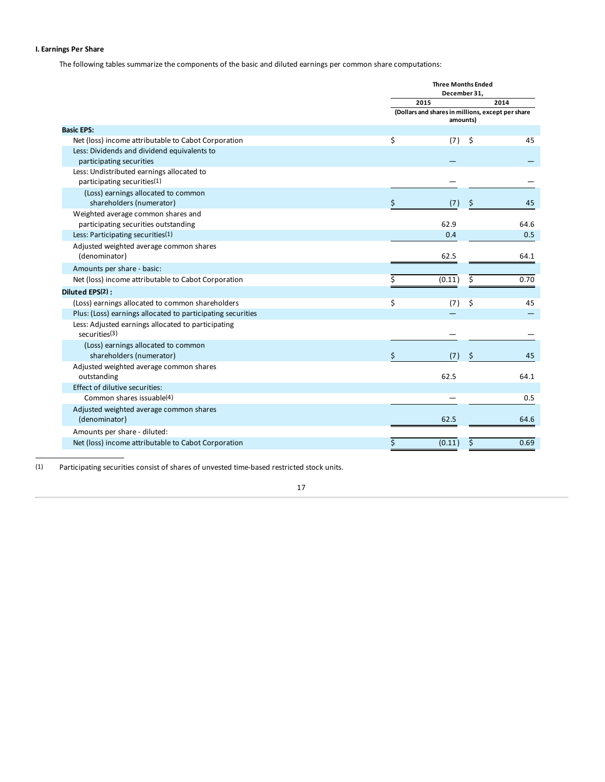### **I. Earnings Per Share**

The following tables summarize the components of the basic and diluted earnings per common share computations:

|                                                                            | <b>Three Months Ended</b><br>December 31, |          |    |                                                   |  |
|----------------------------------------------------------------------------|-------------------------------------------|----------|----|---------------------------------------------------|--|
|                                                                            |                                           | 2015     |    | 2014                                              |  |
|                                                                            |                                           | amounts) |    | (Dollars and shares in millions, except per share |  |
| <b>Basic EPS:</b>                                                          |                                           |          |    |                                                   |  |
| Net (loss) income attributable to Cabot Corporation                        | \$                                        | (7)      | \$ | 45                                                |  |
| Less: Dividends and dividend equivalents to<br>participating securities    |                                           |          |    |                                                   |  |
| Less: Undistributed earnings allocated to<br>participating securities(1)   |                                           |          |    |                                                   |  |
| (Loss) earnings allocated to common<br>shareholders (numerator)            | \$                                        | (7)      | \$ | 45                                                |  |
| Weighted average common shares and<br>participating securities outstanding |                                           | 62.9     |    | 64.6                                              |  |
| Less: Participating securities(1)                                          |                                           | 0.4      |    | 0.5                                               |  |
| Adjusted weighted average common shares<br>(denominator)                   |                                           | 62.5     |    | 64.1                                              |  |
| Amounts per share - basic:                                                 |                                           |          |    |                                                   |  |
| Net (loss) income attributable to Cabot Corporation                        | \$                                        | (0.11)   | \$ | 0.70                                              |  |
| Diluted EPS(2):                                                            |                                           |          |    |                                                   |  |
| (Loss) earnings allocated to common shareholders                           | \$                                        | (7)      | \$ | 45                                                |  |
| Plus: (Loss) earnings allocated to participating securities                |                                           |          |    |                                                   |  |
| Less: Adjusted earnings allocated to participating<br>securities(3)        |                                           |          |    |                                                   |  |
| (Loss) earnings allocated to common<br>shareholders (numerator)            | \$                                        | (7)      | \$ | 45                                                |  |
| Adjusted weighted average common shares<br>outstanding                     |                                           | 62.5     |    | 64.1                                              |  |
| Effect of dilutive securities:                                             |                                           |          |    |                                                   |  |
| Common shares issuable(4)                                                  |                                           |          |    | 0.5                                               |  |
| Adjusted weighted average common shares<br>(denominator)                   |                                           | 62.5     |    | 64.6                                              |  |
| Amounts per share - diluted:                                               |                                           |          |    |                                                   |  |
| Net (loss) income attributable to Cabot Corporation                        | \$                                        | (0.11)   | \$ | 0.69                                              |  |

(1) Participating securities consist of shares of unvested time-based restricted stock units.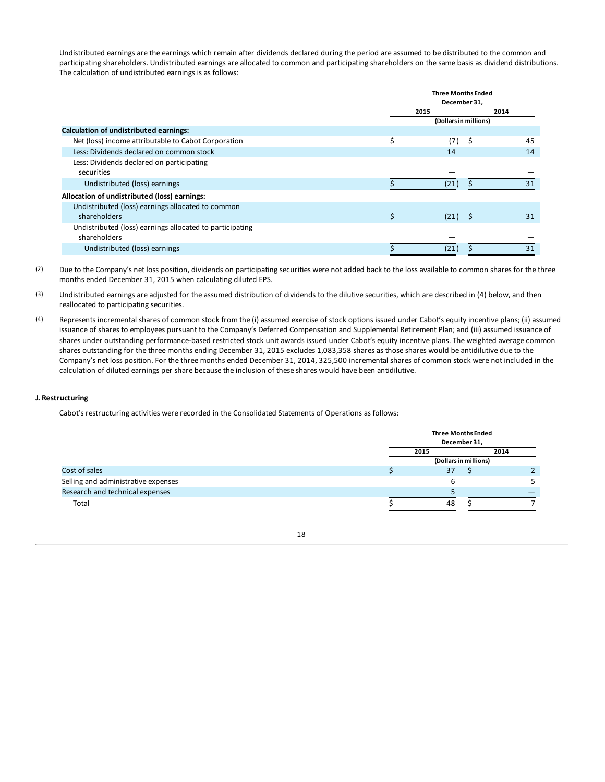Undistributed earnings are the earnings which remain after dividends declared during the period are assumed to be distributed to the common and participating shareholders. Undistributed earnings are allocated to common and participating shareholders on the same basis as dividend distributions. The calculation of undistributed earnings is as follows:

|                                                          |      | <b>Three Months Ended</b> |      |  |  |  |  |  |
|----------------------------------------------------------|------|---------------------------|------|--|--|--|--|--|
|                                                          |      | December 31,              |      |  |  |  |  |  |
|                                                          | 2015 |                           | 2014 |  |  |  |  |  |
|                                                          |      | (Dollars in millions)     |      |  |  |  |  |  |
| <b>Calculation of undistributed earnings:</b>            |      |                           |      |  |  |  |  |  |
| Net (loss) income attributable to Cabot Corporation      | Ś    | (7)<br>S                  | 45   |  |  |  |  |  |
| Less: Dividends declared on common stock                 |      | 14                        | 14   |  |  |  |  |  |
| Less: Dividends declared on participating                |      |                           |      |  |  |  |  |  |
| securities                                               |      |                           |      |  |  |  |  |  |
| Undistributed (loss) earnings                            |      | (21)                      | 31   |  |  |  |  |  |
| Allocation of undistributed (loss) earnings:             |      |                           |      |  |  |  |  |  |
| Undistributed (loss) earnings allocated to common        |      |                           |      |  |  |  |  |  |
| shareholders                                             | \$   | (21)<br>- S               | 31   |  |  |  |  |  |
| Undistributed (loss) earnings allocated to participating |      |                           |      |  |  |  |  |  |
| shareholders                                             |      |                           |      |  |  |  |  |  |
| Undistributed (loss) earnings                            |      | (21                       | 31   |  |  |  |  |  |

(2) Due to the Company's net loss position, dividends on participating securities were not added back to the loss available to common shares for the three months ended December 31, 2015 when calculating diluted EPS.

- (3) Undistributed earnings are adjusted for the assumed distribution of dividends to the dilutive securities, which are described in (4) below, and then reallocated to participating securities.
- (4) Represents incremental shares of common stock from the (i) assumed exercise of stock options issued under Cabot's equity incentive plans; (ii) assumed issuance of shares to employees pursuant to the Company's Deferred Compensation and Supplemental Retirement Plan; and (iii) assumed issuance of shares under outstanding performance-based restricted stock unit awards issued under Cabot's equity incentive plans. The weighted average common shares outstanding for the three months ending December 31, 2015 excludes 1,083,358 shares as those shares would be antidilutive due to the Company's net loss position. For the three months ended December 31, 2014, 325,500 incremental shares of common stock were not included in the calculation of diluted earnings per share because the inclusion of these shares would have been antidilutive.

#### **J. Restructuring**

Cabot's restructuring activities were recorded in the Consolidated Statements of Operations as follows:

|                       | <b>Three Months Ended</b><br>December 31, |      |      |  |  |  |  |
|-----------------------|-------------------------------------------|------|------|--|--|--|--|
|                       |                                           |      |      |  |  |  |  |
| (Dollars in millions) |                                           |      |      |  |  |  |  |
|                       | 37                                        |      |      |  |  |  |  |
|                       |                                           |      |      |  |  |  |  |
|                       |                                           |      |      |  |  |  |  |
|                       | 48                                        |      |      |  |  |  |  |
|                       |                                           | 2015 | 2014 |  |  |  |  |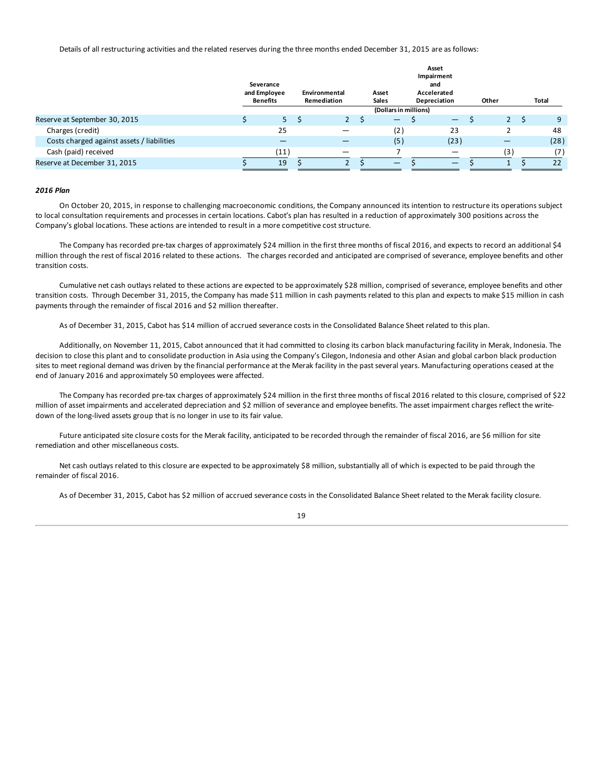#### Details of all restructuring activities and the related reserves during the three months ended December 31, 2015 are as follows:

|                                            | Severance<br>and Employee<br><b>Benefits</b> | Environmental<br>Remediation | Asset<br><b>Sales</b>          | Asset<br>Impairment<br>and<br>Accelerated<br>Depreciation | Other | Total |
|--------------------------------------------|----------------------------------------------|------------------------------|--------------------------------|-----------------------------------------------------------|-------|-------|
|                                            |                                              |                              | (Dollars in millions)          |                                                           |       |       |
| Reserve at September 30, 2015              | 5                                            |                              | $\qquad \qquad \longleftarrow$ | $\qquad \qquad -$                                         |       | 9     |
| Charges (credit)                           | 25                                           |                              | (2)                            | 23                                                        |       | 48    |
| Costs charged against assets / liabilities |                                              |                              | (5)                            | (23)                                                      | —     | (28)  |
| Cash (paid) received                       | (11)                                         |                              |                                |                                                           | (3)   | (7)   |
| Reserve at December 31, 2015               | 19                                           |                              | $\overline{\phantom{0}}$       | $\overline{\phantom{0}}$                                  |       | 22    |

#### *2016 Plan*

On October 20, 2015, in response to challenging macroeconomic conditions, the Company announced its intention to restructure its operations subject to local consultation requirements and processes in certain locations. Cabot's plan has resulted in a reduction of approximately 300 positions across the Company's global locations. These actions are intended to result in a more competitive cost structure.

The Company has recorded pre-tax charges of approximately \$24 million in the first three months of fiscal 2016, and expects to record an additional \$4 million through the rest of fiscal 2016 related to these actions. The charges recorded and anticipated are comprised of severance, employee benefits and other transition costs.

Cumulative net cash outlays related to these actions are expected to be approximately \$28 million, comprised of severance, employee benefits and other transition costs. Through December 31, 2015, the Company has made \$11 million in cash payments related to this plan and expects to make \$15 million in cash payments through the remainder of fiscal 2016 and \$2 million thereafter.

As of December 31, 2015, Cabot has \$14 million of accrued severance costs in the Consolidated Balance Sheet related to this plan.

Additionally, on November 11, 2015, Cabot announced that it had committed to closing its carbon black manufacturing facility in Merak, Indonesia. The decision to close this plant and to consolidate production in Asia using the Company's Cilegon, Indonesia and other Asian and global carbon black production sites to meet regional demand was driven by the financial performance at the Merak facility in the past several years. Manufacturing operations ceased at the end of January 2016 and approximately 50 employees were affected.

The Company has recorded pre-tax charges of approximately \$24 million in the first three months of fiscal 2016 related to this closure, comprised of \$22 million of asset impairments and accelerated depreciation and \$2 million of severance and employee benefits. The asset impairment charges reflect the writedown of the long-lived assets group that is no longer in use to its fair value.

Future anticipated site closure costs for the Merak facility, anticipated to be recorded through the remainder of fiscal 2016, are \$6 million for site remediation and other miscellaneous costs.

Net cash outlays related to this closure are expected to be approximately \$8 million, substantially all of which is expected to be paid through the remainder of fiscal 2016.

As of December 31, 2015, Cabot has \$2 million of accrued severance costs in the Consolidated Balance Sheet related to the Merak facility closure.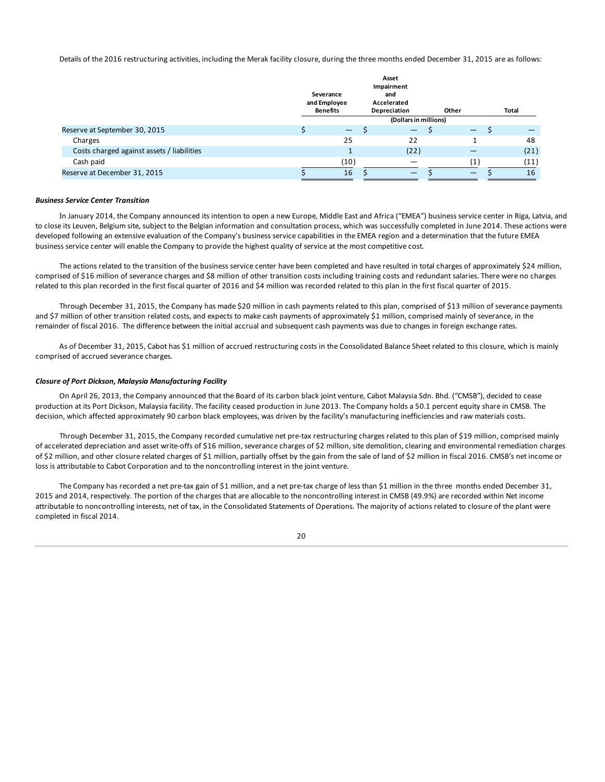Details of the 2016 restructuring activities, including the Merak facility closure, during the three months ended December 31, 2015 are as follows:

|                                            | Severance<br>and Employee<br>Benefits | Asset<br>Impairment<br>and<br>Accelerated<br>Depreciation | Other | <b>Total</b> |
|--------------------------------------------|---------------------------------------|-----------------------------------------------------------|-------|--------------|
|                                            |                                       | (Dollars in millions)                                     |       |              |
| Reserve at September 30, 2015              | $\overline{\phantom{0}}$              | $\qquad \qquad \longleftarrow$                            |       |              |
| Charges                                    | 25                                    | 22                                                        |       | 48           |
| Costs charged against assets / liabilities |                                       | (22)                                                      |       | (21)         |
| Cash paid                                  | (10)                                  |                                                           | (1)   | (11)         |
| Reserve at December 31, 2015               | 16                                    | -                                                         | —     | 16           |

#### *Business Service Center Transition*

In January 2014, the Company announced its intention to open a new Europe, Middle East and Africa ("EMEA") business service center in Riga, Latvia, and to close its Leuven, Belgium site, subject to the Belgian information and consultation process, which was successfully completed in June 2014. These actions were developed following an extensive evaluation of the Company's business service capabilities in the EMEA region and a determination that the future EMEA business service center will enable the Company to provide the highest quality of service at the most competitive cost.

The actions related to the transition of the business service center have been completed and have resulted in total charges of approximately \$24 million, comprised of \$16 million of severance charges and \$8 million of other transition costs including training costs and redundant salaries. There were no charges related to this plan recorded in the first fiscal quarter of 2016 and \$4 million was recorded related to this plan in the first fiscal quarter of 2015.

Through December 31, 2015, the Company has made \$20 million in cash payments related to this plan, comprised of \$13 million of severance payments and \$7 million of other transition related costs, and expects to make cash payments of approximately \$1 million, comprised mainly of severance, in the remainder of fiscal 2016. The difference between the initial accrual and subsequent cash payments was due to changes in foreign exchange rates.

As of December 31, 2015, Cabot has \$1 million of accrued restructuring costs in the Consolidated Balance Sheet related to this closure, which is mainly comprised of accrued severance charges.

#### *Closure of Port Dickson, Malaysia Manufacturing Facility*

On April 26, 2013, the Company announced that the Board of its carbon black joint venture, Cabot Malaysia Sdn. Bhd. ("CMSB"), decided to cease production at its Port Dickson, Malaysia facility. The facility ceased production in June 2013. The Company holds a 50.1 percent equity share in CMSB. The decision, which affected approximately 90 carbon black employees, was driven by the facility's manufacturing inefficiencies and raw materials costs.

Through December 31, 2015, the Company recorded cumulative net pre-tax restructuring charges related to this plan of \$19 million, comprised mainly of accelerated depreciation and asset write-offs of \$16 million, severance charges of \$2 million, site demolition, clearing and environmental remediation charges of \$2 million, and other closure related charges of \$1 million, partially offset by the gain from the sale of land of \$2 million in fiscal 2016. CMSB's net income or loss is attributable to Cabot Corporation and to the noncontrolling interest in the joint venture.

The Company has recorded a net pre-tax gain of \$1 million, and a net pre-tax charge of less than \$1 million in the three months ended December 31, 2015 and 2014, respectively. The portion of the charges that are allocable to the noncontrolling interest in CMSB (49.9%) are recorded within Net income attributable to noncontrolling interests, net of tax, in the Consolidated Statements of Operations. The majority of actions related to closure of the plant were completed in fiscal 2014.

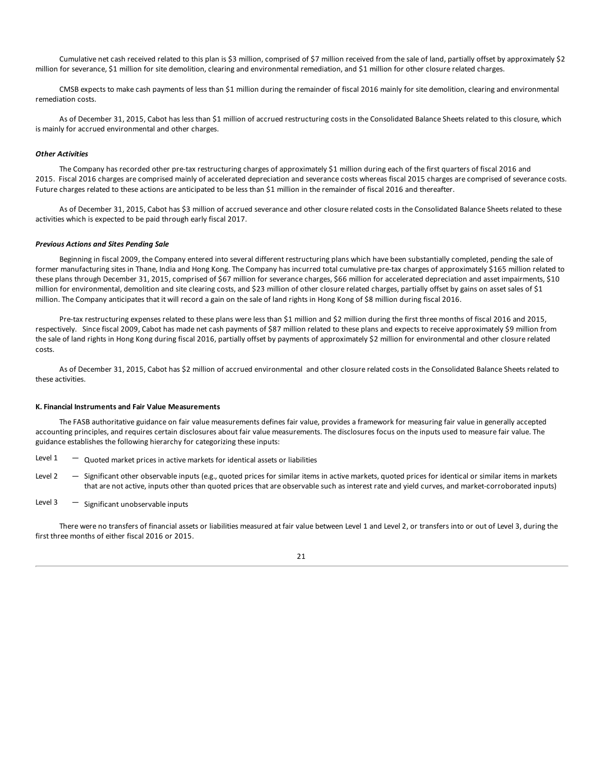Cumulative net cash received related to this plan is \$3 million, comprised of \$7 million received from the sale of land, partially offset by approximately \$2 million for severance, \$1 million for site demolition, clearing and environmental remediation, and \$1 million for other closure related charges.

CMSB expects to make cash payments of less than \$1 million during the remainder of fiscal 2016 mainly for site demolition, clearing and environmental remediation costs.

As of December 31, 2015, Cabot has less than \$1 million of accrued restructuring costs in the Consolidated Balance Sheets related to this closure, which is mainly for accrued environmental and other charges.

#### *Other Activities*

The Company has recorded other pre-tax restructuring charges of approximately \$1 million during each of the first quarters of fiscal 2016 and 2015. Fiscal 2016 charges are comprised mainly of accelerated depreciation and severance costs whereas fiscal 2015 charges are comprised of severance costs. Future charges related to these actions are anticipated to be less than \$1 million in the remainder of fiscal 2016 and thereafter.

As of December 31, 2015, Cabot has \$3 million of accrued severance and other closure related costs in the Consolidated Balance Sheets related to these activities which is expected to be paid through early fiscal 2017.

#### *Previous Actions and Sites Pending Sale*

Beginning in fiscal 2009, the Company entered into several different restructuring plans which have been substantially completed, pending the sale of former manufacturing sites in Thane, India and Hong Kong. The Company has incurred total cumulative pre-tax charges of approximately \$165 million related to these plans through December 31, 2015, comprised of \$67 million for severance charges, \$66 million for accelerated depreciation and asset impairments, \$10 million for environmental, demolition and site clearing costs, and \$23 million of other closure related charges, partially offset by gains on asset sales of \$1 million. The Company anticipates that it will record a gain on the sale of land rights in Hong Kong of \$8 million during fiscal 2016.

Pre-tax restructuring expenses related to these plans were less than \$1 million and \$2 million during the first three months of fiscal 2016 and 2015, respectively. Since fiscal 2009, Cabot has made net cash payments of \$87 million related to these plans and expects to receive approximately \$9 million from the sale of land rights in Hong Kong during fiscal 2016, partially offset by payments of approximately \$2 million for environmental and other closure related costs.

As of December 31, 2015, Cabot has \$2 million of accrued environmental and other closure related costs in the Consolidated Balance Sheets related to these activities.

#### **K. Financial Instruments and Fair Value Measurements**

The FASB authoritative guidance on fair value measurements defines fair value, provides a framework for measuring fair value in generally accepted accounting principles, and requires certain disclosures about fair value measurements. The disclosures focus on the inputs used to measure fair value. The guidance establishes the following hierarchy for categorizing these inputs:

- Level  $1 -$  Quoted market prices in active markets for identical assets or liabilities
- Level 2 Significant other observable inputs (e.g., quoted prices for similar items in active markets, quoted prices for identical or similar items in markets that are not active, inputs other than quoted prices that are observable such as interest rate and yield curves, and market-corroborated inputs)
- Level 3 Significant unobservable inputs

There were no transfers of financial assets or liabilities measured at fair value between Level 1 and Level 2, or transfers into or out of Level 3, during the first three months of either fiscal 2016 or 2015.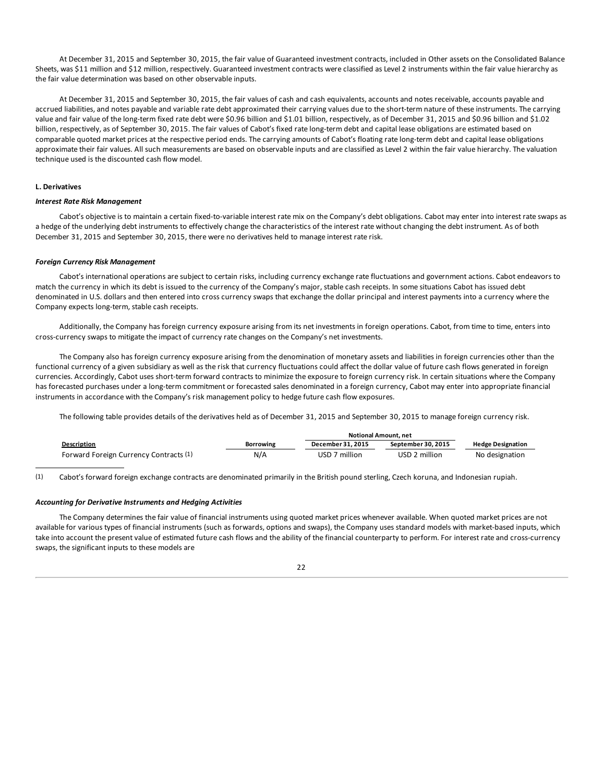At December 31, 2015 and September 30, 2015, the fair value of Guaranteed investment contracts, included in Other assets on the Consolidated Balance Sheets, was \$11 million and \$12 million, respectively. Guaranteed investment contracts were classified as Level 2 instruments within the fair value hierarchy as the fair value determination was based on other observable inputs.

At December 31, 2015 and September 30, 2015, the fair values of cash and cash equivalents, accounts and notes receivable, accounts payable and accrued liabilities, and notes payable and variable rate debt approximated their carrying values due to the short-term nature of these instruments. The carrying value and fair value of the long-term fixed rate debt were \$0.96 billion and \$1.01 billion, respectively, as of December 31, 2015 and \$0.96 billion and \$1.02 billion, respectively, as of September 30, 2015. The fair values of Cabot's fixed rate long-term debt and capital lease obligations are estimated based on comparable quoted market prices at the respective period ends. The carrying amounts of Cabot's floating rate long-term debt and capital lease obligations approximate their fair values. All such measurements are based on observable inputs and are classified as Level 2 within the fair value hierarchy. The valuation technique used is the discounted cash flow model.

#### **L. Derivatives**

### *Interest Rate Risk Management*

Cabot's objective is to maintain a certain fixed-to-variable interest rate mix on the Company's debt obligations. Cabot may enter into interest rate swaps as a hedge of the underlying debt instruments to effectively change the characteristics of the interest rate without changing the debt instrument. As of both December 31, 2015 and September 30, 2015, there were no derivatives held to manage interest rate risk.

#### *Foreign Currency Risk Management*

Cabot's international operations are subject to certain risks, including currency exchange rate fluctuations and government actions. Cabot endeavors to match the currency in which its debt is issued to the currency of the Company's major, stable cash receipts. In some situations Cabot has issued debt denominated in U.S. dollars and then entered into cross currency swaps that exchange the dollar principal and interest payments into a currency where the Company expects long-term, stable cash receipts.

Additionally, the Company has foreign currency exposure arising from its net investments in foreign operations. Cabot, from time to time, enters into cross-currency swaps to mitigate the impact of currency rate changes on the Company's net investments.

The Company also has foreign currency exposure arising from the denomination of monetary assets and liabilities in foreign currencies other than the functional currency of a given subsidiary as well as the risk that currency fluctuations could affect the dollar value of future cash flows generated in foreign currencies. Accordingly, Cabot uses short-term forward contracts to minimize the exposure to foreign currency risk. In certain situations where the Company has forecasted purchases under a long-term commitment or forecasted sales denominated in a foreign currency, Cabot may enter into appropriate financial instruments in accordance with the Company's risk management policy to hedge future cash flow exposures.

The following table provides details of the derivatives held as of December 31, 2015 and September 30, 2015 to manage foreign currency risk.

|                                        |                  | <b>Notional Amount, net</b> |                    |                          |
|----------------------------------------|------------------|-----------------------------|--------------------|--------------------------|
| Description                            | <b>Borrowing</b> | December 31, 2015           | September 30, 2015 | <b>Hedge Designation</b> |
| Forward Foreign Currency Contracts (1) | N/A              | USD 7 million               | USD 2 million      | No designation           |

 $(1)$  Cabot's forward foreign exchange contracts are denominated primarily in the British pound sterling, Czech koruna, and Indonesian rupiah.

#### *Accounting for Derivative Instruments and Hedging Activities*

The Company determines the fair value of financial instruments using quoted market prices whenever available. When quoted market prices are not available for various types of financial instruments (such as forwards, options and swaps), the Company uses standard models with market-based inputs, which take into account the present value of estimated future cash flows and the ability of the financial counterparty to perform. For interest rate and cross-currency swaps, the significant inputs to these models are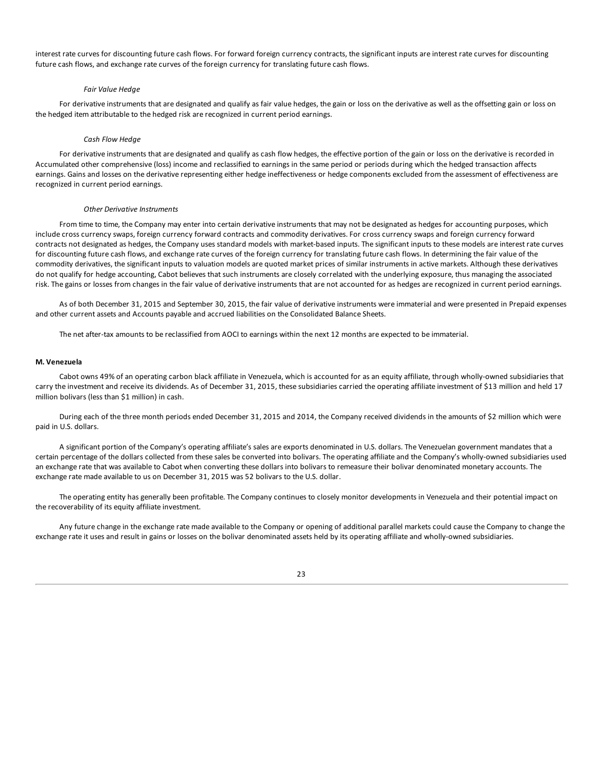interest rate curves for discounting future cash flows. For forward foreign currency contracts, the significant inputs are interest rate curves for discounting future cash flows, and exchange rate curves of the foreign currency for translating future cash flows.

#### *Fair Value Hedge*

For derivative instruments that are designated and qualify as fair value hedges, the gain or loss on the derivative as well as the offsetting gain or loss on the hedged item attributable to the hedged risk are recognized in current period earnings.

#### *Cash Flow Hedge*

For derivative instruments that are designated and qualify as cash flow hedges, the effective portion of the gain or loss on the derivative is recorded in Accumulated other comprehensive (loss) income and reclassified to earnings in the same period or periods during which the hedged transaction affects earnings. Gains and losses on the derivative representing either hedge ineffectiveness or hedge components excluded from the assessment of effectiveness are recognized in current period earnings.

#### *Other Derivative Instruments*

From time to time, the Company may enter into certain derivative instruments that may not be designated as hedges for accounting purposes, which include cross currency swaps, foreign currency forward contracts and commodity derivatives. For cross currency swaps and foreign currency forward contracts not designated as hedges, the Company uses standard models with market-based inputs. The significant inputs to these models are interest rate curves for discounting future cash flows, and exchange rate curves of the foreign currency for translating future cash flows. In determining the fair value of the commodity derivatives, the significant inputs to valuation models are quoted market prices of similar instruments in active markets. Although these derivatives do not qualify for hedge accounting, Cabot believes that such instruments are closely correlated with the underlying exposure, thus managing the associated risk. The gains or losses from changes in the fair value of derivative instruments that are not accounted for as hedges are recognized in current period earnings.

As of both December 31, 2015 and September 30, 2015, the fair value of derivative instruments were immaterial and were presented in Prepaid expenses and other current assets and Accounts payable and accrued liabilities on the Consolidated Balance Sheets.

The net after-tax amounts to be reclassified from AOCI to earnings within the next 12 months are expected to be immaterial.

#### **M. Venezuela**

Cabot owns 49% of an operating carbon black affiliate in Venezuela, which is accounted for as an equity affiliate, through wholly-owned subsidiaries that carry the investment and receive its dividends. As of December 31, 2015, these subsidiaries carried the operating affiliate investment of \$13 million and held 17 million bolivars (less than \$1 million) in cash.

During each of the three month periods ended December 31, 2015 and 2014, the Company received dividends in the amounts of \$2 million which were paid in U.S. dollars.

A significant portion of the Company's operating affiliate's sales are exports denominated in U.S. dollars. The Venezuelan government mandates that a certain percentage of the dollars collected from these sales be converted into bolivars. The operating affiliate and the Company's wholly-owned subsidiaries used an exchange rate that was available to Cabot when converting these dollars into bolivars to remeasure their bolivar denominated monetary accounts. The exchange rate made available to us on December 31, 2015 was 52 bolivars to the U.S. dollar.

The operating entity has generally been profitable. The Company continues to closely monitor developments in Venezuela and their potential impact on the recoverability of its equity affiliate investment.

Any future change in the exchange rate made available to the Company or opening of additional parallel markets could cause the Company to change the exchange rate it uses and result in gains or losses on the bolivar denominated assets held by its operating affiliate and wholly-owned subsidiaries.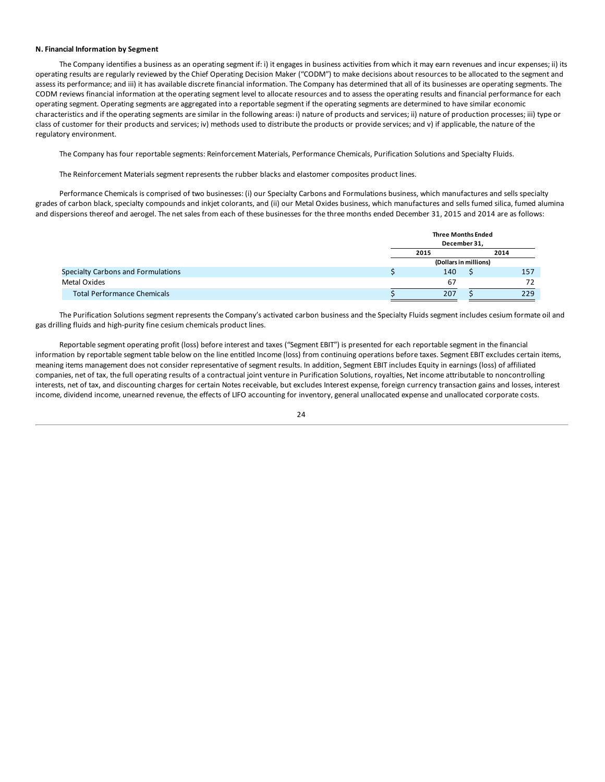#### **N. Financial Information by Segment**

The Company identifies a business as an operating segment if: i) it engages in business activities from which it may earn revenues and incur expenses; ii) its operating results are regularly reviewed by the Chief Operating Decision Maker ("CODM") to make decisions about resources to be allocated to the segment and assess its performance; and iii) it has available discrete financial information. The Company has determined that all of its businesses are operating segments. The CODM reviews financial information at the operating segment level to allocate resources and to assess the operating results and financial performance for each operating segment. Operating segments are aggregated into a reportable segment if the operating segments are determined to have similar economic characteristics and if the operating segments are similar in the following areas: i) nature of products and services; ii) nature of production processes; iii) type or class of customer for their products and services; iv) methods used to distribute the products or provide services; and v) if applicable, the nature of the regulatory environment.

The Company has four reportable segments: Reinforcement Materials, Performance Chemicals, Purification Solutions and Specialty Fluids.

The Reinforcement Materials segment represents the rubber blacks and elastomer composites product lines.

Performance Chemicals is comprised of two businesses: (i) our Specialty Carbons and Formulations business, which manufactures and sells specialty grades of carbon black, specialty compounds and inkjet colorants, and (ii) our Metal Oxides business, which manufactures and sells fumed silica, fumed alumina and dispersions thereof and aerogel. The net sales from each of these businesses for the three months ended December 31, 2015 and 2014 are as follows:

|                                           | <b>Three Months Ended</b> | December 31, |     |  |  |
|-------------------------------------------|---------------------------|--------------|-----|--|--|
|                                           | 2014<br>2015              |              |     |  |  |
|                                           | (Dollars in millions)     |              |     |  |  |
| <b>Specialty Carbons and Formulations</b> | 140                       |              | 157 |  |  |
| Metal Oxides                              | 67                        |              |     |  |  |
| <b>Total Performance Chemicals</b>        | 207                       |              | 229 |  |  |

The Purification Solutions segment represents the Company's activated carbon business and the Specialty Fluids segment includes cesium formate oil and gas drilling fluids and high-purity fine cesium chemicals product lines.

Reportable segment operating profit (loss) before interest and taxes ("Segment EBIT") is presented for each reportable segment in the financial information by reportable segment table below on the line entitled Income (loss) from continuing operations before taxes. Segment EBIT excludes certain items, meaning items management does not consider representative of segment results. In addition, Segment EBIT includes Equity in earnings (loss) of affiliated companies, net of tax, the full operating results of a contractual joint venture in Purification Solutions, royalties, Net income attributable to noncontrolling interests, net of tax, and discounting charges for certain Notes receivable, but excludes Interest expense, foreign currency transaction gains and losses, interest income, dividend income, unearned revenue, the effects of LIFO accounting for inventory, general unallocated expense and unallocated corporate costs.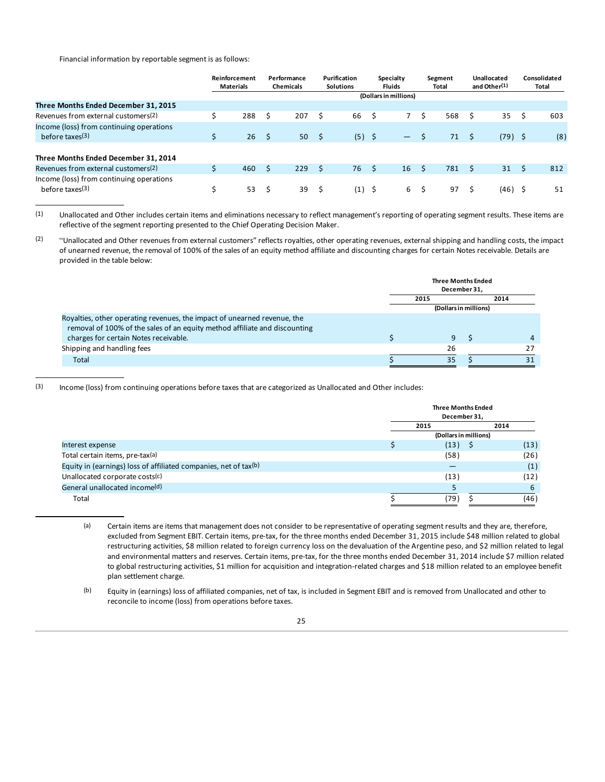#### Financial information by reportable segment is as follows:

|                                                                | Reinforcement<br><b>Materials</b> | Performance<br><b>Chemicals</b> |   | Purification<br><b>Solutions</b> |      | <b>Specialty</b><br><b>Fluids</b> |   | Segment<br>Total |   | Unallocated<br>and Other <sup>(1)</sup> |    | Consolidated<br>Total |
|----------------------------------------------------------------|-----------------------------------|---------------------------------|---|----------------------------------|------|-----------------------------------|---|------------------|---|-----------------------------------------|----|-----------------------|
|                                                                |                                   |                                 |   |                                  |      | (Dollars in millions)             |   |                  |   |                                         |    |                       |
| Three Months Ended December 31, 2015                           |                                   |                                 |   |                                  |      |                                   |   |                  |   |                                         |    |                       |
| Revenues from external customers <sup>(2)</sup>                | 288                               | 207                             | S | 66                               | S    |                                   | S | 568              |   | 35                                      | .s | 603                   |
| Income (loss) from continuing operations<br>before taxes $(3)$ | 26                                | 50                              |   | (5)                              | - \$ | $-$                               |   | 71               | S | (79)                                    |    | (8)                   |
| Three Months Ended December 31, 2014                           |                                   |                                 |   |                                  |      |                                   |   |                  |   |                                         |    |                       |
| Revenues from external customers(2)                            | 460                               | 229                             | S | 76                               | S    | 16                                | S | 781              | Ŝ | 31                                      |    | 812                   |
| Income (loss) from continuing operations<br>before taxes $(3)$ | 53                                | 39                              |   | (1)                              | - \$ | 6                                 | S | 97               | S | (46)                                    |    | 51                    |

(1) Unallocated and Other includes certain items and eliminations necessary to reflect management's reporting of operating segment results. These items are reflective of the segment reporting presented to the Chief Operating Decision Maker.

<sup>(2)</sup> "Unallocated and Other revenues from external customers" reflects royalties, other operating revenues, external shipping and handling costs, the impact of unearned revenue, the removal of 100% of the sales of an equity method affiliate and discounting charges for certain Notes receivable. Details are provided in the table below:

|                                                                            | <b>Three Months Ended</b><br>December 31, |      |                       |      |
|----------------------------------------------------------------------------|-------------------------------------------|------|-----------------------|------|
|                                                                            |                                           | 2015 |                       | 2014 |
|                                                                            |                                           |      | (Dollars in millions) |      |
| Royalties, other operating revenues, the impact of unearned revenue, the   |                                           |      |                       |      |
| removal of 100% of the sales of an equity method affiliate and discounting |                                           |      |                       |      |
| charges for certain Notes receivable.                                      |                                           | 9    |                       |      |
| Shipping and handling fees                                                 |                                           | 26   |                       | 27   |
| <b>Total</b>                                                               |                                           | 35   |                       | 31   |
|                                                                            |                                           |      |                       |      |

<sup>(3)</sup> Income (loss) from continuing operations before taxes that are categorized as Unallocated and Other includes:

|                                                                  |  | <b>Three Months Ended</b><br>December 31. |      |  |  |
|------------------------------------------------------------------|--|-------------------------------------------|------|--|--|
|                                                                  |  |                                           |      |  |  |
|                                                                  |  | 2015<br>2014                              |      |  |  |
|                                                                  |  | (Dollars in millions)                     |      |  |  |
| Interest expense                                                 |  | $(13)$ \$                                 | (13) |  |  |
| Total certain items, pre-tax(a)                                  |  | (58)                                      | (26) |  |  |
| Equity in (earnings) loss of affiliated companies, net of tax(b) |  |                                           | (1)  |  |  |
| Unallocated corporate costs(c)                                   |  | (13)                                      | (12) |  |  |
| General unallocated income(d)                                    |  |                                           | -6   |  |  |
| Total                                                            |  | 1791                                      | (46) |  |  |
|                                                                  |  |                                           |      |  |  |

(a) Certain items are items that management does not consider to be representative of operating segment results and they are, therefore, excluded from Segment EBIT. Certain items, pre-tax, for the three months ended December 31, 2015 include \$48 million related to global restructuring activities, \$8 million related to foreign currency loss on the devaluation of the Argentine peso, and \$2 million related to legal and environmental matters and reserves. Certain items, pre-tax, for the three months ended December 31, 2014 include \$7 million related to global restructuring activities, \$1 million for acquisition and integration-related charges and \$18 million related to an employee benefit plan settlement charge.

(b) Equity in (earnings) loss of affiliated companies, net of tax, is included in Segment EBIT and is removed from Unallocated and other to reconcile to income (loss) from operations before taxes.

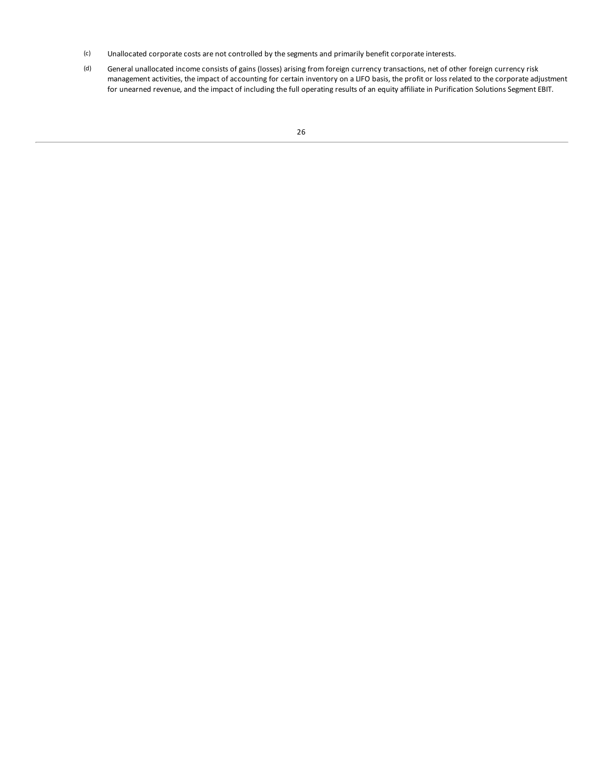- (c) Unallocated corporate costs are not controlled by the segments and primarily benefit corporate interests.
- (d) General unallocated income consists of gains (losses) arising from foreign currency transactions, net of other foreign currency risk management activities, the impact of accounting for certain inventory on a LIFO basis, the profit or loss related to the corporate adjustment for unearned revenue, and the impact of including the full operating results of an equity affiliate in Purification Solutions Segment EBIT.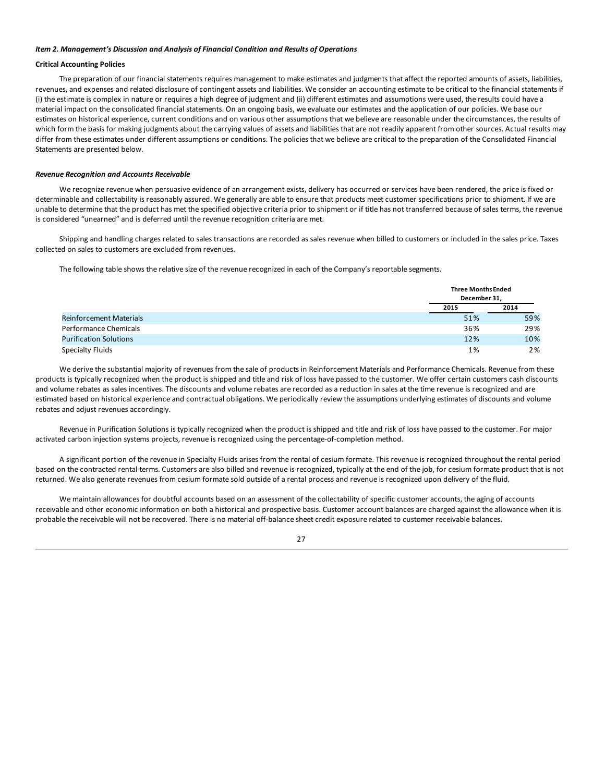#### <span id="page-26-0"></span>*Item 2. Management's Discussion and Analysis of Financial Condition and Results of Operations*

#### **Critical Accounting Policies**

The preparation of our financial statements requires management to make estimates and judgments that affect the reported amounts of assets, liabilities, revenues, and expenses and related disclosure of contingent assets and liabilities. We consider an accounting estimate to be critical to the financial statements if (i) the estimate is complex in nature or requires a high degree of judgment and (ii) different estimates and assumptions were used, the results could have a material impact on the consolidated financial statements. On an ongoing basis, we evaluate our estimates and the application of our policies. We base our estimates on historical experience, current conditions and on various other assumptions that we believe are reasonable under the circumstances, the results of which form the basis for making judgments about the carrying values of assets and liabilities that are not readily apparent from other sources. Actual results may differ from these estimates under different assumptions or conditions. The policies that we believe are critical to the preparation of the Consolidated Financial Statements are presented below.

#### *Revenue Recognition and Accounts Receivable*

We recognize revenue when persuasive evidence of an arrangement exists, delivery has occurred or services have been rendered, the price is fixed or determinable and collectability is reasonably assured. We generally are able to ensure that products meet customer specifications prior to shipment. If we are unable to determine that the product has met the specified objective criteria prior to shipment or if title has not transferred because of sales terms, the revenue is considered "unearned" and is deferred until the revenue recognition criteria are met.

Shipping and handling charges related to sales transactions are recorded as sales revenue when billed to customers or included in the sales price. Taxes collected on sales to customers are excluded from revenues.

The following table shows the relative size of the revenue recognized in each of the Company's reportable segments.

|                                | <b>Three Months Ended</b><br>December 31, |      |
|--------------------------------|-------------------------------------------|------|
|                                | 2015                                      | 2014 |
| <b>Reinforcement Materials</b> | 51%                                       | 59%  |
| Performance Chemicals          | 36%                                       | 29%  |
| <b>Purification Solutions</b>  | 12%                                       | 10%  |
| <b>Specialty Fluids</b>        | 1%                                        | 2%   |

We derive the substantial majority of revenues from the sale of products in Reinforcement Materials and Performance Chemicals. Revenue from these products is typically recognized when the product is shipped and title and risk of loss have passed to the customer. We offer certain customers cash discounts and volume rebates as sales incentives. The discounts and volume rebates are recorded as a reduction in sales at the time revenue is recognized and are estimated based on historical experience and contractual obligations. We periodically review the assumptions underlying estimates of discounts and volume rebates and adjust revenues accordingly.

Revenue in Purification Solutions is typically recognized when the product is shipped and title and risk of loss have passed to the customer. For major activated carbon injection systems projects, revenue is recognized using the percentage-of-completion method.

A significant portion of the revenue in Specialty Fluids arises from the rental of cesium formate. This revenue is recognized throughout the rental period based on the contracted rental terms. Customers are also billed and revenue is recognized, typically at the end of the job, for cesium formate product that is not returned. We also generate revenues from cesium formate sold outside of a rental process and revenue is recognized upon delivery of the fluid.

We maintain allowances for doubtful accounts based on an assessment of the collectability of specific customer accounts, the aging of accounts receivable and other economic information on both a historical and prospective basis. Customer account balances are charged against the allowance when it is probable the receivable will not be recovered. There is no material off-balance sheet credit exposure related to customer receivable balances.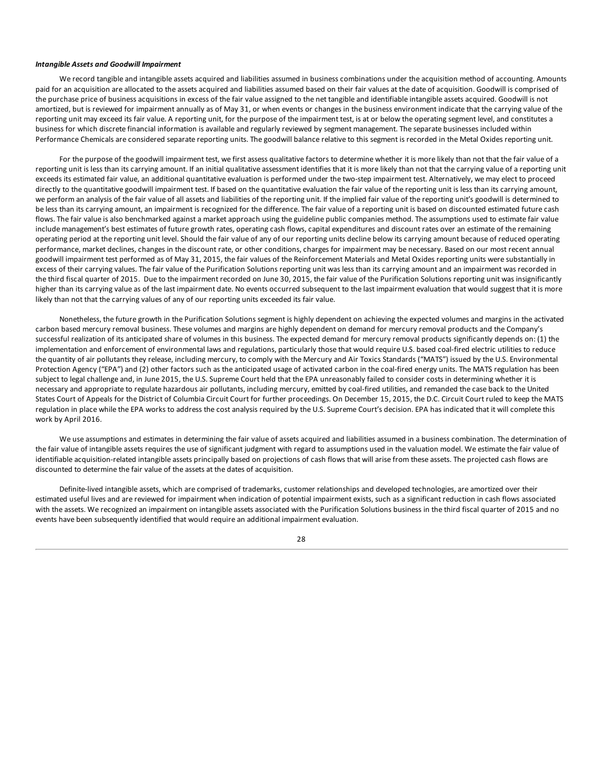#### *Intangible Assets and Goodwill Impairment*

We record tangible and intangible assets acquired and liabilities assumed in business combinations under the acquisition method of accounting. Amounts paid for an acquisition are allocated to the assets acquired and liabilities assumed based on their fair values at the date of acquisition. Goodwill is comprised of the purchase price of business acquisitions in excess of the fair value assigned to the net tangible and identifiable intangible assets acquired. Goodwill is not amortized, but is reviewed for impairment annually as of May 31, or when events or changes in the business environment indicate that the carrying value of the reporting unit may exceed its fair value. A reporting unit, for the purpose of the impairment test, is at or below the operating segment level, and constitutes a business for which discrete financial information is available and regularly reviewed by segment management. The separate businesses included within Performance Chemicals are considered separate reporting units. The goodwill balance relative to this segment is recorded in the Metal Oxides reporting unit.

For the purpose of the goodwill impairment test, we first assess qualitative factors to determine whether it is more likely than not that the fair value of a reporting unit is less than its carrying amount. If an initial qualitative assessment identifies that it is more likely than not that the carrying value of a reporting unit exceeds its estimated fair value, an additional quantitative evaluation is performed under the two-step impairment test. Alternatively, we may elect to proceed directly to the quantitative goodwill impairment test. If based on the quantitative evaluation the fair value of the reporting unit is less than its carrying amount, we perform an analysis of the fair value of all assets and liabilities of the reporting unit. If the implied fair value of the reporting unit's goodwill is determined to be less than its carrying amount, an impairment is recognized for the difference. The fair value of a reporting unit is based on discounted estimated future cash flows. The fair value is also benchmarked against a market approach using the guideline public companies method. The assumptions used to estimate fair value include management's best estimates of future growth rates, operating cash flows, capital expenditures and discount rates over an estimate of the remaining operating period at the reporting unit level. Should the fair value of any of our reporting units decline below its carrying amount because of reduced operating performance, market declines, changes in the discount rate, or other conditions, charges for impairment may be necessary. Based on our most recent annual goodwill impairment test performed as of May 31, 2015, the fair values of the Reinforcement Materials and Metal Oxides reporting units were substantially in excess of their carrying values. The fair value of the Purification Solutions reporting unit was less than its carrying amount and an impairment was recorded in the third fiscal quarter of 2015. Due to the impairment recorded on June 30, 2015, the fair value of the Purification Solutions reporting unit was insignificantly higher than its carrying value as of the last impairment date. No events occurred subsequent to the last impairment evaluation that would suggest that it is more likely than not that the carrying values of any of our reporting units exceeded its fair value.

Nonetheless, the future growth in the Purification Solutions segment is highly dependent on achieving the expected volumes and margins in the activated carbon based mercury removal business. These volumes and margins are highly dependent on demand for mercury removal products and the Company's successful realization of its anticipated share of volumes in this business. The expected demand for mercury removal products significantly depends on: (1) the implementation and enforcement of environmental laws and regulations, particularly those that would require U.S. based coal-fired electric utilities to reduce the quantity of air pollutants they release, including mercury, to comply with the Mercury and Air Toxics Standards ("MATS") issued by the U.S. Environmental Protection Agency ("EPA") and (2) other factors such as the anticipated usage of activated carbon in the coal-fired energy units. The MATS regulation has been subject to legal challenge and, in June 2015, the U.S. Supreme Court held that the EPA unreasonably failed to consider costs in determining whether it is necessary and appropriate to regulate hazardous air pollutants, including mercury, emitted by coal-fired utilities, and remanded the case back to the United States Court of Appeals for the District of Columbia Circuit Court for further proceedings. On December 15, 2015, the D.C. Circuit Court ruled to keep the MATS regulation in place while the EPA works to address the cost analysis required by the U.S. Supreme Court's decision. EPA has indicated that it will complete this work by April 2016.

We use assumptions and estimates in determining the fair value of assets acquired and liabilities assumed in a business combination. The determination of the fair value of intangible assets requires the use of significant judgment with regard to assumptions used in the valuation model. We estimate the fair value of identifiable acquisition-related intangible assets principally based on projections of cash flows that will arise from these assets. The projected cash flows are discounted to determine the fair value of the assets at the dates of acquisition.

Definite-lived intangible assets, which are comprised of trademarks, customer relationships and developed technologies, are amortized over their estimated useful lives and are reviewed for impairment when indication of potential impairment exists, such as a significant reduction in cash flows associated with the assets. We recognized an impairment on intangible assets associated with the Purification Solutions business in the third fiscal quarter of 2015 and no events have been subsequently identified that would require an additional impairment evaluation.

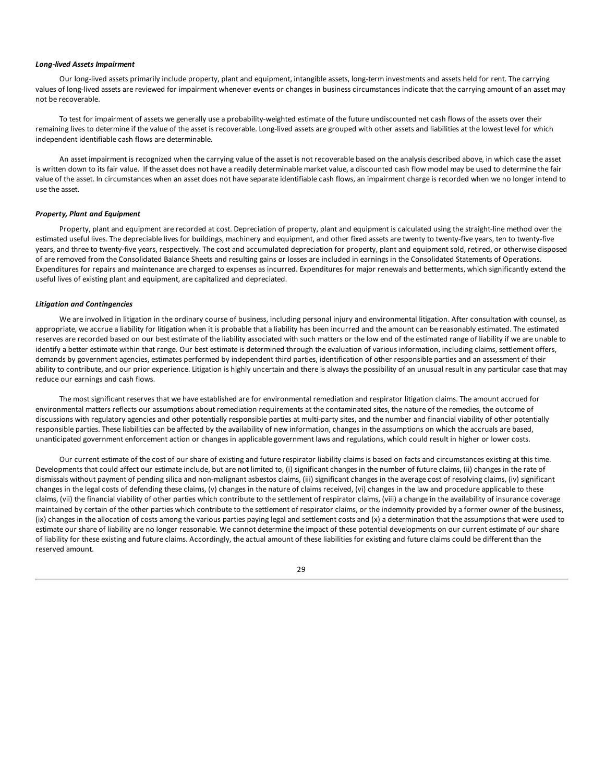#### *Long-lived Assets Impairment*

Our long-lived assets primarily include property, plant and equipment, intangible assets, long-term investments and assets held for rent. The carrying values of long-lived assets are reviewed for impairment whenever events or changes in business circumstances indicate that the carrying amount of an asset may not be recoverable.

To test for impairment of assets we generally use a probability-weighted estimate of the future undiscounted net cash flows of the assets over their remaining lives to determine if the value of the asset is recoverable. Long-lived assets are grouped with other assets and liabilities at the lowest level for which independent identifiable cash flows are determinable.

An asset impairment is recognized when the carrying value of the asset is not recoverable based on the analysis described above, in which case the asset is written down to its fair value. If the asset does not have a readily determinable market value, a discounted cash flow model may be used to determine the fair value of the asset. In circumstances when an asset does not have separate identifiable cash flows, an impairment charge is recorded when we no longer intend to use the asset.

#### *Property, Plant and Equipment*

Property, plant and equipment are recorded at cost. Depreciation of property, plant and equipment is calculated using the straight-line method over the estimated useful lives. The depreciable lives for buildings, machinery and equipment, and other fixed assets are twenty to twenty-five years, ten to twenty-five years, and three to twenty-five years, respectively. The cost and accumulated depreciation for property, plant and equipment sold, retired, or otherwise disposed of are removed from the Consolidated Balance Sheets and resulting gains or losses are included in earnings in the Consolidated Statements of Operations. Expenditures for repairs and maintenance are charged to expenses as incurred. Expenditures for major renewals and betterments, which significantly extend the useful lives of existing plant and equipment, are capitalized and depreciated.

#### *Litigation and Contingencies*

We are involved in litigation in the ordinary course of business, including personal injury and environmental litigation. After consultation with counsel, as appropriate, we accrue a liability for litigation when it is probable that a liability has been incurred and the amount can be reasonably estimated. The estimated reserves are recorded based on our best estimate of the liability associated with such matters or the low end of the estimated range of liability if we are unable to identify a better estimate within that range. Our best estimate is determined through the evaluation of various information, including claims, settlement offers, demands by government agencies, estimates performed by independent third parties, identification of other responsible parties and an assessment of their ability to contribute, and our prior experience. Litigation is highly uncertain and there is always the possibility of an unusual result in any particular case that may reduce our earnings and cash flows.

The most significant reserves that we have established are for environmental remediation and respirator litigation claims. The amount accrued for environmental matters reflects our assumptions about remediation requirements at the contaminated sites, the nature of the remedies, the outcome of discussions with regulatory agencies and other potentially responsible parties at multi-party sites, and the number and financial viability of other potentially responsible parties. These liabilities can be affected by the availability of new information, changes in the assumptions on which the accruals are based, unanticipated government enforcement action or changes in applicable government laws and regulations, which could result in higher or lower costs.

Our current estimate of the cost of our share of existing and future respirator liability claims is based on facts and circumstances existing at this time. Developments that could affect our estimate include, but are not limited to, (i) significant changes in the number of future claims, (ii) changes in the rate of dismissals without payment of pending silica and non-malignant asbestos claims, (iii) significant changes in the average cost of resolving claims, (iv) significant changes in the legal costs of defending these claims, (v) changes in the nature of claims received, (vi) changes in the law and procedure applicable to these claims, (vii) the financial viability of other parties which contribute to the settlement of respirator claims, (viii) a change in the availability of insurance coverage maintained by certain of the other parties which contribute to the settlement of respirator claims, or the indemnity provided by a former owner of the business, (ix) changes in the allocation of costs among the various parties paying legal and settlement costs and (x) a determination that the assumptions that were used to estimate our share of liability are no longer reasonable. We cannot determine the impact of these potential developments on our current estimate of our share of liability for these existing and future claims. Accordingly, the actual amount of these liabilities for existing and future claims could be different than the reserved amount.

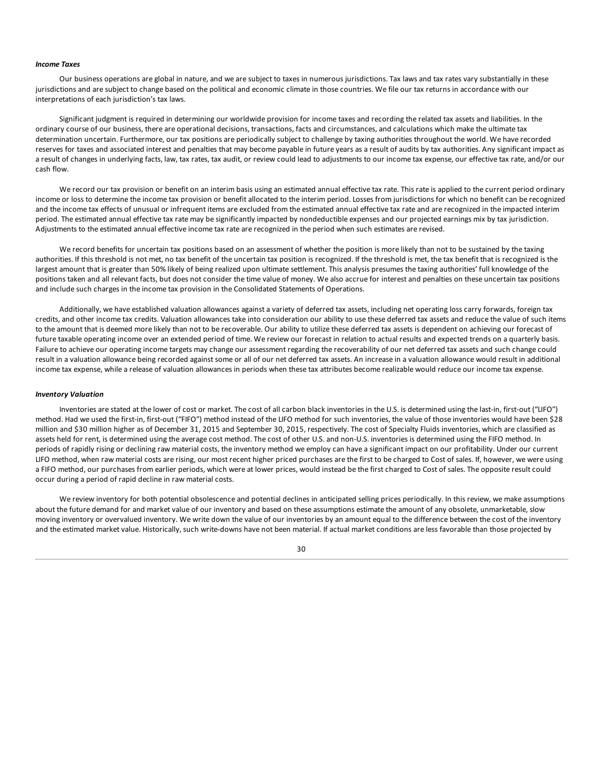#### *Income Taxes*

Our business operations are global in nature, and we are subject to taxes in numerous jurisdictions. Tax laws and tax rates vary substantially in these jurisdictions and are subject to change based on the political and economic climate in those countries. We file our tax returns in accordance with our interpretations of each jurisdiction's tax laws.

Significant judgment is required in determining our worldwide provision for income taxes and recording the related tax assets and liabilities. In the ordinary course of our business, there are operational decisions, transactions, facts and circumstances, and calculations which make the ultimate tax determination uncertain. Furthermore, our tax positions are periodically subject to challenge by taxing authorities throughout the world. We have recorded reserves for taxes and associated interest and penalties that may become payable in future years as a result of audits by tax authorities. Any significant impact as a result of changes in underlying facts, law, tax rates, tax audit, or review could lead to adjustments to our income tax expense, our effective tax rate, and/or our cash flow.

We record our tax provision or benefit on an interim basis using an estimated annual effective tax rate. This rate is applied to the current period ordinary income or loss to determine the income tax provision or benefit allocated to the interim period. Losses from jurisdictions for which no benefit can be recognized and the income tax effects of unusual or infrequent items are excluded from the estimated annual effective tax rate and are recognized in the impacted interim period. The estimated annual effective tax rate may be significantly impacted by nondeductible expenses and our projected earnings mix by tax jurisdiction. Adjustments to the estimated annual effective income tax rate are recognized in the period when such estimates are revised.

We record benefits for uncertain tax positions based on an assessment of whether the position is more likely than not to be sustained by the taxing authorities. If this threshold is not met, no tax benefit of the uncertain tax position is recognized. If the threshold is met, the tax benefit that is recognized is the largest amount that is greater than 50% likely of being realized upon ultimate settlement. This analysis presumes the taxing authorities' full knowledge of the positions taken and all relevant facts, but does not consider the time value of money. We also accrue for interest and penalties on these uncertain tax positions and include such charges in the income tax provision in the Consolidated Statements of Operations.

Additionally, we have established valuation allowances against a variety of deferred tax assets, including net operating loss carry forwards, foreign tax credits, and other income tax credits. Valuation allowances take into consideration our ability to use these deferred tax assets and reduce the value of such items to the amount that is deemed more likely than not to be recoverable. Our ability to utilize these deferred tax assets is dependent on achieving our forecast of future taxable operating income over an extended period of time. We review our forecast in relation to actual results and expected trends on a quarterly basis. Failure to achieve our operating income targets may change our assessment regarding the recoverability of our net deferred tax assets and such change could result in a valuation allowance being recorded against some or all of our net deferred tax assets. An increase in a valuation allowance would result in additional income tax expense, while a release of valuation allowances in periods when these tax attributes become realizable would reduce our income tax expense.

#### *Inventory Valuation*

Inventories are stated at the lower of cost or market. The cost of all carbon black inventories in the U.S. is determined using the last-in, first-out ("LIFO") method. Had we used the first-in, first-out ("FIFO") method instead of the LIFO method for such inventories, the value of those inventories would have been \$28 million and \$30 million higher as of December 31, 2015 and September 30, 2015, respectively. The cost of Specialty Fluids inventories, which are classified as assets held for rent, is determined using the average cost method. The cost of other U.S. and non-U.S. inventories is determined using the FIFO method. In periods of rapidly rising or declining raw material costs, the inventory method we employ can have a significant impact on our profitability. Under our current LIFO method, when raw material costs are rising, our most recent higher priced purchases are the first to be charged to Cost of sales. If, however, we were using a FIFO method, our purchases from earlier periods, which were at lower prices, would instead be the first charged to Cost of sales. The opposite result could occur during a period of rapid decline in raw material costs.

We review inventory for both potential obsolescence and potential declines in anticipated selling prices periodically. In this review, we make assumptions about the future demand for and market value of our inventory and based on these assumptions estimate the amount of any obsolete, unmarketable, slow moving inventory or overvalued inventory. We write down the value of our inventories by an amount equal to the difference between the cost of the inventory and the estimated market value. Historically, such write-downs have not been material. If actual market conditions are less favorable than those projected by

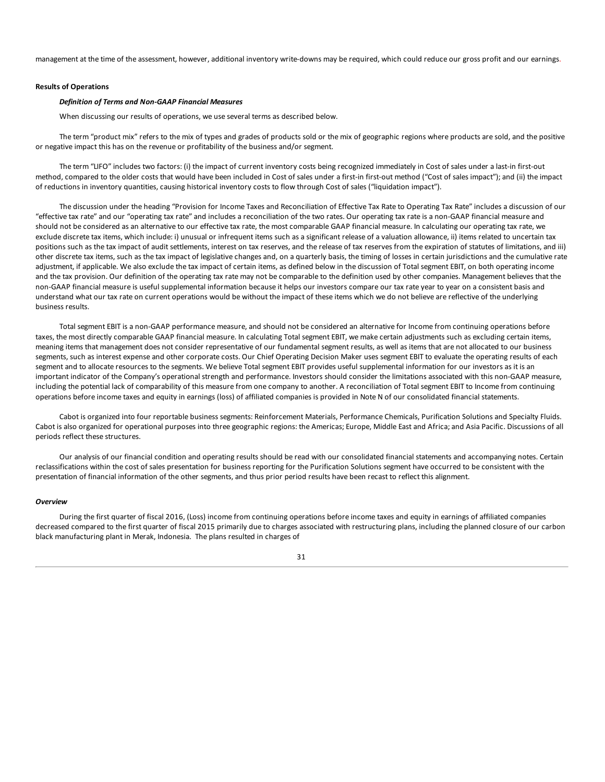management at the time of the assessment, however, additional inventory write-downs may be required, which could reduce our gross profit and our earnings.

#### **Results of Operations**

#### *Definition of Terms and Non-GAAP Financial Measures*

When discussing our results of operations, we use several terms as described below.

The term "product mix" refers to the mix of types and grades of products sold or the mix of geographic regions where products are sold, and the positive or negative impact this has on the revenue or profitability of the business and/or segment.

The term "LIFO" includes two factors: (i) the impact of current inventory costs being recognized immediately in Cost of sales under a last-in first-out method, compared to the older costs that would have been included in Cost of sales under a first-in first-out method ("Cost of sales impact"); and (ii) the impact of reductions in inventory quantities, causing historical inventory costs to flow through Cost of sales ("liquidation impact").

The discussion under the heading "Provision for Income Taxes and Reconciliation of Effective Tax Rate to Operating Tax Rate" includes a discussion of our "effective tax rate" and our "operating tax rate" and includes a reconciliation of the two rates. Our operating tax rate is a non-GAAP financial measure and should not be considered as an alternative to our effective tax rate, the most comparable GAAP financial measure. In calculating our operating tax rate, we exclude discrete tax items, which include: i) unusual or infrequent items such as a significant release of a valuation allowance, ii) items related to uncertain tax positions such as the tax impact of audit settlements, interest on tax reserves, and the release of tax reserves from the expiration of statutes of limitations, and iii) other discrete tax items, such as the tax impact of legislative changes and, on a quarterly basis, the timing of losses in certain jurisdictions and the cumulative rate adjustment, if applicable. We also exclude the tax impact of certain items, as defined below in the discussion of Total segment EBIT, on both operating income and the tax provision. Our definition of the operating tax rate may not be comparable to the definition used by other companies. Management believes that the non-GAAP financial measure is useful supplemental information because it helps our investors compare our tax rate year to year on a consistent basis and understand what our tax rate on current operations would be without the impact of these items which we do not believe are reflective of the underlying business results.

Total segment EBIT is a non-GAAP performance measure, and should not be considered an alternative for Income from continuing operations before taxes, the most directly comparable GAAP financial measure. In calculating Total segment EBIT, we make certain adjustments such as excluding certain items, meaning items that management does not consider representative of our fundamental segment results, as well as items that are not allocated to our business segments, such as interest expense and other corporate costs. Our Chief Operating Decision Maker uses segment EBIT to evaluate the operating results of each segment and to allocate resources to the segments. We believe Total segment EBIT provides useful supplemental information for our investors as it is an important indicator of the Company's operational strength and performance. Investors should consider the limitations associated with this non-GAAP measure, including the potential lack of comparability of this measure from one company to another. A reconciliation of Total segment EBIT to Income from continuing operations before income taxes and equity in earnings (loss) of affiliated companies is provided in Note N of our consolidated financial statements.

Cabot is organized into four reportable business segments: Reinforcement Materials, Performance Chemicals, Purification Solutions and Specialty Fluids. Cabot is also organized for operational purposes into three geographic regions: the Americas; Europe, Middle East and Africa; and Asia Pacific. Discussions of all periods reflect these structures.

Our analysis of our financial condition and operating results should be read with our consolidated financial statements and accompanying notes. Certain reclassifications within the cost of sales presentation for business reporting for the Purification Solutions segment have occurred to be consistent with the presentation of financial information of the other segments, and thus prior period results have been recast to reflect this alignment.

#### *Overview*

During the first quarter of fiscal 2016, (Loss) income from continuing operations before income taxes and equity in earnings of affiliated companies decreased compared to the first quarter of fiscal 2015 primarily due to charges associated with restructuring plans, including the planned closure of our carbon black manufacturing plant in Merak, Indonesia. The plans resulted in charges of

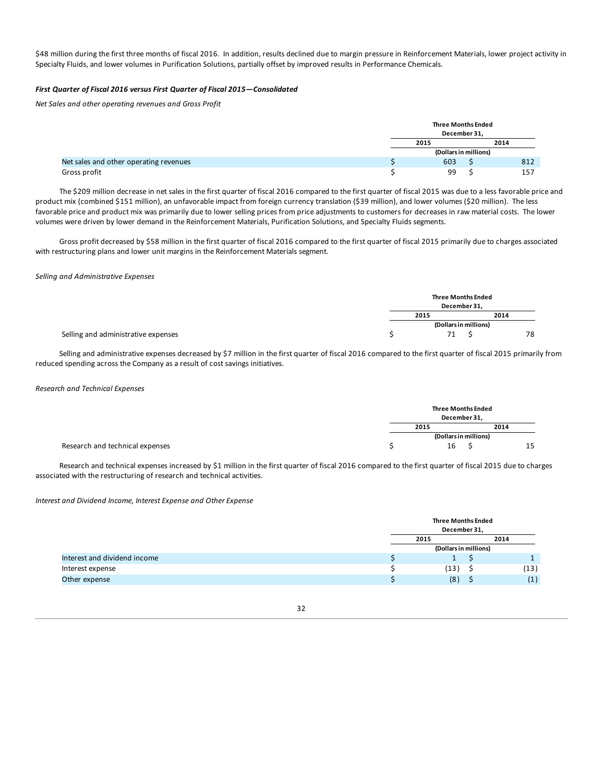\$48 million during the first three months of fiscal 2016. In addition, results declined due to margin pressure in Reinforcement Materials, lower project activity in Specialty Fluids, and lower volumes in Purification Solutions, partially offset by improved results in Performance Chemicals.

#### *First Quarter of Fiscal 2016 versus First Quarter of Fiscal 2015—Consolidated*

*Net Sales and other operating revenues and Gross Profit*

|                                        | <b>Three Months Ended</b> | December 31, |      |
|----------------------------------------|---------------------------|--------------|------|
|                                        | 2015                      |              | 2014 |
|                                        | (Dollars in millions)     |              |      |
| Net sales and other operating revenues | 603                       |              | 812  |
| Gross profit                           | 99                        |              | 157  |

The \$209 million decrease in net sales in the first quarter of fiscal 2016 compared to the first quarter of fiscal 2015 was due to a less favorable price and product mix (combined \$151 million), an unfavorable impact from foreign currency translation (\$39 million), and lower volumes (\$20 million). The less favorable price and product mix was primarily due to lower selling prices from price adjustments to customers for decreases in raw material costs. The lower volumes were driven by lower demand in the Reinforcement Materials, Purification Solutions, and Specialty Fluids segments.

Gross profit decreased by \$58 million in the first quarter of fiscal 2016 compared to the first quarter of fiscal 2015 primarily due to charges associated with restructuring plans and lower unit margins in the Reinforcement Materials segment.

*Selling and Administrative Expenses*

|  | <b>Three Months Ended</b><br>December 31. |                       |      |
|--|-------------------------------------------|-----------------------|------|
|  | 2015                                      |                       | 2014 |
|  |                                           | (Dollars in millions) |      |
|  | 71                                        |                       | 78   |

Selling and administrative expenses decreased by \$7 million in the first quarter of fiscal 2016 compared to the first quarter of fiscal 2015 primarily from reduced spending across the Company as a result of cost savings initiatives.

*Research and Technical Expenses*

|  | <b>Three Months Ended</b> |      |  |
|--|---------------------------|------|--|
|  | December 31.              |      |  |
|  | 2015                      | 2014 |  |
|  | (Dollars in millions)     |      |  |
|  | 16                        | --   |  |

Research and technical expenses increased by \$1 million in the first quarter of fiscal 2016 compared to the first quarter of fiscal 2015 due to charges associated with the restructuring of research and technical activities.

#### *Interest and Dividend Income, Interest Expense and Other Expense*

|                              | <b>Three Months Ended</b><br>December 31, |  |      |  |
|------------------------------|-------------------------------------------|--|------|--|
|                              | 2014<br>2015                              |  |      |  |
|                              | (Dollars in millions)                     |  |      |  |
| Interest and dividend income |                                           |  |      |  |
| Interest expense             | (13)                                      |  | (13) |  |
| Other expense                | (8)                                       |  | (1)  |  |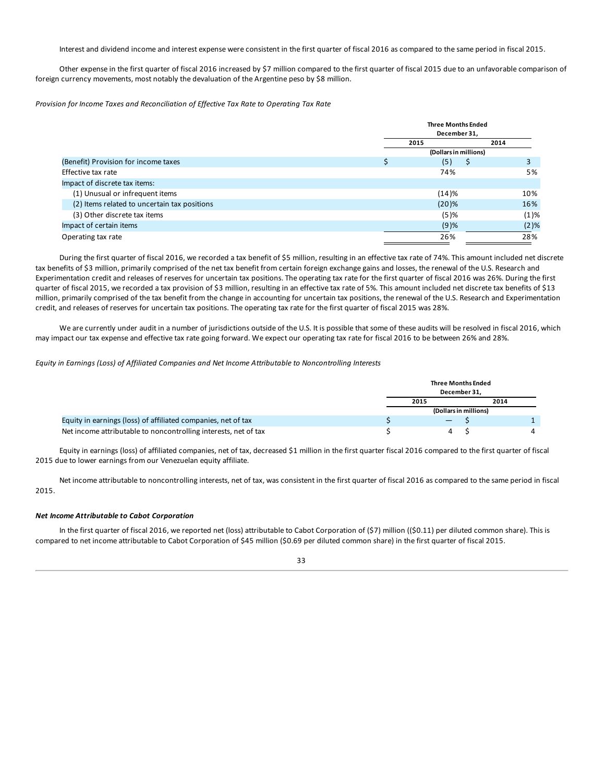Interest and dividend income and interest expense were consistent in the first quarter of fiscal 2016 as compared to the same period in fiscal 2015.

Other expense in the first quarter of fiscal 2016 increased by \$7 million compared to the first quarter of fiscal 2015 due to an unfavorable comparison of foreign currency movements, most notably the devaluation of the Argentine peso by \$8 million.

*Provision for Income Taxes and Reconciliation of Effective Tax Rate to Operating Tax Rate*

|                                              | <b>Three Months Ended</b><br>December 31, |  |      |  |
|----------------------------------------------|-------------------------------------------|--|------|--|
|                                              | 2015<br>2014                              |  |      |  |
|                                              | (Dollars in millions)                     |  |      |  |
| (Benefit) Provision for income taxes         | (5)                                       |  | 3    |  |
| Effective tax rate                           | 74%                                       |  | 5%   |  |
| Impact of discrete tax items:                |                                           |  |      |  |
| (1) Unusual or infrequent items              | (14)%                                     |  | 10%  |  |
| (2) Items related to uncertain tax positions | (20)%                                     |  | 16%  |  |
| (3) Other discrete tax items                 | $(5)$ %                                   |  | (1)% |  |
| Impact of certain items                      | $(9)$ %                                   |  | (2)% |  |
| Operating tax rate                           | 26%                                       |  | 28%  |  |

During the first quarter of fiscal 2016, we recorded a tax benefit of \$5 million, resulting in an effective tax rate of 74%. This amount included net discrete tax benefits of \$3 million, primarily comprised of the net tax benefit from certain foreign exchange gains and losses, the renewal of the U.S. Research and Experimentation credit and releases of reserves for uncertain tax positions. The operating tax rate for the first quarter of fiscal 2016 was 26%. During the first quarter of fiscal 2015, we recorded a tax provision of \$3 million, resulting in an effective tax rate of 5%. This amount included net discrete tax benefits of \$13 million, primarily comprised of the tax benefit from the change in accounting for uncertain tax positions, the renewal of the U.S. Research and Experimentation credit, and releases of reserves for uncertain tax positions. The operating tax rate for the first quarter of fiscal 2015 was 28%.

We are currently under audit in a number of jurisdictions outside of the U.S. It is possible that some of these audits will be resolved in fiscal 2016, which may impact our tax expense and effective tax rate going forward. We expect our operating tax rate for fiscal 2016 to be between 26% and 28%.

#### *Equity in Earnings (Loss) of Affiliated Companies and Net Income Attributable to Noncontrolling Interests*

|                                                                 | <b>Three Months Ended</b>    |                       |  |  |
|-----------------------------------------------------------------|------------------------------|-----------------------|--|--|
|                                                                 | December 31.<br>2015<br>2014 |                       |  |  |
|                                                                 |                              | (Dollars in millions) |  |  |
| Equity in earnings (loss) of affiliated companies, net of tax   |                              |                       |  |  |
| Net income attributable to noncontrolling interests, net of tax |                              |                       |  |  |

Equity in earnings (loss) of affiliated companies, net of tax, decreased \$1 million in the first quarter fiscal 2016 compared to the first quarter of fiscal 2015 due to lower earnings from our Venezuelan equity affiliate.

Net income attributable to noncontrolling interests, net of tax, was consistent in the first quarter of fiscal 2016 as compared to the same period in fiscal 2015.

#### *Net Income Attributable to Cabot Corporation*

In the first quarter of fiscal 2016, we reported net (loss) attributable to Cabot Corporation of (\$7) million ((\$0.11) per diluted common share). This is compared to net income attributable to Cabot Corporation of \$45 million (\$0.69 per diluted common share) in the first quarter of fiscal 2015.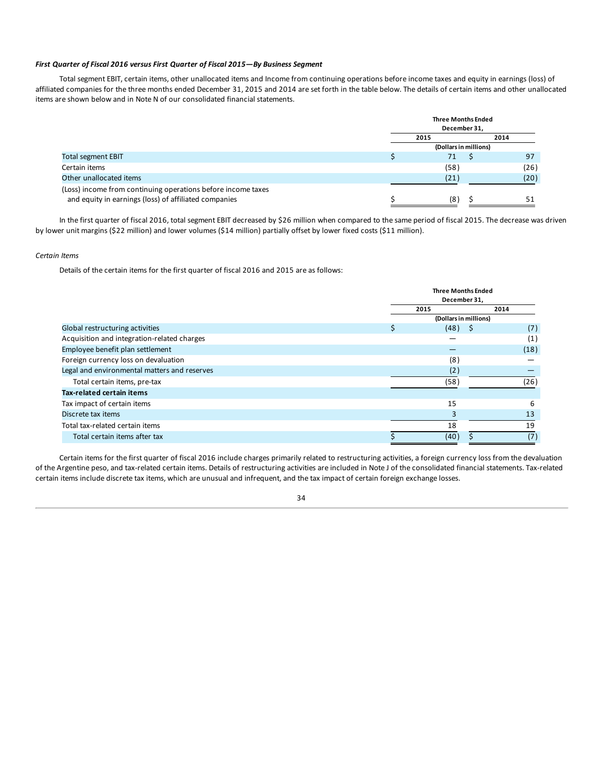### *First Quarter of Fiscal 2016 versus First Quarter of Fiscal 2015—By Business Segment*

Total segment EBIT, certain items, other unallocated items and Income from continuing operations before income taxes and equity in earnings (loss) of affiliated companies for the three months ended December 31, 2015 and 2014 are set forth in the table below. The details of certain items and other unallocated items are shown below and in Note N of our consolidated financial statements.

|                                                              | <b>Three Months Ended</b><br>December 31. |                       |      |  |
|--------------------------------------------------------------|-------------------------------------------|-----------------------|------|--|
|                                                              |                                           |                       |      |  |
|                                                              | 2015                                      |                       | 2014 |  |
|                                                              |                                           | (Dollars in millions) |      |  |
| <b>Total segment EBIT</b>                                    |                                           | 71                    | 97   |  |
| Certain items                                                |                                           | (58)                  | (26) |  |
| Other unallocated items                                      |                                           | (21)                  | (20) |  |
| (Loss) income from continuing operations before income taxes |                                           |                       |      |  |
| and equity in earnings (loss) of affiliated companies        |                                           | (8)                   | 51   |  |
|                                                              |                                           |                       |      |  |

In the first quarter of fiscal 2016, total segment EBIT decreased by \$26 million when compared to the same period of fiscal 2015. The decrease was driven by lower unit margins (\$22 million) and lower volumes (\$14 million) partially offset by lower fixed costs (\$11 million).

#### *Certain Items*

Details of the certain items for the first quarter of fiscal 2016 and 2015 are as follows:

|                                              | <b>Three Months Ended</b><br>December 31, |                       |  |  |
|----------------------------------------------|-------------------------------------------|-----------------------|--|--|
|                                              | 2015                                      | 2014                  |  |  |
|                                              |                                           | (Dollars in millions) |  |  |
| Global restructuring activities              |                                           | $(48)$ \$<br>(7)      |  |  |
| Acquisition and integration-related charges  |                                           | (1)                   |  |  |
| Employee benefit plan settlement             |                                           | (18)                  |  |  |
| Foreign currency loss on devaluation         |                                           | (8)                   |  |  |
| Legal and environmental matters and reserves |                                           | (2)                   |  |  |
| Total certain items, pre-tax                 |                                           | (58)<br>(26)          |  |  |
| Tax-related certain items                    |                                           |                       |  |  |
| Tax impact of certain items                  |                                           | 15<br>6               |  |  |
| Discrete tax items                           |                                           | 13                    |  |  |
| Total tax-related certain items              |                                           | 18<br>19              |  |  |
| Total certain items after tax                |                                           | (7)<br>(40)           |  |  |

Certain items for the first quarter of fiscal 2016 include charges primarily related to restructuring activities, a foreign currency loss from the devaluation of the Argentine peso, and tax-related certain items. Details of restructuring activities are included in Note J of the consolidated financial statements. Tax-related certain items include discrete tax items, which are unusual and infrequent, and the tax impact of certain foreign exchange losses.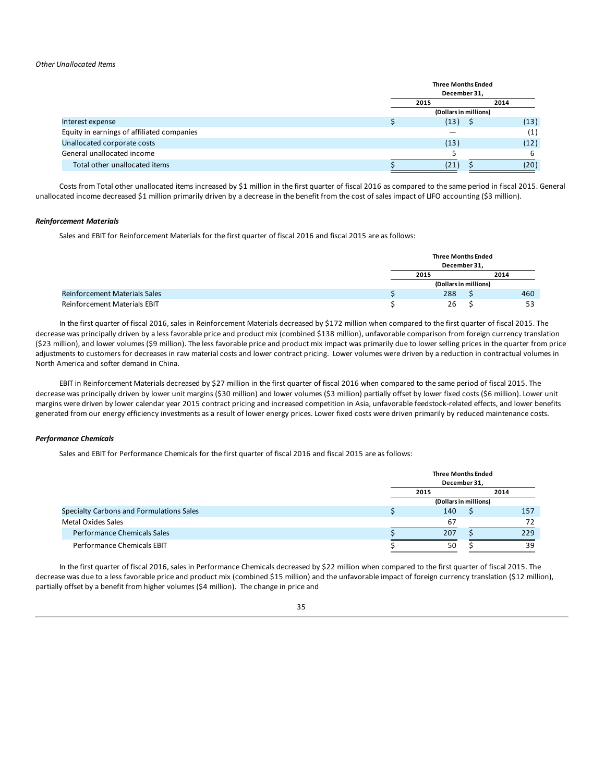#### *Other Unallocated Items*

|                                            |  | <b>Three Months Ended</b><br>December 31, |  |      |  |
|--------------------------------------------|--|-------------------------------------------|--|------|--|
|                                            |  |                                           |  |      |  |
|                                            |  | 2015<br>2014                              |  |      |  |
|                                            |  | (Dollars in millions)                     |  |      |  |
| Interest expense                           |  | (13)                                      |  | (13) |  |
| Equity in earnings of affiliated companies |  |                                           |  | (1)  |  |
| Unallocated corporate costs                |  | (13)                                      |  | (12) |  |
| General unallocated income                 |  |                                           |  | -6   |  |
| Total other unallocated items              |  |                                           |  | (20) |  |

Costs from Total other unallocated items increased by \$1 million in the first quarter of fiscal 2016 as compared to the same period in fiscal 2015. General unallocated income decreased \$1 million primarily driven by a decrease in the benefit from the cost of sales impact of LIFO accounting (\$3 million).

#### *Reinforcement Materials*

Sales and EBIT for Reinforcement Materials for the first quarter of fiscal 2016 and fiscal 2015 are as follows:

|                                      | <b>Three Months Ended</b> | December 31. |     |
|--------------------------------------|---------------------------|--------------|-----|
|                                      | 2015                      | 2014         |     |
|                                      | (Dollars in millions)     |              |     |
| <b>Reinforcement Materials Sales</b> | 288                       |              | 460 |
| <b>Reinforcement Materials EBIT</b>  | 26                        |              | 53  |

In the first quarter of fiscal 2016, sales in Reinforcement Materials decreased by \$172 million when compared to the first quarter of fiscal 2015. The decrease was principally driven by a less favorable price and product mix (combined \$138 million), unfavorable comparison from foreign currency translation (\$23 million), and lower volumes (\$9 million). The less favorable price and product mix impact was primarily due to lower selling prices in the quarter from price adjustments to customers for decreases in raw material costs and lower contract pricing. Lower volumes were driven by a reduction in contractual volumes in North America and softer demand in China.

EBIT in Reinforcement Materials decreased by \$27 million in the first quarter of fiscal 2016 when compared to the same period of fiscal 2015. The decrease was principally driven by lower unit margins (\$30 million) and lower volumes (\$3 million) partially offset by lower fixed costs (\$6 million). Lower unit margins were driven by lower calendar year 2015 contract pricing and increased competition in Asia, unfavorable feedstock-related effects, and lower benefits generated from our energy efficiency investments as a result of lower energy prices. Lower fixed costs were driven primarily by reduced maintenance costs.

#### *Performance Chemicals*

Sales and EBIT for Performance Chemicals for the first quarter of fiscal 2016 and fiscal 2015 are as follows:

|                                          | <b>Three Months Ended</b><br>December 31, |                       |     |
|------------------------------------------|-------------------------------------------|-----------------------|-----|
|                                          | 2015<br>2014                              |                       |     |
|                                          |                                           | (Dollars in millions) |     |
| Specialty Carbons and Formulations Sales | 140                                       |                       | 157 |
| <b>Metal Oxides Sales</b>                | 67                                        |                       | 72  |
| Performance Chemicals Sales              | 207                                       |                       | 229 |
| Performance Chemicals EBIT               | 50                                        |                       | 39  |

In the first quarter of fiscal 2016, sales in Performance Chemicals decreased by \$22 million when compared to the first quarter of fiscal 2015. The decrease was due to a less favorable price and product mix (combined \$15 million) and the unfavorable impact of foreign currency translation (\$12 million), partially offset by a benefit from higher volumes (\$4 million). The change in price and

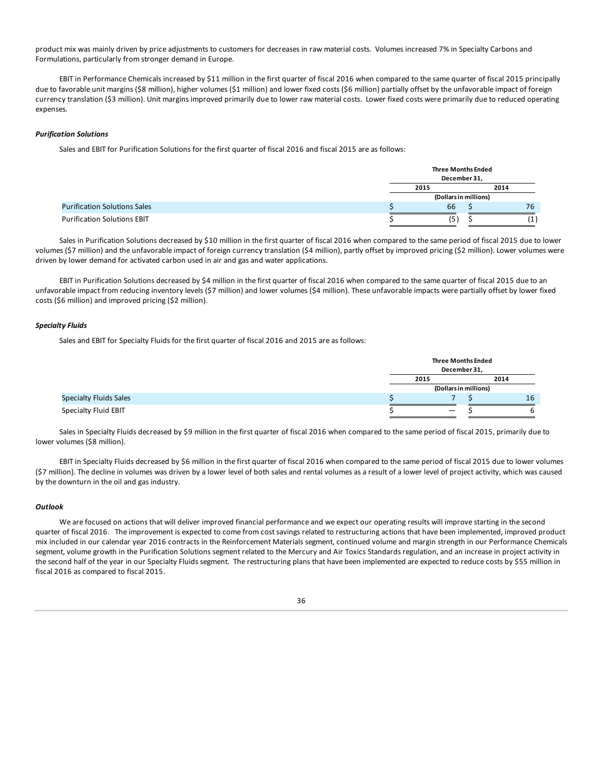product mix was mainly driven by price adjustments to customers for decreases in raw material costs. Volumes increased 7% in Specialty Carbons and Formulations, particularly from stronger demand in Europe.

EBIT in Performance Chemicals increased by \$11 million in the first quarter of fiscal 2016 when compared to the same quarter of fiscal 2015 principally due to favorable unit margins (\$8 million), higher volumes (\$1 million) and lower fixed costs (\$6 million) partially offset by the unfavorable impact of foreign currency translation (\$3 million). Unit margins improved primarily due to lower raw material costs. Lower fixed costs were primarily due to reduced operating expenses.

#### *Purification Solutions*

Sales and EBIT for Purification Solutions for the first quarter of fiscal 2016 and fiscal 2015 are as follows:

|                                     | <b>Three Months Ended</b><br>December 31, |    |  |  |
|-------------------------------------|-------------------------------------------|----|--|--|
|                                     | 2014<br>2015                              |    |  |  |
|                                     | (Dollars in millions)                     |    |  |  |
| <b>Purification Solutions Sales</b> | 66                                        | 76 |  |  |
| <b>Purification Solutions EBIT</b>  | (5                                        | 11 |  |  |

Sales in Purification Solutions decreased by \$10 million in the first quarter of fiscal 2016 when compared to the same period of fiscal 2015 due to lower volumes (\$7 million) and the unfavorable impact of foreign currency translation (\$4 million), partly offset by improved pricing (\$2 million). Lower volumes were driven by lower demand for activated carbon used in air and gas and water applications.

EBIT in Purification Solutions decreased by \$4 million in the first quarter of fiscal 2016 when compared to the same quarter of fiscal 2015 due to an unfavorable impact from reducing inventory levels (\$7 million) and lower volumes (\$4 million). These unfavorable impacts were partially offset by lower fixed costs (\$6 million) and improved pricing (\$2 million).

#### *Specialty Fluids*

Sales and EBIT for Specialty Fluids for the first quarter of fiscal 2016 and 2015 are as follows:

|                               |      | <b>Three Months Ended</b><br>December 31, |      |  |
|-------------------------------|------|-------------------------------------------|------|--|
|                               | 2015 |                                           | 2014 |  |
|                               |      | (Dollars in millions)                     |      |  |
| <b>Specialty Fluids Sales</b> |      |                                           | 16   |  |
| <b>Specialty Fluid EBIT</b>   | -    |                                           | 6    |  |

Sales in Specialty Fluids decreased by \$9 million in the first quarter of fiscal 2016 when compared to the same period of fiscal 2015, primarily due to lower volumes (\$8 million).

EBIT in Specialty Fluids decreased by \$6 million in the first quarter of fiscal 2016 when compared to the same period of fiscal 2015 due to lower volumes (\$7 million). The decline in volumes was driven by a lower level of both sales and rental volumes as a result of a lower level of project activity, which was caused by the downturn in the oil and gas industry.

#### *Outlook*

We are focused on actions that will deliver improved financial performance and we expect our operating results will improve starting in the second quarter of fiscal 2016. The improvement is expected to come from cost savings related to restructuring actions that have been implemented, improved product mix included in our calendar year 2016 contracts in the Reinforcement Materials segment, continued volume and margin strength in our Performance Chemicals segment, volume growth in the Purification Solutions segment related to the Mercury and Air Toxics Standards regulation, and an increase in project activity in the second half of the year in our Specialty Fluids segment. The restructuring plans that have been implemented are expected to reduce costs by \$55 million in fiscal 2016 as compared to fiscal 2015.

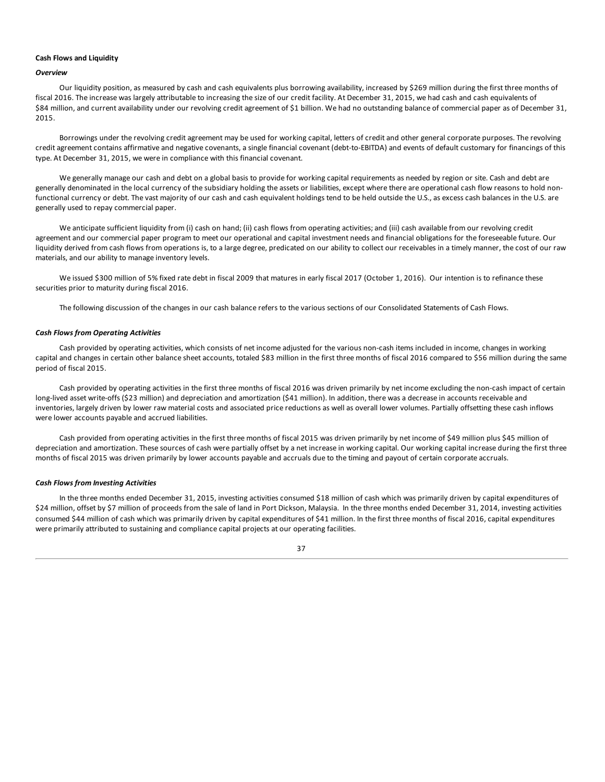#### **Cash Flows and Liquidity**

#### *Overview*

Our liquidity position, as measured by cash and cash equivalents plus borrowing availability, increased by \$269 million during the first three months of fiscal 2016. The increase was largely attributable to increasing the size of our credit facility. At December 31, 2015, we had cash and cash equivalents of \$84 million, and current availability under our revolving credit agreement of \$1 billion. We had no outstanding balance of commercial paper as of December 31, 2015.

Borrowings under the revolving credit agreement may be used for working capital, letters of credit and other general corporate purposes. The revolving credit agreement contains affirmative and negative covenants, a single financial covenant (debt-to-EBITDA) and events of default customary for financings of this type. At December 31, 2015, we were in compliance with this financial covenant.

We generally manage our cash and debt on a global basis to provide for working capital requirements as needed by region or site. Cash and debt are generally denominated in the local currency of the subsidiary holding the assets or liabilities, except where there are operational cash flow reasons to hold nonfunctional currency or debt. The vast majority of our cash and cash equivalent holdings tend to be held outside the U.S., as excess cash balances in the U.S. are generally used to repay commercial paper.

We anticipate sufficient liquidity from (i) cash on hand; (ii) cash flows from operating activities; and (iii) cash available from our revolving credit agreement and our commercial paper program to meet our operational and capital investment needs and financial obligations for the foreseeable future. Our liquidity derived from cash flows from operations is, to a large degree, predicated on our ability to collect our receivables in a timely manner, the cost of our raw materials, and our ability to manage inventory levels.

We issued \$300 million of 5% fixed rate debt in fiscal 2009 that matures in early fiscal 2017 (October 1, 2016). Our intention is to refinance these securities prior to maturity during fiscal 2016.

The following discussion of the changes in our cash balance refers to the various sections of our Consolidated Statements of Cash Flows.

#### *Cash Flows from Operating Activities*

Cash provided by operating activities, which consists of net income adjusted for the various non-cash items included in income, changes in working capital and changes in certain other balance sheet accounts, totaled \$83 million in the first three months of fiscal 2016 compared to \$56 million during the same period of fiscal 2015.

Cash provided by operating activities in the first three months of fiscal 2016 was driven primarily by net income excluding the non-cash impact of certain long-lived asset write-offs (\$23 million) and depreciation and amortization (\$41 million). In addition, there was a decrease in accounts receivable and inventories, largely driven by lower raw material costs and associated price reductions as well as overall lower volumes. Partially offsetting these cash inflows were lower accounts payable and accrued liabilities.

Cash provided from operating activities in the first three months of fiscal 2015 was driven primarily by net income of \$49 million plus \$45 million of depreciation and amortization. These sources of cash were partially offset by a net increase in working capital. Our working capital increase during the first three months of fiscal 2015 was driven primarily by lower accounts payable and accruals due to the timing and payout of certain corporate accruals.

#### *Cash Flows from Investing Activities*

In the three months ended December 31, 2015, investing activities consumed \$18 million of cash which was primarily driven by capital expenditures of \$24 million, offset by \$7 million of proceeds from the sale of land in Port Dickson, Malaysia. In the three months ended December 31, 2014, investing activities consumed \$44 million of cash which was primarily driven by capital expenditures of \$41 million. In the first three months of fiscal 2016, capital expenditures were primarily attributed to sustaining and compliance capital projects at our operating facilities.

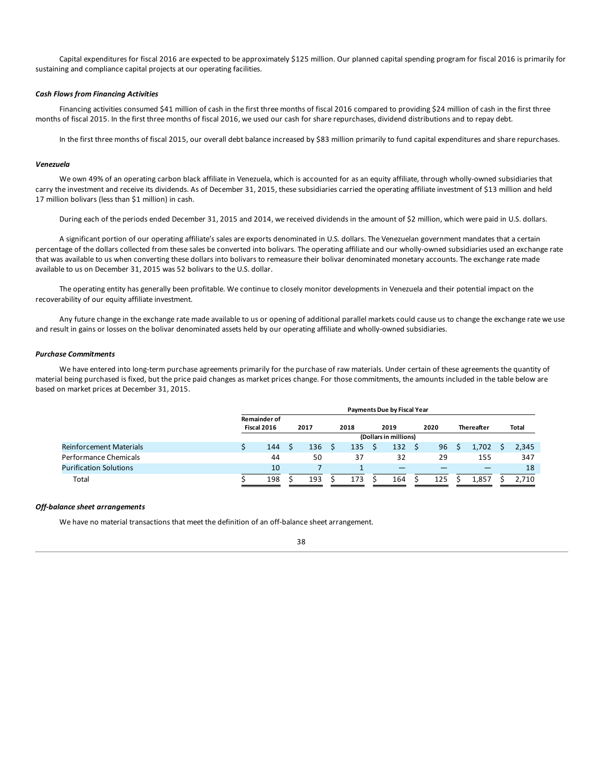Capital expenditures for fiscal 2016 are expected to be approximately \$125 million. Our planned capital spending program for fiscal 2016 is primarily for sustaining and compliance capital projects at our operating facilities.

#### *Cash Flows from Financing Activities*

Financing activities consumed \$41 million of cash in the first three months of fiscal 2016 compared to providing \$24 million of cash in the first three months of fiscal 2015. In the first three months of fiscal 2016, we used our cash for share repurchases, dividend distributions and to repay debt.

In the first three months of fiscal 2015, our overall debt balance increased by \$83 million primarily to fund capital expenditures and share repurchases.

#### *Venezuela*

We own 49% of an operating carbon black affiliate in Venezuela, which is accounted for as an equity affiliate, through wholly-owned subsidiaries that carry the investment and receive its dividends. As of December 31, 2015, these subsidiaries carried the operating affiliate investment of \$13 million and held 17 million bolivars (less than \$1 million) in cash.

During each of the periods ended December 31, 2015 and 2014, we received dividends in the amount of \$2 million, which were paid in U.S. dollars.

A significant portion of our operating affiliate's sales are exports denominated in U.S. dollars. The Venezuelan government mandates that a certain percentage of the dollars collected from these sales be converted into bolivars. The operating affiliate and our wholly-owned subsidiaries used an exchange rate that was available to us when converting these dollars into bolivars to remeasure their bolivar denominated monetary accounts. The exchange rate made available to us on December 31, 2015 was 52 bolivars to the U.S. dollar.

The operating entity has generally been profitable. We continue to closely monitor developments in Venezuela and their potential impact on the recoverability of our equity affiliate investment.

Any future change in the exchange rate made available to us or opening of additional parallel markets could cause us to change the exchange rate we use and result in gains or losses on the bolivar denominated assets held by our operating affiliate and wholly-owned subsidiaries.

#### *Purchase Commitments*

We have entered into long-term purchase agreements primarily for the purchase of raw materials. Under certain of these agreements the quantity of material being purchased is fixed, but the price paid changes as market prices change. For those commitments, the amounts included in the table below are based on market prices at December 31, 2015.

|                                |                     |      |      | <b>Payments Due by Fiscal Year</b> |      |                   |       |
|--------------------------------|---------------------|------|------|------------------------------------|------|-------------------|-------|
|                                | <b>Remainder of</b> |      |      |                                    |      |                   |       |
|                                | Fiscal 2016         | 2017 | 2018 | 2019                               | 2020 | <b>Thereafter</b> | Total |
|                                |                     |      |      | (Dollars in millions)              |      |                   |       |
| <b>Reinforcement Materials</b> | 144                 | 136  | 135  | 132                                | 96   | 1,702             | 2,345 |
| Performance Chemicals          | 44                  | 50   | 37   | 32                                 | 29   | 155               | 347   |
| <b>Purification Solutions</b>  | 10                  |      |      | _                                  |      |                   | 18    |
| Total                          | 198                 | 193  | 173  | 164                                | 125  | 1.857             | 2.710 |

#### *Off-balance sheet arrangements*

We have no material transactions that meet the definition of an off-balance sheet arrangement.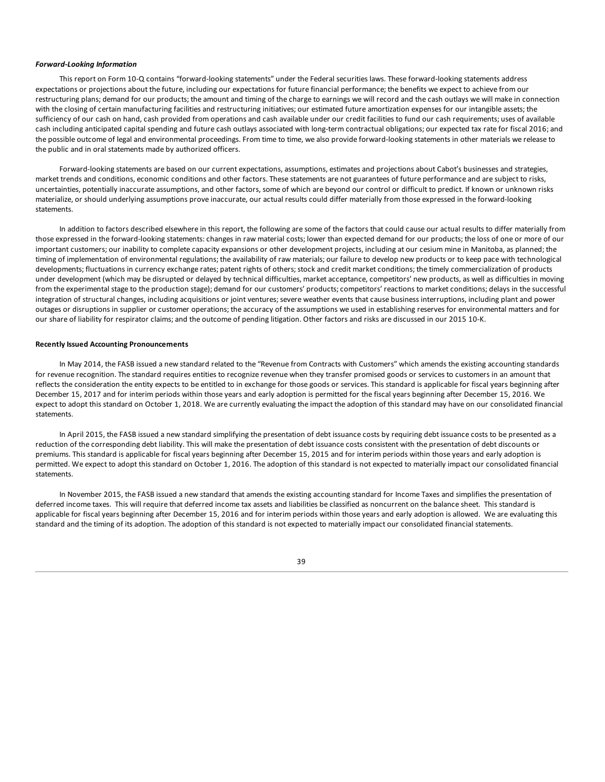#### *Forward-Looking Information*

This report on Form 10-Q contains "forward-looking statements" under the Federal securities laws. These forward-looking statements address expectations or projections about the future, including our expectations for future financial performance; the benefits we expect to achieve from our restructuring plans; demand for our products; the amount and timing of the charge to earnings we will record and the cash outlays we will make in connection with the closing of certain manufacturing facilities and restructuring initiatives; our estimated future amortization expenses for our intangible assets; the sufficiency of our cash on hand, cash provided from operations and cash available under our credit facilities to fund our cash requirements; uses of available cash including anticipated capital spending and future cash outlays associated with long-term contractual obligations; our expected tax rate for fiscal 2016; and the possible outcome of legal and environmental proceedings. From time to time, we also provide forward-looking statements in other materials we release to the public and in oral statements made by authorized officers.

Forward-looking statements are based on our current expectations, assumptions, estimates and projections about Cabot's businesses and strategies, market trends and conditions, economic conditions and other factors. These statements are not guarantees of future performance and are subject to risks, uncertainties, potentially inaccurate assumptions, and other factors, some of which are beyond our control or difficult to predict. If known or unknown risks materialize, or should underlying assumptions prove inaccurate, our actual results could differ materially from those expressed in the forward-looking statements.

In addition to factors described elsewhere in this report, the following are some of the factors that could cause our actual results to differ materially from those expressed in the forward-looking statements: changes in raw material costs; lower than expected demand for our products; the loss of one or more of our important customers; our inability to complete capacity expansions or other development projects, including at our cesium mine in Manitoba, as planned; the timing of implementation of environmental regulations; the availability of raw materials; our failure to develop new products or to keep pace with technological developments; fluctuations in currency exchange rates; patent rights of others; stock and credit market conditions; the timely commercialization of products under development (which may be disrupted or delayed by technical difficulties, market acceptance, competitors' new products, as well as difficulties in moving from the experimental stage to the production stage); demand for our customers' products; competitors' reactions to market conditions; delays in the successful integration of structural changes, including acquisitions or joint ventures; severe weather events that cause business interruptions, including plant and power outages or disruptions in supplier or customer operations; the accuracy of the assumptions we used in establishing reserves for environmental matters and for our share of liability for respirator claims; and the outcome of pending litigation. Other factors and risks are discussed in our 2015 10-K.

#### **Recently Issued Accounting Pronouncements**

In May 2014, the FASB issued a new standard related to the "Revenue from Contracts with Customers" which amends the existing accounting standards for revenue recognition. The standard requires entities to recognize revenue when they transfer promised goods or services to customers in an amount that reflects the consideration the entity expects to be entitled to in exchange for those goods or services. This standard is applicable for fiscal years beginning after December 15, 2017 and for interim periods within those years and early adoption is permitted for the fiscal years beginning after December 15, 2016. We expect to adopt this standard on October 1, 2018. We are currently evaluating the impact the adoption of this standard may have on our consolidated financial statements.

In April 2015, the FASB issued a new standard simplifying the presentation of debt issuance costs by requiring debt issuance costs to be presented as a reduction of the corresponding debt liability. This will make the presentation of debt issuance costs consistent with the presentation of debt discounts or premiums. This standard is applicable for fiscal years beginning after December 15, 2015 and for interim periods within those years and early adoption is permitted. We expect to adopt this standard on October 1, 2016. The adoption of this standard is not expected to materially impact our consolidated financial statements.

In November 2015, the FASB issued a new standard that amends the existing accounting standard for Income Taxes and simplifies the presentation of deferred income taxes. This will require that deferred income tax assets and liabilities be classified as noncurrent on the balance sheet. This standard is applicable for fiscal years beginning after December 15, 2016 and for interim periods within those years and early adoption is allowed. We are evaluating this standard and the timing of its adoption. The adoption of this standard is not expected to materially impact our consolidated financial statements.

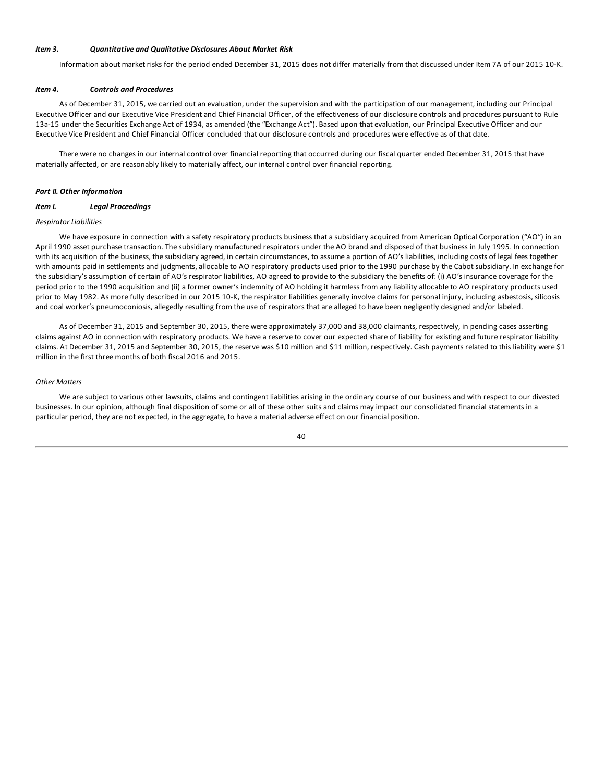#### <span id="page-39-0"></span>*Item 3. Quantitative and Qualitative Disclosures About Market Risk*

Information about market risks for the period ended December 31, 2015 does not differ materially from that discussed under Item 7A of our 2015 10-K.

### *Item 4. Controls and Procedures*

As of December 31, 2015, we carried out an evaluation, under the supervision and with the participation of our management, including our Principal Executive Officer and our Executive Vice President and Chief Financial Officer, of the effectiveness of our disclosure controls and procedures pursuant to Rule 13a-15 under the Securities Exchange Act of 1934, as amended (the "Exchange Act"). Based upon that evaluation, our Principal Executive Officer and our Executive Vice President and Chief Financial Officer concluded that our disclosure controls and procedures were effective as of that date.

There were no changes in our internal control over financial reporting that occurred during our fiscal quarter ended December 31, 2015 that have materially affected, or are reasonably likely to materially affect, our internal control over financial reporting.

#### *Part II. Other Information*

#### *Item I. Legal Proceedings*

#### *Respirator Liabilities*

We have exposure in connection with a safety respiratory products business that a subsidiary acquired from American Optical Corporation ("AO") in an April 1990 asset purchase transaction. The subsidiary manufactured respirators under the AO brand and disposed of that business in July 1995. In connection with its acquisition of the business, the subsidiary agreed, in certain circumstances, to assume a portion of AO's liabilities, including costs of legal fees together with amounts paid in settlements and judgments, allocable to AO respiratory products used prior to the 1990 purchase by the Cabot subsidiary. In exchange for the subsidiary's assumption of certain of AO's respirator liabilities, AO agreed to provide to the subsidiary the benefits of: (i) AO's insurance coverage for the period prior to the 1990 acquisition and (ii) a former owner's indemnity of AO holding it harmless from any liability allocable to AO respiratory products used prior to May 1982. As more fully described in our 2015 10-K, the respirator liabilities generally involve claims for personal injury, including asbestosis, silicosis and coal worker's pneumoconiosis, allegedly resulting from the use of respirators that are alleged to have been negligently designed and/or labeled.

As of December 31, 2015 and September 30, 2015, there were approximately 37,000 and 38,000 claimants, respectively, in pending cases asserting claims against AO in connection with respiratory products. We have a reserve to cover our expected share of liability for existing and future respirator liability claims. At December 31, 2015 and September 30, 2015, the reserve was \$10 million and \$11 million, respectively. Cash payments related to this liability were \$1 million in the first three months of both fiscal 2016 and 2015.

#### *Other Matters*

We are subject to various other lawsuits, claims and contingent liabilities arising in the ordinary course of our business and with respect to our divested businesses. In our opinion, although final disposition of some or all of these other suits and claims may impact our consolidated financial statements in a particular period, they are not expected, in the aggregate, to have a material adverse effect on our financial position.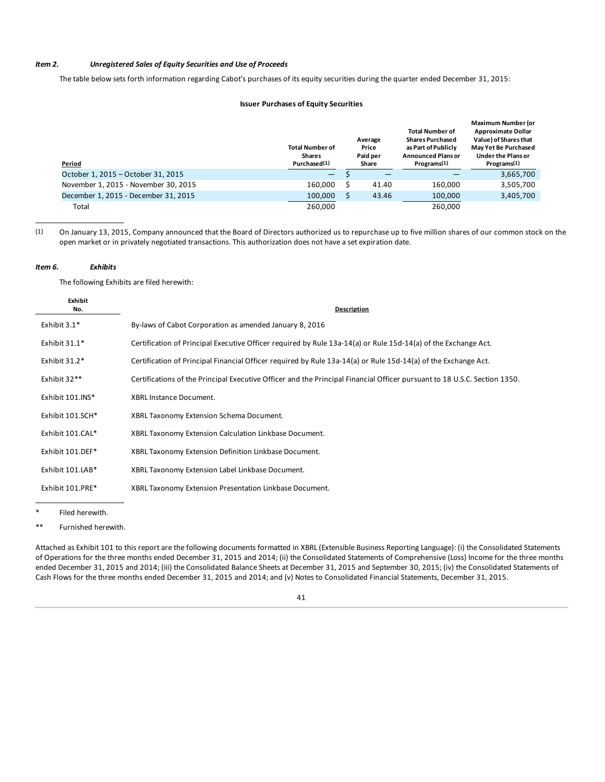### <span id="page-40-0"></span>*Item 2. Unregistered Sales of Equity Securities and Use of Proceeds*

The table below sets forth information regarding Cabot's purchases of its equity securities during the quarter ended December 31, 2015:

#### **Issuer Purchases of Equity Securities**

| Period                               | <b>Total Number of</b><br><b>Shares</b><br>Purchased <sup>(1)</sup> | Average<br>Price<br>Paid per<br>Share | <b>Total Number of</b><br><b>Shares Purchased</b><br>as Part of Publicly<br><b>Announced Plans or</b><br>Programs <sup>(1)</sup> | <b>Maximum Number (or</b><br><b>Approximate Dollar</b><br>Value) of Shares that<br>May Yet Be Purchased<br><b>Under the Plans or</b><br>Programs <sup>(1)</sup> |
|--------------------------------------|---------------------------------------------------------------------|---------------------------------------|----------------------------------------------------------------------------------------------------------------------------------|-----------------------------------------------------------------------------------------------------------------------------------------------------------------|
| October 1, 2015 - October 31, 2015   | —                                                                   |                                       |                                                                                                                                  | 3,665,700                                                                                                                                                       |
| November 1, 2015 - November 30, 2015 | 160.000                                                             | 41.40                                 | 160.000                                                                                                                          | 3,505,700                                                                                                                                                       |
| December 1, 2015 - December 31, 2015 | 100.000                                                             | 43.46                                 | 100,000                                                                                                                          | 3,405,700                                                                                                                                                       |
| Total                                | 260.000                                                             |                                       | 260.000                                                                                                                          |                                                                                                                                                                 |

(1) On January 13, 2015, Company announced that the Board of Directors authorized us to repurchase up to five million shares of our common stock on the open market or in privately negotiated transactions. This authorization does not have a set expiration date.

#### *Item 6. Exhibits*

The following Exhibits are filed herewith:

| <b>Exhibit</b><br>No. | Description                                                                                                               |
|-----------------------|---------------------------------------------------------------------------------------------------------------------------|
| Exhibit 3.1*          | By-laws of Cabot Corporation as amended January 8, 2016                                                                   |
| Exhibit 31.1*         | Certification of Principal Executive Officer required by Rule 13a-14(a) or Rule 15d-14(a) of the Exchange Act.            |
| Exhibit 31.2*         | Certification of Principal Financial Officer required by Rule 13a-14(a) or Rule 15d-14(a) of the Exchange Act.            |
| Exhibit 32**          | Certifications of the Principal Executive Officer and the Principal Financial Officer pursuant to 18 U.S.C. Section 1350. |
| Exhibit 101.INS*      | <b>XBRL Instance Document.</b>                                                                                            |
| Exhibit 101.SCH*      | XBRL Taxonomy Extension Schema Document.                                                                                  |
| Exhibit 101.CAL*      | XBRL Taxonomy Extension Calculation Linkbase Document.                                                                    |
| Exhibit 101.DEF*      | XBRL Taxonomy Extension Definition Linkbase Document.                                                                     |
| Exhibit 101.LAB*      | XBRL Taxonomy Extension Label Linkbase Document.                                                                          |
| Exhibit 101.PRE*      | XBRL Taxonomy Extension Presentation Linkbase Document.                                                                   |
|                       |                                                                                                                           |

Filed herewith.

\*\* Furnished herewith.

Attached as Exhibit 101 to this report are the following documents formatted in XBRL (Extensible Business Reporting Language): (i) the Consolidated Statements of Operations for the three months ended December 31, 2015 and 2014; (ii) the Consolidated Statements of Comprehensive (Loss) Income for the three months ended December 31, 2015 and 2014; (iii) the Consolidated Balance Sheets at December 31, 2015 and September 30, 2015; (iv) the Consolidated Statements of Cash Flows for the three months ended December 31, 2015 and 2014; and (v) Notes to Consolidated Financial Statements, December 31, 2015.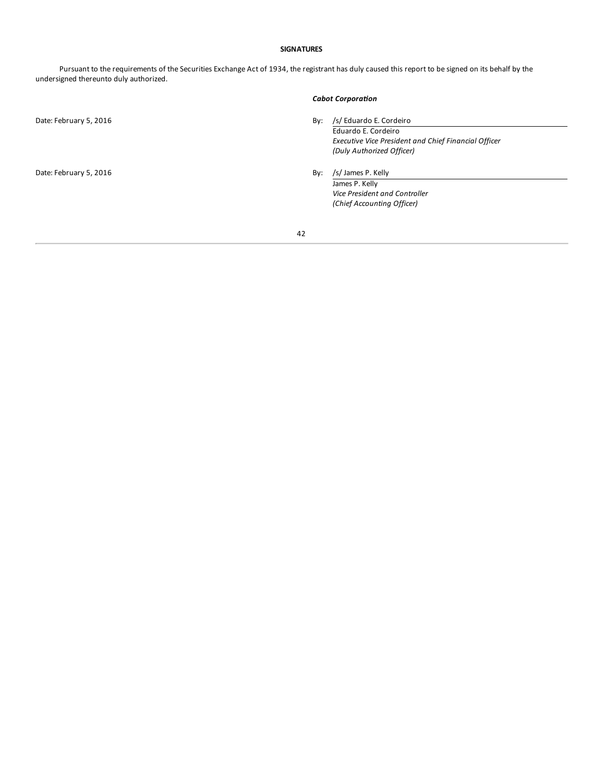### **SIGNATURES**

Pursuant to the requirements of the Securities Exchange Act of 1934, the registrant has duly caused this report to be signed on its behalf by the undersigned thereunto duly authorized.

|                        | <b>Cabot Corporation</b>                                                                                                                          |
|------------------------|---------------------------------------------------------------------------------------------------------------------------------------------------|
| Date: February 5, 2016 | /s/ Eduardo E. Cordeiro<br>By:<br>Eduardo E. Cordeiro<br><b>Executive Vice President and Chief Financial Officer</b><br>(Duly Authorized Officer) |
| Date: February 5, 2016 | By: /s/ James P. Kelly<br>James P. Kelly<br>Vice President and Controller<br>(Chief Accounting Officer)                                           |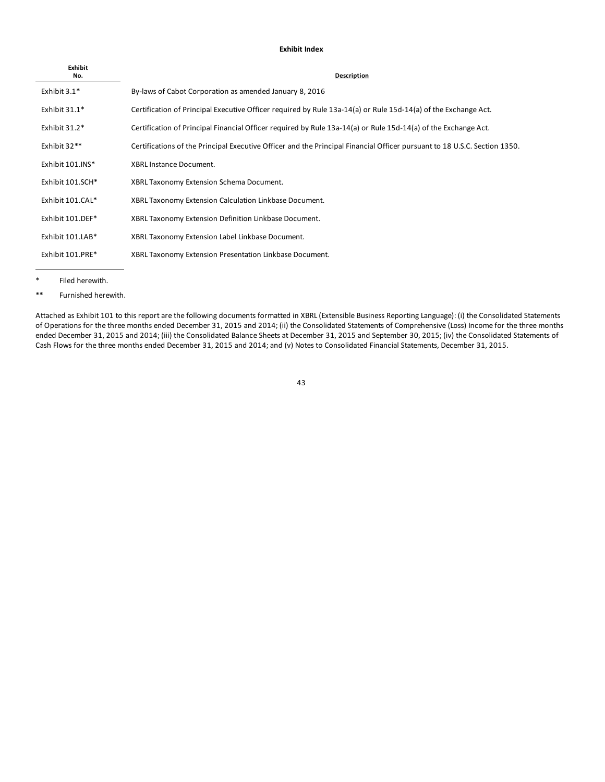### **Exhibit Index**

| Exhibit<br>No.   | Description                                                                                                               |
|------------------|---------------------------------------------------------------------------------------------------------------------------|
| Exhibit 3.1*     | By-laws of Cabot Corporation as amended January 8, 2016                                                                   |
| Exhibit $31.1*$  | Certification of Principal Executive Officer required by Rule 13a-14(a) or Rule 15d-14(a) of the Exchange Act.            |
| Exhibit $31.2*$  | Certification of Principal Financial Officer required by Rule 13a-14(a) or Rule 15d-14(a) of the Exchange Act.            |
| Exhibit 32**     | Certifications of the Principal Executive Officer and the Principal Financial Officer pursuant to 18 U.S.C. Section 1350. |
| Exhibit 101.INS* | <b>XBRL Instance Document.</b>                                                                                            |
| Exhibit 101.SCH* | XBRL Taxonomy Extension Schema Document.                                                                                  |
| Exhibit 101.CAL* | XBRL Taxonomy Extension Calculation Linkbase Document.                                                                    |
| Exhibit 101.DEF* | XBRL Taxonomy Extension Definition Linkbase Document.                                                                     |
| Exhibit 101.LAB* | XBRL Taxonomy Extension Label Linkbase Document.                                                                          |
| Exhibit 101.PRE* | XBRL Taxonomy Extension Presentation Linkbase Document.                                                                   |

\* Filed herewith.

Attached as Exhibit 101 to this report are the following documents formatted in XBRL (Extensible Business Reporting Language): (i) the Consolidated Statements of Operations for the three months ended December 31, 2015 and 2014; (ii) the Consolidated Statements of Comprehensive (Loss) Income for the three months ended December 31, 2015 and 2014; (iii) the Consolidated Balance Sheets at December 31, 2015 and September 30, 2015; (iv) the Consolidated Statements of Cash Flows for the three months ended December 31, 2015 and 2014; and (v) Notes to Consolidated Financial Statements, December 31, 2015.

<sup>\*\*</sup> Furnished herewith.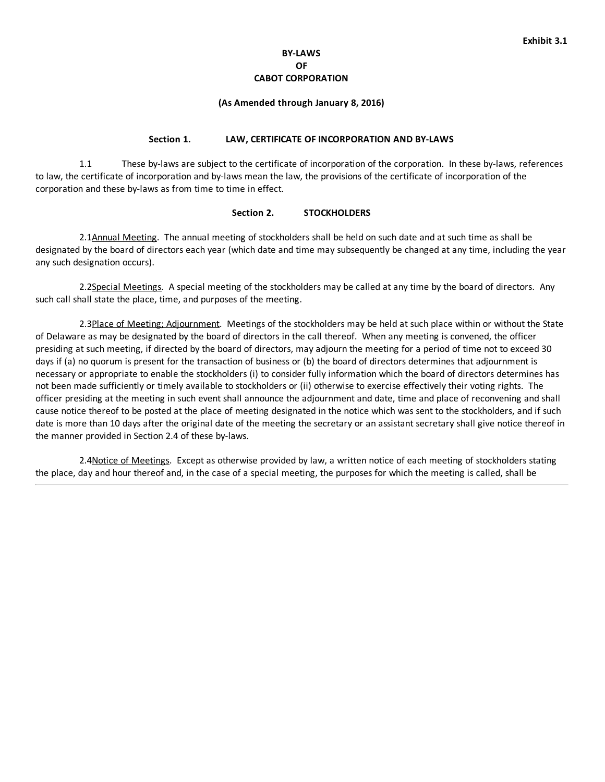### **BY-LAWS OF CABOT CORPORATION**

### **(As Amended through January 8, 2016)**

### **Section 1. LAW, CERTIFICATE OF INCORPORATION AND BY-LAWS**

1.1 These by-laws are subject to the certificate of incorporation of the corporation. In these by-laws, references to law, the certificate of incorporation and by-laws mean the law, the provisions of the certificate of incorporation of the corporation and these by-laws as from time to time in effect.

### **Section 2. STOCKHOLDERS**

2.1Annual Meeting. The annual meeting of stockholders shall be held on such date and at such time as shall be designated by the board of directors each year (which date and time may subsequently be changed at any time, including the year any such designation occurs).

2.2Special Meetings. A special meeting of the stockholders may be called at any time by the board of directors. Any such call shall state the place, time, and purposes of the meeting.

2.3Place of Meeting; Adjournment. Meetings of the stockholders may be held at such place within or without the State of Delaware as may be designated by the board of directors in the call thereof. When any meeting is convened, the officer presiding at such meeting, if directed by the board of directors, may adjourn the meeting for a period of time not to exceed 30 days if (a) no quorum is present for the transaction of business or (b) the board of directors determines that adjournment is necessary or appropriate to enable the stockholders (i) to consider fully information which the board of directors determines has not been made sufficiently or timely available to stockholders or (ii) otherwise to exercise effectively their voting rights. The officer presiding at the meeting in such event shall announce the adjournment and date, time and place of reconvening and shall cause notice thereof to be posted at the place of meeting designated in the notice which was sent to the stockholders, and if such date is more than 10 days after the original date of the meeting the secretary or an assistant secretary shall give notice thereof in the manner provided in Section 2.4 of these by-laws.

2.4Notice of Meetings. Except as otherwise provided by law, a written notice of each meeting of stockholders stating the place, day and hour thereof and, in the case of a special meeting, the purposes for which the meeting is called, shall be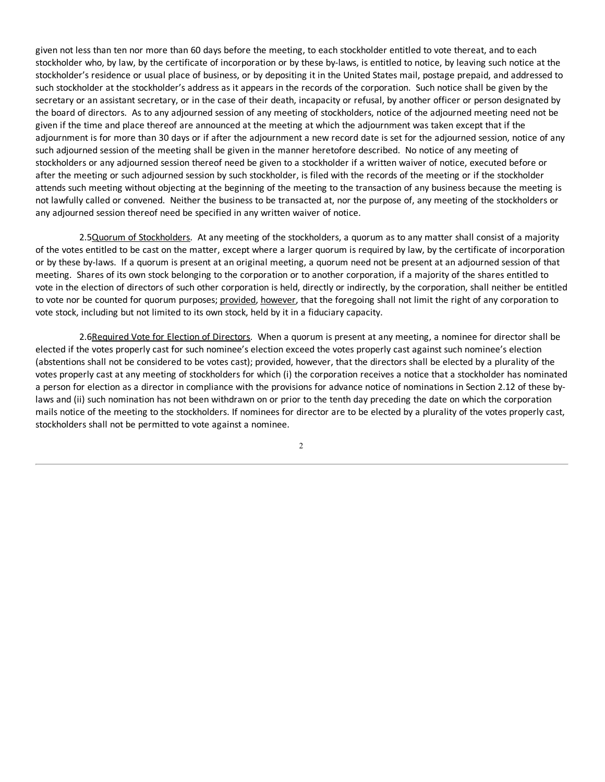given not less than ten nor more than 60 days before the meeting, to each stockholder entitled to vote thereat, and to each stockholder who, by law, by the certificate of incorporation or by these by-laws, is entitled to notice, by leaving such notice at the stockholder's residence or usual place of business, or by depositing it in the United States mail, postage prepaid, and addressed to such st[ockholder](#page-2-0) at the stockholder's address as it appears in the records of the corporation. Such notice shall be given by the secretary or an assistant secretary, or in the case of their death, incapacity or refusal, by another officer or person designated by the board of directors. As to any [adjourned](#page-2-0) session of any meeting of stockholders, notice of the adjourned meeting need not be given if the time and place thereof are announced at the meeting at which the [adjournment](#page-2-0) was taken except that if the adjournment is for more than 30 days or if after the [adjournment](#page-3-0) a new record date is set for the adjourned session, notice of any such adjourned session of the meeting shall be given in the manner [heretofore](#page-4-0) described. No notice of any meeting of stockholders or any adjourned session thereof need be given to a [stockholder](#page-6-0) if a written waiver of notice, executed before or after the meeting or such [adjourned](#page-7-0) session by such stockholder, is filed with the records of the meeting or if the stockholder attends such meeting without objecting at the beginning of the meeting to the [transactio](#page-26-0)n of any business because the meeting is not lawfully called or [convened.](#page-39-0) Neither the business to be transacted at, nor the purpose of, any meeting of the stockholders or any adjourned session [thereof](#page-39-0) need be specified in any written waiver of notice.

2.5 Quorum of [Stockho](#page-39-0)lders. At any meeting of the stockholders, a quorum as to any matter shall consist of a majority of the votes entitled to be cast on the [matter,](#page-40-0) except where a larger quorum is required by law, by the certificate of incorporation or by these by-la[ws.](#page-40-0) If a quorum is present at an original meeting, a quorum need not be present at an adjourned session of that meeting. Shares of its own stock belonging to the corporation or to another corporation, if a majority of the shares entitled to vote in the election of directors of such other corporation is held, directly or indirectly, by the corporation, shall neither be entitled to vote nor be counted for quorum purposes; provided, however, that the foregoing shall not limit the right of any corporation to vote stock, including but not limited to its own stock, held by it in a fiduciary capacity.

2.6Required Vote for Election of Directors. When a quorum is present at any meeting, a nominee for director shall be elected if the votes properly cast for such nominee's election exceed the votes properly cast against such nominee's election (abstentions shall not be considered to be votes cast); provided, however, that the directors shall be elected by a plurality of the votes properly cast at any meeting of stockholders for which (i) the corporation receives a notice that a stockholder has nominated a person for election as a director in compliance with the provisions for advance notice of nominations in Section 2.12 of these bylaws and (ii) such nomination has not been withdrawn on or prior to the tenth day preceding the date on which the corporation mails notice of the meeting to the stockholders. If nominees for director are to be elected by a plurality of the votes properly cast, stockholders shall not be permitted to vote against a nominee.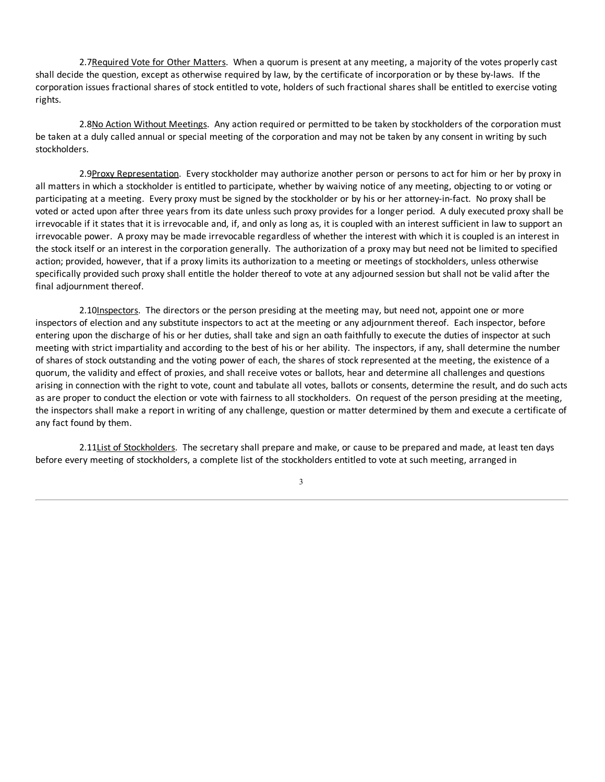2.7Required Vote for Other Matters. When a quorum is present at any meeting, a majority of the votes properly cast shall decide the question, except as otherwise required by law, by the certificate of incorporation or by these by-laws. If the corporation issues fractional shares of stock entitled to vote, holders of such fractional shares shall be entitled to exercise voting rights.

2.8No Action Without Meetings. Any action required or permitted to be taken by stockholders of the corporation must be taken at a duly called annual or special meeting of the corporation and may not be taken by any consent in writing by such stockholders.

2.9Proxy Representation. Every stockholder may authorize another person or persons to act for him or her by proxy in all matters in which a stockholder is entitled to participate, whether by waiving notice of any meeting, objecting to or voting or participating at a meeting. Every proxy must be signed by the stockholder or by his or her attorney-in-fact. No proxy shall be voted or acted upon after three years from its date unless such proxy provides for a longer period. A duly executed proxy shall be irrevocable if it states that it is irrevocable and, if, and only as long as, it is coupled with an interest sufficient in law to support an irrevocable power. A proxy may be made irrevocable regardless of whether the interest with which it is coupled is an interest in the stock itself or an interest in the corporation generally. The authorization of a proxy may but need not be limited to specified action; provided, however, that if a proxy limits its authorization to a meeting or meetings of stockholders, unless otherwise specifically provided such proxy shall entitle the holder thereof to vote at any adjourned session but shall not be valid after the final adjournment thereof.

2.10Inspectors. The directors or the person presiding at the meeting may, but need not, appoint one or more inspectors of election and any substitute inspectors to act at the meeting or any adjournment thereof. Each inspector, before entering upon the discharge of his or her duties, shall take and sign an oath faithfully to execute the duties of inspector at such meeting with strict impartiality and according to the best of his or her ability. The inspectors, if any, shall determine the number of shares of stock outstanding and the voting power of each, the shares of stock represented at the meeting, the existence of a quorum, the validity and effect of proxies, and shall receive votes or ballots, hear and determine all challenges and questions arising in connection with the right to vote, count and tabulate all votes, ballots or consents, determine the result, and do such acts as are proper to conduct the election or vote with fairness to all stockholders. On request of the person presiding at the meeting, the inspectors shall make a report in writing of any challenge, question or matter determined by them and execute a certificate of any fact found by them.

2.11List of Stockholders. The secretary shall prepare and make, or cause to be prepared and made, at least ten days before every meeting of stockholders, a complete list of the stockholders entitled to vote at such meeting, arranged in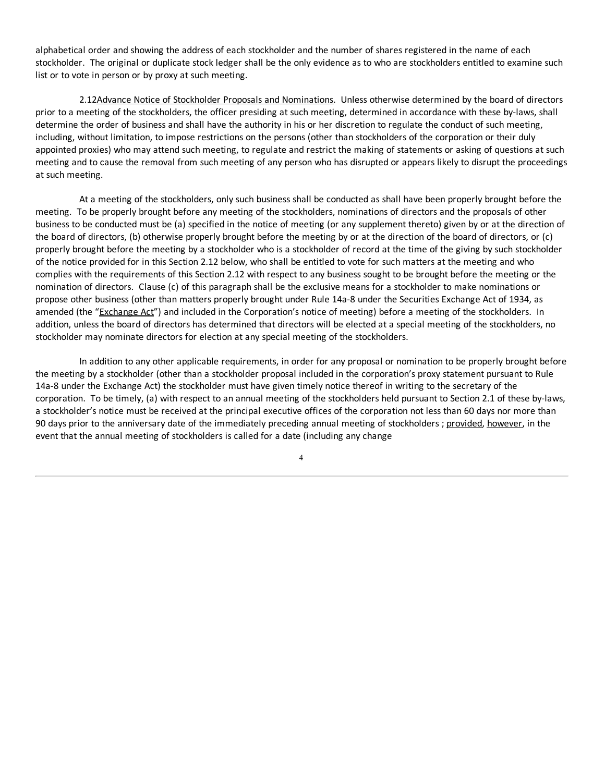alphabetical order and showing the address of each stockholder and the number of shares registered in the name of each stockholder. The original or duplicate stock ledger shall be the only evidence as to who are stockholders entitled to examine such list or to vote in person or by proxy at such meeting.

2.12Advance Notice of Stockholder Proposals and Nominations. Unless otherwise determined by the board of directors prior to a meeting of the stockholders, the officer presiding at such meeting, determined in accordance with these by-laws, shall determine the order of business and shall have the authority in his or her discretion to regulate the conduct of such meeting, including, without limitation, to impose restrictions on the persons (other than stockholders of the corporation or their duly appointed proxies) who may attend such meeting, to regulate and restrict the making of statements or asking of questions at such meeting and to cause the removal from such meeting of any person who has disrupted or appears likely to disrupt the proceedings at such meeting.

At a meeting of the stockholders, only such business shall be conducted as shall have been properly brought before the meeting. To be properly brought before any meeting of the stockholders, nominations of directors and the proposals of other business to be conducted must be (a) specified in the notice of meeting (or any supplement thereto) given by or at the direction of the board of directors, (b) otherwise properly brought before the meeting by or at the direction of the board of directors, or (c) properly brought before the meeting by a stockholder who is a stockholder of record at the time of the giving by such stockholder of the notice provided for in this Section 2.12 below, who shall be entitled to vote for such matters at the meeting and who complies with the requirements of this Section 2.12 with respect to any business sought to be brought before the meeting or the nomination of directors. Clause (c) of this paragraph shall be the exclusive means for a stockholder to make nominations or propose other business (other than matters properly brought under Rule 14a-8 under the Securities Exchange Act of 1934, as amended (the "Exchange Act") and included in the Corporation's notice of meeting) before a meeting of the stockholders. In addition, unless the board of directors has determined that directors will be elected at a special meeting of the stockholders, no stockholder may nominate directors for election at any special meeting of the stockholders.

In addition to any other applicable requirements, in order for any proposal or nomination to be properly brought before the meeting by a stockholder (other than a stockholder proposal included in the corporation's proxy statement pursuant to Rule 14a-8 under the Exchange Act) the stockholder must have given timely notice thereof in writing to the secretary of the corporation. To be timely, (a) with respect to an annual meeting of the stockholders held pursuant to Section 2.1 of these by-laws, a stockholder's notice must be received at the principal executive offices of the corporation not less than 60 days nor more than 90 days prior to the anniversary date of the immediately preceding annual meeting of stockholders ; provided, however, in the event that the annual meeting of stockholders is called for a date (including any change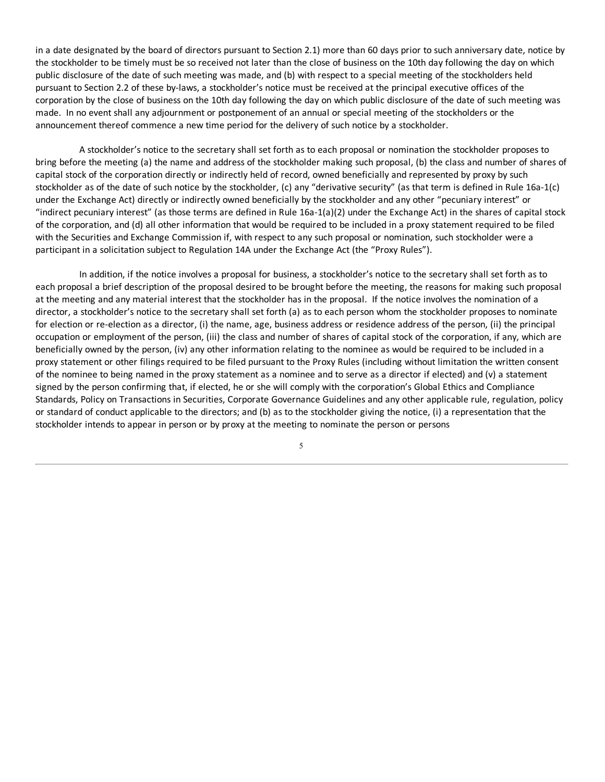in a date designated by the board of directors pursuant to Section 2.1) more than 60 days prior to such anniversary date, notice by the stockholder to be timely must be so received not later than the close of business on the 10th day following the day on which public disclosure of the date of such meeting was made, and (b) with respect to a special meeting of the stockholders held pursuant to Section 2.2 of these by-laws, a stockholder's notice must be received at the principal executive offices of the corporation by the close of business on the 10th day following the day on which public disclosure of the date of such meeting was made. In no event shall any adjournment or postponement of an annual or special meeting of the stockholders or the announcement thereof commence a new time period for the delivery of such notice by a stockholder.

A stockholder's notice to the secretary shall set forth as to each proposal or nomination the stockholder proposes to bring before the meeting (a) the name and address of the stockholder making such proposal, (b) the class and number of shares of capital stock of the corporation directly or indirectly held of record, owned beneficially and represented by proxy by such stockholder as of the date of such notice by the stockholder, (c) any "derivative security" (as that term is defined in Rule 16a-1(c) under the Exchange Act) directly or indirectly owned beneficially by the stockholder and any other "pecuniary interest" or "indirect pecuniary interest" (as those terms are defined in Rule 16a-1(a)(2) under the Exchange Act) in the shares of capital stock of the corporation, and (d) all other information that would be required to be included in a proxy statement required to be filed with the Securities and Exchange Commission if, with respect to any such proposal or nomination, such stockholder were a participant in a solicitation subject to Regulation 14A under the Exchange Act (the "Proxy Rules").

In addition, if the notice involves a proposal for business, a stockholder's notice to the secretary shall set forth as to each proposal a brief description of the proposal desired to be brought before the meeting, the reasons for making such proposal at the meeting and any material interest that the stockholder has in the proposal. If the notice involves the nomination of a director, a stockholder's notice to the secretary shall set forth (a) as to each person whom the stockholder proposes to nominate for election or re-election as a director, (i) the name, age, business address or residence address of the person, (ii) the principal occupation or employment of the person, (iii) the class and number of shares of capital stock of the corporation, if any, which are beneficially owned by the person, (iv) any other information relating to the nominee as would be required to be included in a proxy statement or other filings required to be filed pursuant to the Proxy Rules (including without limitation the written consent of the nominee to being named in the proxy statement as a nominee and to serve as a director if elected) and (v) a statement signed by the person confirming that, if elected, he or she will comply with the corporation's Global Ethics and Compliance Standards, Policy on Transactions in Securities, Corporate Governance Guidelines and any other applicable rule, regulation, policy or standard of conduct applicable to the directors; and (b) as to the stockholder giving the notice, (i) a representation that the stockholder intends to appear in person or by proxy at the meeting to nominate the person or persons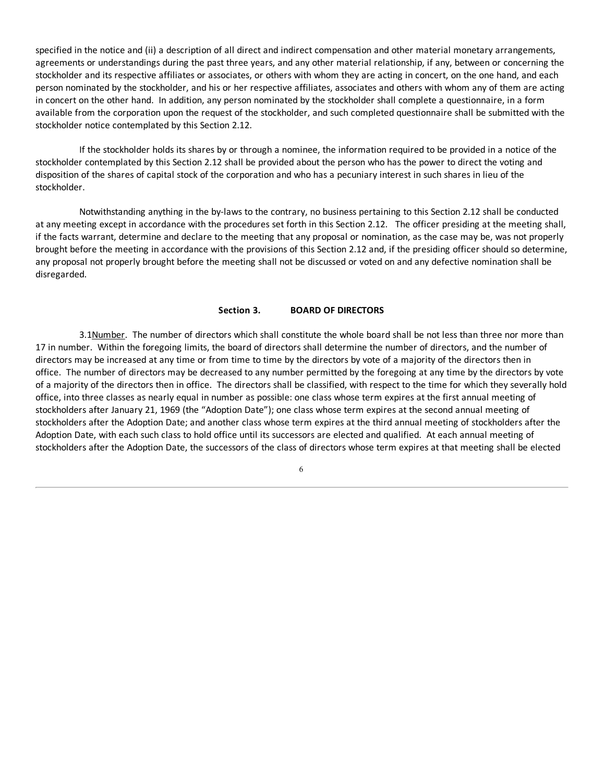specified in the notice and (ii) a description of all direct and indirect compensation and other material monetary arrangements, agreements or understandings during the past three years, and any other material relationship, if any, between or concerning the stockholder and its respective affiliates or associates, or others with whom they are acting in concert, on the one hand, and each person nominated by the stockholder, and his or her respective affiliates, associates and others with whom any of them are acting in concert on the other hand. In addition, any person nominated by the stockholder shall complete a questionnaire, in a form available from the corporation upon the request of the stockholder, and such completed questionnaire shall be submitted with the stockholder notice contemplated by this Section 2.12.

If the stockholder holds its shares by or through a nominee, the information required to be provided in a notice of the stockholder contemplated by this Section 2.12 shall be provided about the person who has the power to direct the voting and disposition of the shares of capital stock of the corporation and who has a pecuniary interest in such shares in lieu of the stockholder.

Notwithstanding anything in the by-laws to the contrary, no business pertaining to this Section 2.12 shall be conducted at any meeting except in accordance with the procedures set forth in this Section 2.12. The officer presiding at the meeting shall, if the facts warrant, determine and declare to the meeting that any proposal or nomination, as the case may be, was not properly brought before the meeting in accordance with the provisions of this Section 2.12 and, if the presiding officer should so determine, any proposal not properly brought before the meeting shall not be discussed or voted on and any defective nomination shall be disregarded.

### **Section 3. BOARD OF DIRECTORS**

3.1Number. The number of directors which shall constitute the whole board shall be not less than three nor more than 17 in number. Within the foregoing limits, the board of directors shall determine the number of directors, and the number of directors may be increased at any time or from time to time by the directors by vote of a majority of the directors then in office. The number of directors may be decreased to any number permitted by the foregoing at any time by the directors by vote of a majority of the directors then in office. The directors shall be classified, with respect to the time for which they severally hold office, into three classes as nearly equal in number as possible: one class whose term expires at the first annual meeting of stockholders after January 21, 1969 (the "Adoption Date"); one class whose term expires at the second annual meeting of stockholders after the Adoption Date; and another class whose term expires at the third annual meeting of stockholders after the Adoption Date, with each such class to hold office until its successors are elected and qualified. At each annual meeting of stockholders after the Adoption Date, the successors of the class of directors whose term expires at that meeting shall be elected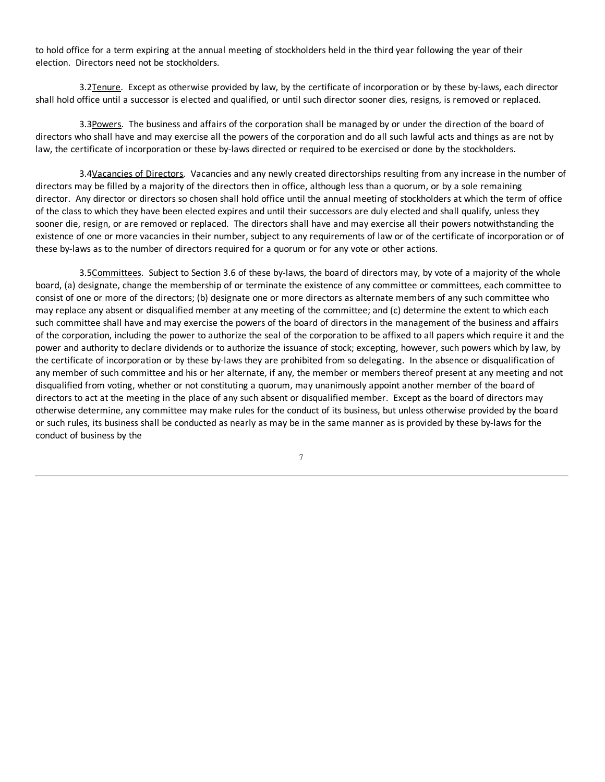to hold office for a term expiring at the annual meeting of stockholders held in the third year following the year of their election. Directors need not be stockholders.

3.2Tenure. Except as otherwise provided by law, by the certificate of incorporation or by these by-laws, each director shall hold office until a successor is elected and qualified, or until such director sooner dies, resigns, is removed or replaced.

3.3Powers. The business and affairs of the corporation shall be managed by or under the direction of the board of directors who shall have and may exercise all the powers of the corporation and do all such lawful acts and things as are not by law, the certificate of incorporation or these by-laws directed or required to be exercised or done by the stockholders.

3.4Vacancies of Directors. Vacancies and any newly created directorships resulting from any increase in the number of directors may be filled by a majority of the directors then in office, although less than a quorum, or by a sole remaining director. Any director or directors so chosen shall hold office until the annual meeting of stockholders at which the term of office of the class to which they have been elected expires and until their successors are duly elected and shall qualify, unless they sooner die, resign, or are removed or replaced. The directors shall have and may exercise all their powers notwithstanding the existence of one or more vacancies in their number, subject to any requirements of law or of the certificate of incorporation or of these by-laws as to the number of directors required for a quorum or for any vote or other actions.

3.5Committees. Subject to Section 3.6 of these by-laws, the board of directors may, by vote of a majority of the whole board, (a) designate, change the membership of or terminate the existence of any committee or committees, each committee to consist of one or more of the directors; (b) designate one or more directors as alternate members of any such committee who may replace any absent or disqualified member at any meeting of the committee; and (c) determine the extent to which each such committee shall have and may exercise the powers of the board of directors in the management of the business and affairs of the corporation, including the power to authorize the seal of the corporation to be affixed to all papers which require it and the power and authority to declare dividends or to authorize the issuance of stock; excepting, however, such powers which by law, by the certificate of incorporation or by these by-laws they are prohibited from so delegating. In the absence or disqualification of any member of such committee and his or her alternate, if any, the member or members thereof present at any meeting and not disqualified from voting, whether or not constituting a quorum, may unanimously appoint another member of the board of directors to act at the meeting in the place of any such absent or disqualified member. Except as the board of directors may otherwise determine, any committee may make rules for the conduct of its business, but unless otherwise provided by the board or such rules, its business shall be conducted as nearly as may be in the same manner as is provided by these by-laws for the conduct of business by the

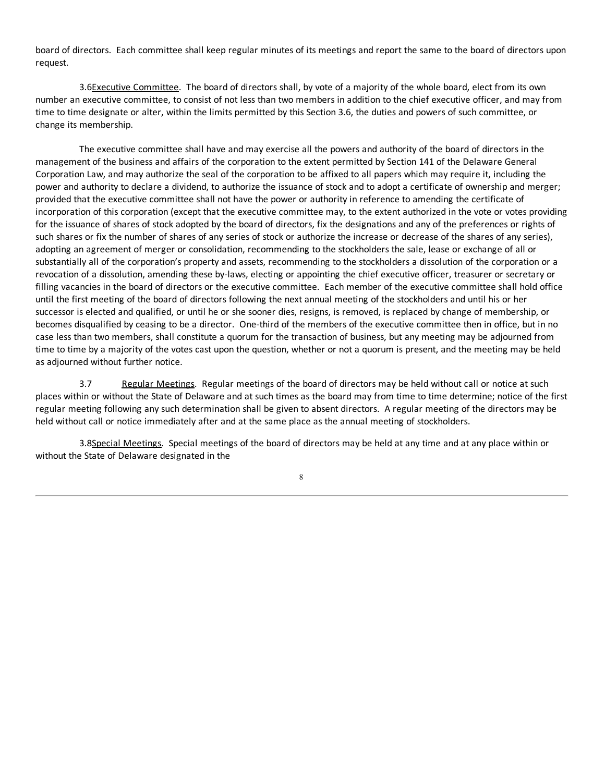board of directors. Each committee shall keep regular minutes of its meetings and report the same to the board of directors upon request.

3.6Executive Committee. The board of directors shall, by vote of a majority of the whole board, elect from its own number an executive committee, to consist of not less than two members in addition to the chief executive officer, and may from time to time designate or alter, within the limits permitted by this Section 3.6, the duties and powers of such committee, or change its membership.

The executive committee shall have and may exercise all the powers and authority of the board of directors in the management of the business and affairs of the corporation to the extent permitted by Section 141 of the Delaware General Corporation Law, and may authorize the seal of the corporation to be affixed to all papers which may require it, including the power and authority to declare a dividend, to authorize the issuance of stock and to adopt a certificate of ownership and merger; provided that the executive committee shall not have the power or authority in reference to amending the certificate of incorporation of this corporation (except that the executive committee may, to the extent authorized in the vote or votes providing for the issuance of shares of stock adopted by the board of directors, fix the designations and any of the preferences or rights of such shares or fix the number of shares of any series of stock or authorize the increase or decrease of the shares of any series), adopting an agreement of merger or consolidation, recommending to the stockholders the sale, lease or exchange of all or substantially all of the corporation's property and assets, recommending to the stockholders a dissolution of the corporation or a revocation of a dissolution, amending these by-laws, electing or appointing the chief executive officer, treasurer or secretary or filling vacancies in the board of directors or the executive committee. Each member of the executive committee shall hold office until the first meeting of the board of directors following the next annual meeting of the stockholders and until his or her successor is elected and qualified, or until he or she sooner dies, resigns, is removed, is replaced by change of membership, or becomes disqualified by ceasing to be a director. One-third of the members of the executive committee then in office, but in no case less than two members, shall constitute a quorum for the transaction of business, but any meeting may be adjourned from time to time by a majority of the votes cast upon the question, whether or not a quorum is present, and the meeting may be held as adjourned without further notice.

3.7 Regular Meetings. Regular meetings of the board of directors may be held without call or notice at such places within or without the State of Delaware and at such times as the board may from time to time determine; notice of the first regular meeting following any such determination shall be given to absent directors. A regular meeting of the directors may be held without call or notice immediately after and at the same place as the annual meeting of stockholders.

3.8Special Meetings. Special meetings of the board of directors may be held at any time and at any place within or without the State of Delaware designated in the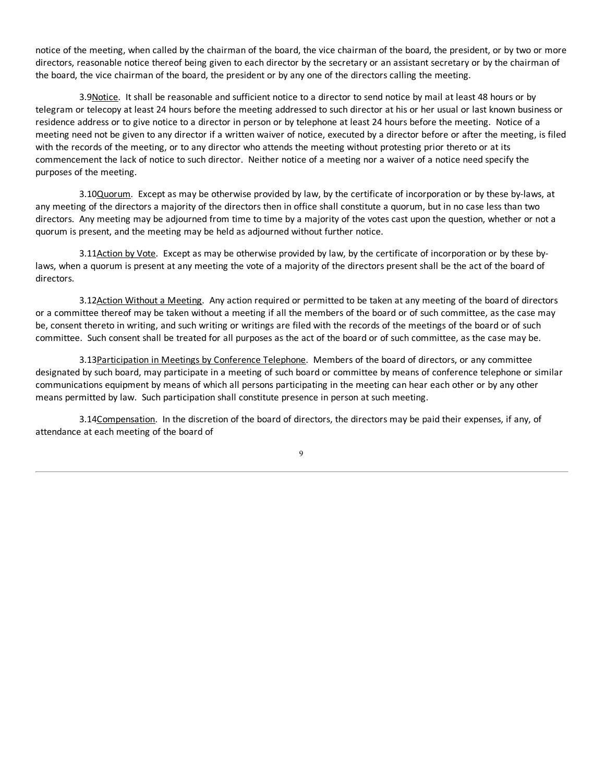notice of the meeting, when called by the chairman of the board, the vice chairman of the board, the president, or by two or more directors, reasonable notice thereof being given to each director by the secretary or an assistant secretary or by the chairman of the board, the vice chairman of the board, the president or by any one of the directors calling the meeting.

3.9Notice. It shall be reasonable and sufficient notice to a director to send notice by mail at least 48 hours or by telegram or telecopy at least 24 hours before the meeting addressed to such director at his or her usual or last known business or residence address or to give notice to a director in person or by telephone at least 24 hours before the meeting. Notice of a meeting need not be given to any director if a written waiver of notice, executed by a director before or after the meeting, is filed with the records of the meeting, or to any director who attends the meeting without protesting prior thereto or at its commencement the lack of notice to such director. Neither notice of a meeting nor a waiver of a notice need specify the purposes of the meeting.

3.10Quorum. Except as may be otherwise provided by law, by the certificate of incorporation or by these by-laws, at any meeting of the directors a majority of the directors then in office shall constitute a quorum, but in no case less than two directors. Any meeting may be adjourned from time to time by a majority of the votes cast upon the question, whether or not a quorum is present, and the meeting may be held as adjourned without further notice.

3.11Action by Vote. Except as may be otherwise provided by law, by the certificate of incorporation or by these bylaws, when a quorum is present at any meeting the vote of a majority of the directors present shall be the act of the board of directors.

3.12Action Without a Meeting. Any action required or permitted to be taken at any meeting of the board of directors or a committee thereof may be taken without a meeting if all the members of the board or of such committee, as the case may be, consent thereto in writing, and such writing or writings are filed with the records of the meetings of the board or of such committee. Such consent shall be treated for all purposes as the act of the board or of such committee, as the case may be.

3.13Participation in Meetings by Conference Telephone. Members of the board of directors, or any committee designated by such board, may participate in a meeting of such board or committee by means of conference telephone or similar communications equipment by means of which all persons participating in the meeting can hear each other or by any other means permitted by law. Such participation shall constitute presence in person at such meeting.

3.14Compensation. In the discretion of the board of directors, the directors may be paid their expenses, if any, of attendance at each meeting of the board of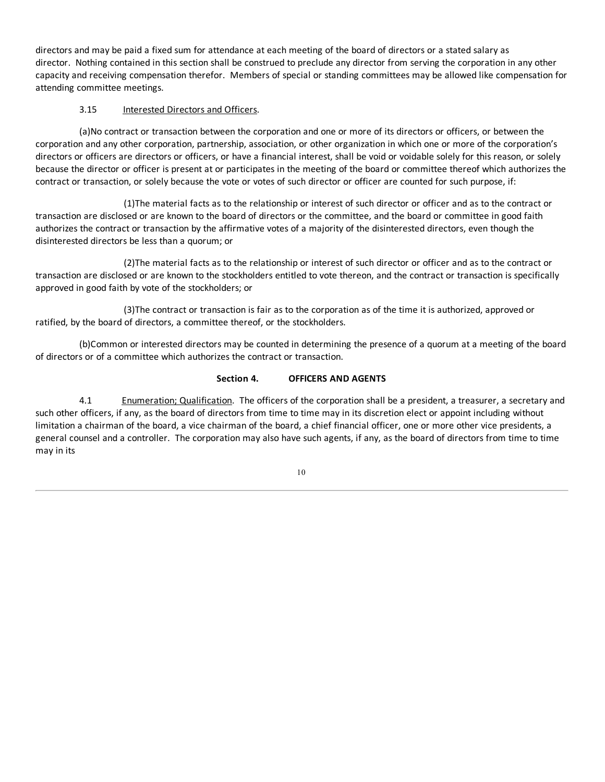directors and may be paid a fixed sum for attendance at each meeting of the board of directors or a stated salary as director. Nothing contained in this section shall be construed to preclude any director from serving the corporation in any other capacity and receiving compensation therefor. Members of special or standing committees may be allowed like compensation for attending committee meetings.

### 3.15 Interested Directors and Officers.

(a)No contract or transaction between the corporation and one or more of its directors or officers, or between the corporation and any other corporation, partnership, association, or other organization in which one or more of the corporation's directors or officers are directors or officers, or have a financial interest, shall be void or voidable solely for this reason, or solely because the director or officer is present at or participates in the meeting of the board or committee thereof which authorizes the contract or transaction, or solely because the vote or votes of such director or officer are counted for such purpose, if:

(1)The material facts as to the relationship or interest of such director or officer and as to the contract or transaction are disclosed or are known to the board of directors or the committee, and the board or committee in good faith authorizes the contract or transaction by the affirmative votes of a majority of the disinterested directors, even though the disinterested directors be less than a quorum; or

(2)The material facts as to the relationship or interest of such director or officer and as to the contract or transaction are disclosed or are known to the stockholders entitled to vote thereon, and the contract or transaction is specifically approved in good faith by vote of the stockholders; or

(3)The contract or transaction is fair as to the corporation as of the time it is authorized, approved or ratified, by the board of directors, a committee thereof, or the stockholders.

(b)Common or interested directors may be counted in determining the presence of a quorum at a meeting of the board of directors or of a committee which authorizes the contract or transaction.

### **Section 4. OFFICERS AND AGENTS**

4.1 Enumeration; Qualification. The officers of the corporation shall be a president, a treasurer, a secretary and such other officers, if any, as the board of directors from time to time may in its discretion elect or appoint including without limitation a chairman of the board, a vice chairman of the board, a chief financial officer, one or more other vice presidents, a general counsel and a controller. The corporation may also have such agents, if any, as the board of directors from time to time may in its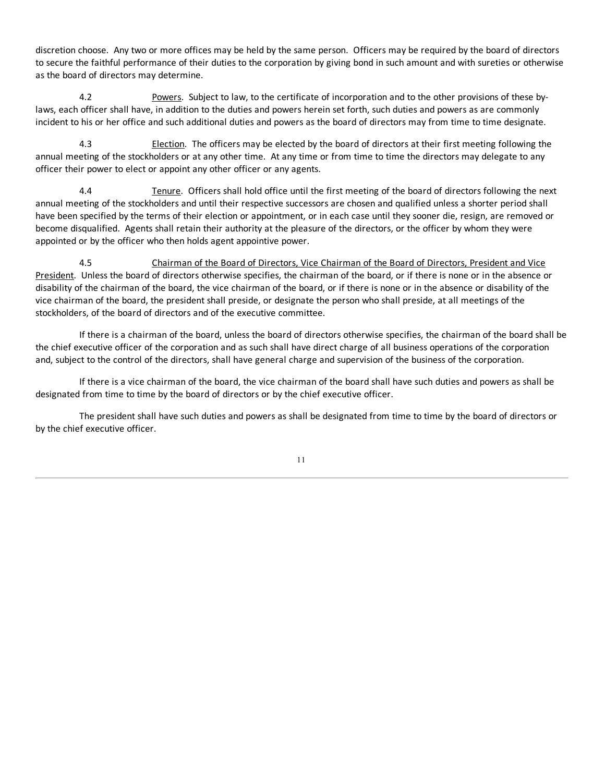discretion choose. Any two or more offices may be held by the same person. Officers may be required by the board of directors to secure the faithful performance of their duties to the corporation by giving bond in such amount and with sureties or otherwise as the board of directors may determine.

4.2 Powers. Subject to law, to the certificate of incorporation and to the other provisions of these bylaws, each officer shall have, in addition to the duties and powers herein set forth, such duties and powers as are commonly incident to his or her office and such additional duties and powers as the board of directors may from time to time designate.

4.3 **Election.** The officers may be elected by the board of directors at their first meeting following the annual meeting of the stockholders or at any other time. At any time or from time to time the directors may delegate to any officer their power to elect or appoint any other officer or any agents.

4.4 Tenure. Officers shall hold office until the first meeting of the board of directors following the next annual meeting of the stockholders and until their respective successors are chosen and qualified unless a shorter period shall have been specified by the terms of their election or appointment, or in each case until they sooner die, resign, are removed or become disqualified. Agents shall retain their authority at the pleasure of the directors, or the officer by whom they were appointed or by the officer who then holds agent appointive power.

4.5 Chairman of the Board of Directors, Vice Chairman of the Board of Directors, President and Vice President. Unless the board of directors otherwise specifies, the chairman of the board, or if there is none or in the absence or disability of the chairman of the board, the vice chairman of the board, or if there is none or in the absence or disability of the vice chairman of the board, the president shall preside, or designate the person who shall preside, at all meetings of the stockholders, of the board of directors and of the executive committee.

If there is a chairman of the board, unless the board of directors otherwise specifies, the chairman of the board shall be the chief executive officer of the corporation and as such shall have direct charge of all business operations of the corporation and, subject to the control of the directors, shall have general charge and supervision of the business of the corporation.

If there is a vice chairman of the board, the vice chairman of the board shall have such duties and powers as shall be designated from time to time by the board of directors or by the chief executive officer.

The president shall have such duties and powers as shall be designated from time to time by the board of directors or by the chief executive officer.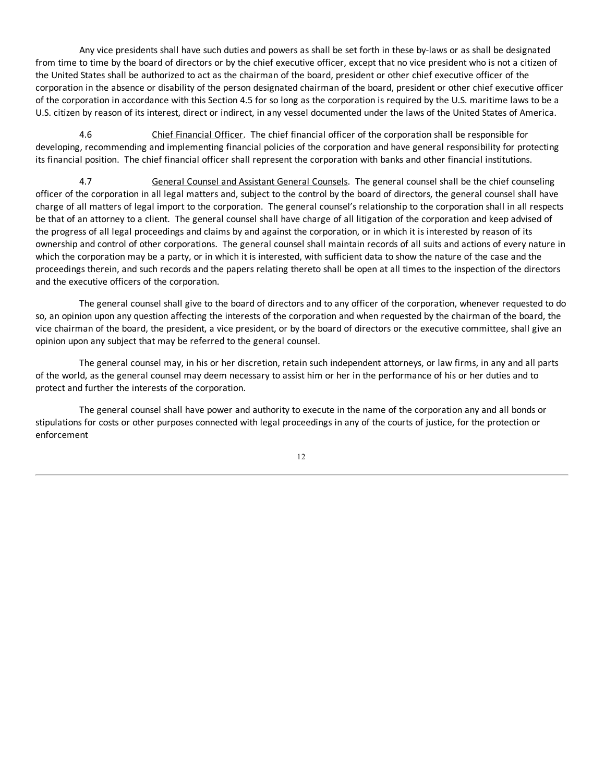Any vice presidents shall have such duties and powers as shall be set forth in these by-laws or as shall be designated from time to time by the board of directors or by the chief executive officer, except that no vice president who is not a citizen of the United States shall be authorized to act as the chairman of the board, president or other chief executive officer of the corporation in the absence or disability of the person designated chairman of the board, president or other chief executive officer of the corporation in accordance with this Section 4.5 for so long as the corporation is required by the U.S. maritime laws to be a U.S. citizen by reason of its interest, direct or indirect, in any vessel documented under the laws of the United States of America.

4.6 Chief Financial Officer. The chief financial officer of the corporation shall be responsible for developing, recommending and implementing financial policies of the corporation and have general responsibility for protecting its financial position. The chief financial officer shall represent the corporation with banks and other financial institutions.

4.7 General Counsel and Assistant General Counsels. The general counsel shall be the chief counseling officer of the corporation in all legal matters and, subject to the control by the board of directors, the general counsel shall have charge of all matters of legal import to the corporation. The general counsel's relationship to the corporation shall in all respects be that of an attorney to a client. The general counsel shall have charge of all litigation of the corporation and keep advised of the progress of all legal proceedings and claims by and against the corporation, or in which it is interested by reason of its ownership and control of other corporations. The general counsel shall maintain records of all suits and actions of every nature in which the corporation may be a party, or in which it is interested, with sufficient data to show the nature of the case and the proceedings therein, and such records and the papers relating thereto shall be open at all times to the inspection of the directors and the executive officers of the corporation.

The general counsel shall give to the board of directors and to any officer of the corporation, whenever requested to do so, an opinion upon any question affecting the interests of the corporation and when requested by the chairman of the board, the vice chairman of the board, the president, a vice president, or by the board of directors or the executive committee, shall give an opinion upon any subject that may be referred to the general counsel.

The general counsel may, in his or her discretion, retain such independent attorneys, or law firms, in any and all parts of the world, as the general counsel may deem necessary to assist him or her in the performance of his or her duties and to protect and further the interests of the corporation.

The general counsel shall have power and authority to execute in the name of the corporation any and all bonds or stipulations for costs or other purposes connected with legal proceedings in any of the courts of justice, for the protection or enforcement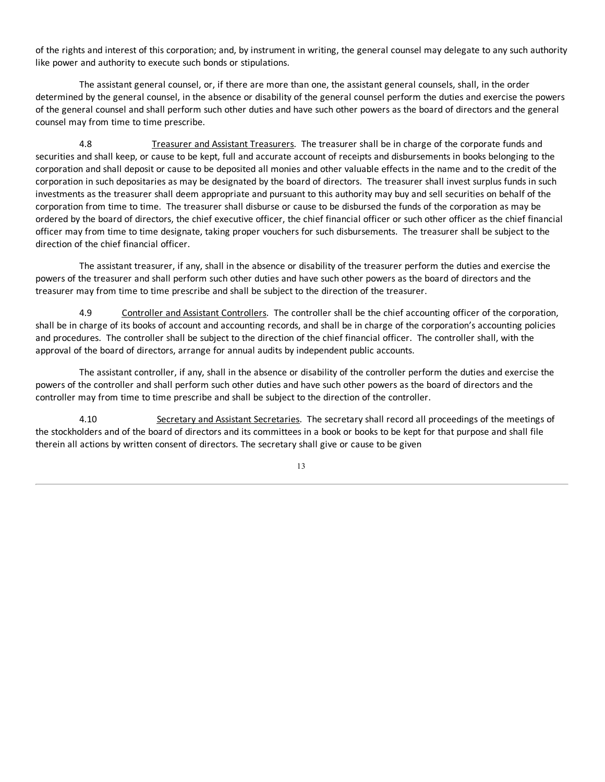of the rights and interest of this corporation; and, by instrument in writing, the general counsel may delegate to any such authority like power and authority to execute such bonds or stipulations.

The assistant general counsel, or, if there are more than one, the assistant general counsels, shall, in the order determined by the general counsel, in the absence or disability of the general counsel perform the duties and exercise the powers of the general counsel and shall perform such other duties and have such other powers as the board of directors and the general counsel may from time to time prescribe.

4.8 Treasurer and Assistant Treasurers. The treasurer shall be in charge of the corporate funds and securities and shall keep, or cause to be kept, full and accurate account of receipts and disbursements in books belonging to the corporation and shall deposit or cause to be deposited all monies and other valuable effects in the name and to the credit of the corporation in such depositaries as may be designated by the board of directors. The treasurer shall invest surplus funds in such investments as the treasurer shall deem appropriate and pursuant to this authority may buy and sell securities on behalf of the corporation from time to time. The treasurer shall disburse or cause to be disbursed the funds of the corporation as may be ordered by the board of directors, the chief executive officer, the chief financial officer or such other officer as the chief financial officer may from time to time designate, taking proper vouchers for such disbursements. The treasurer shall be subject to the direction of the chief financial officer.

The assistant treasurer, if any, shall in the absence or disability of the treasurer perform the duties and exercise the powers of the treasurer and shall perform such other duties and have such other powers as the board of directors and the treasurer may from time to time prescribe and shall be subject to the direction of the treasurer.

4.9 Controller and Assistant Controllers. The controller shall be the chief accounting officer of the corporation, shall be in charge of its books of account and accounting records, and shall be in charge of the corporation's accounting policies and procedures. The controller shall be subject to the direction of the chief financial officer. The controller shall, with the approval of the board of directors, arrange for annual audits by independent public accounts.

The assistant controller, if any, shall in the absence or disability of the controller perform the duties and exercise the powers of the controller and shall perform such other duties and have such other powers as the board of directors and the controller may from time to time prescribe and shall be subject to the direction of the controller.

4.10 Secretary and Assistant Secretaries. The secretary shall record all proceedings of the meetings of the stockholders and of the board of directors and its committees in a book or books to be kept for that purpose and shall file therein all actions by written consent of directors. The secretary shall give or cause to be given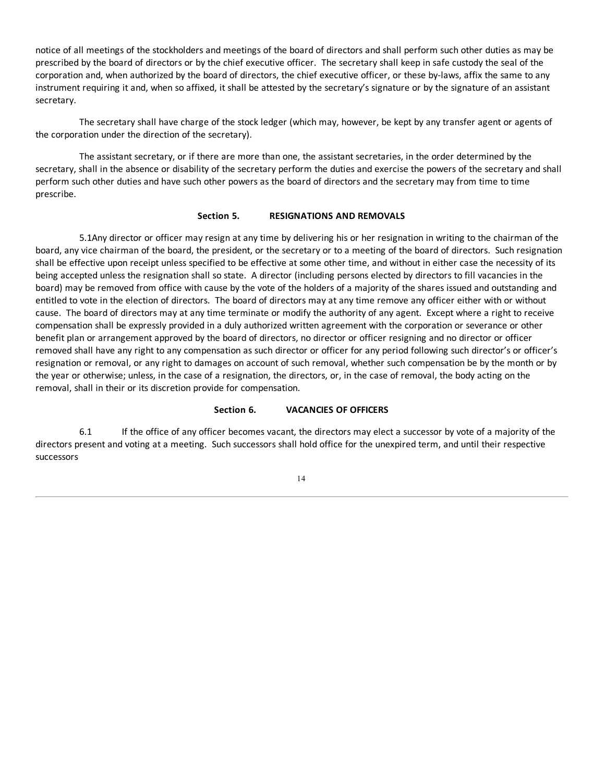notice of all meetings of the stockholders and meetings of the board of directors and shall perform such other duties as may be prescribed by the board of directors or by the chief executive officer. The secretary shall keep in safe custody the seal of the corporation and, when authorized by the board of directors, the chief executive officer, or these by-laws, affix the same to any instrument requiring it and, when so affixed, it shall be attested by the secretary's signature or by the signature of an assistant secretary.

The secretary shall have charge of the stock ledger (which may, however, be kept by any transfer agent or agents of the corporation under the direction of the secretary).

The assistant secretary, or if there are more than one, the assistant secretaries, in the order determined by the secretary, shall in the absence or disability of the secretary perform the duties and exercise the powers of the secretary and shall perform such other duties and have such other powers as the board of directors and the secretary may from time to time prescribe.

### **Section 5. RESIGNATIONS AND REMOVALS**

5.1Any director or officer may resign at any time by delivering his or her resignation in writing to the chairman of the board, any vice chairman of the board, the president, or the secretary or to a meeting of the board of directors. Such resignation shall be effective upon receipt unless specified to be effective at some other time, and without in either case the necessity of its being accepted unless the resignation shall so state. A director (including persons elected by directors to fill vacancies in the board) may be removed from office with cause by the vote of the holders of a majority of the shares issued and outstanding and entitled to vote in the election of directors. The board of directors may at any time remove any officer either with or without cause. The board of directors may at any time terminate or modify the authority of any agent. Except where a right to receive compensation shall be expressly provided in a duly authorized written agreement with the corporation or severance or other benefit plan or arrangement approved by the board of directors, no director or officer resigning and no director or officer removed shall have any right to any compensation as such director or officer for any period following such director's or officer's resignation or removal, or any right to damages on account of such removal, whether such compensation be by the month or by the year or otherwise; unless, in the case of a resignation, the directors, or, in the case of removal, the body acting on the removal, shall in their or its discretion provide for compensation.

### **Section 6. VACANCIES OF OFFICERS**

6.1 If the office of any officer becomes vacant, the directors may elect a successor by vote of a majority of the directors present and voting at a meeting. Such successors shall hold office for the unexpired term, and until their respective successors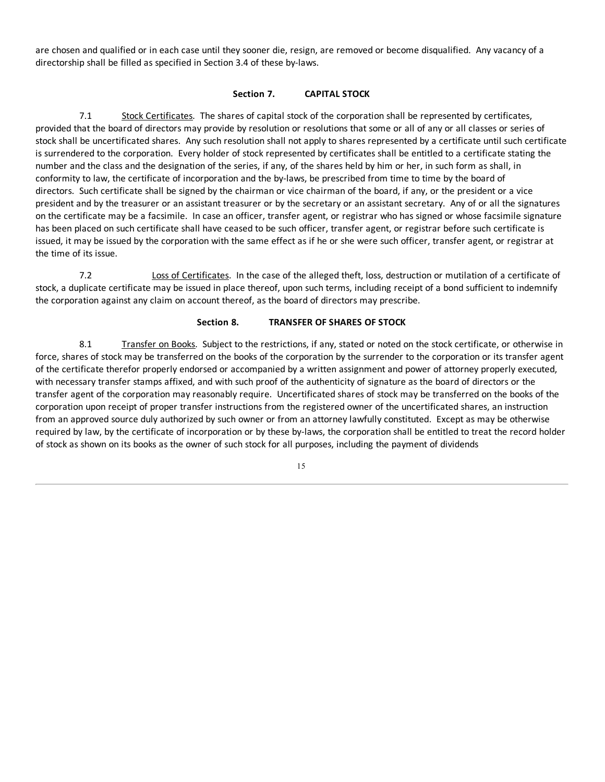are chosen and qualified or in each case until they sooner die, resign, are removed or become disqualified. Any vacancy of a directorship shall be filled as specified in Section 3.4 of these by-laws.

### **Section 7. CAPITAL STOCK**

7.1 Stock Certificates. The shares of capital stock of the corporation shall be represented by certificates, provided that the board of directors may provide by resolution or resolutions that some or all of any or all classes or series of stock shall be uncertificated shares. Any such resolution shall not apply to shares represented by a certificate until such certificate is surrendered to the corporation. Every holder of stock represented by certificates shall be entitled to a certificate stating the number and the class and the designation of the series, if any, of the shares held by him or her, in such form as shall, in conformity to law, the certificate of incorporation and the by-laws, be prescribed from time to time by the board of directors. Such certificate shall be signed by the chairman or vice chairman of the board, if any, or the president or a vice president and by the treasurer or an assistant treasurer or by the secretary or an assistant secretary. Any of or all the signatures on the certificate may be a facsimile. In case an officer, transfer agent, or registrar who has signed or whose facsimile signature has been placed on such certificate shall have ceased to be such officer, transfer agent, or registrar before such certificate is issued, it may be issued by the corporation with the same effect as if he or she were such officer, transfer agent, or registrar at the time of its issue.

7.2 Loss of Certificates. In the case of the alleged theft, loss, destruction or mutilation of a certificate of stock, a duplicate certificate may be issued in place thereof, upon such terms, including receipt of a bond sufficient to indemnify the corporation against any claim on account thereof, as the board of directors may prescribe.

### **Section 8. TRANSFER OF SHARES OF STOCK**

8.1 Transfer on Books. Subject to the restrictions, if any, stated or noted on the stock certificate, or otherwise in force, shares of stock may be transferred on the books of the corporation by the surrender to the corporation or its transfer agent of the certificate therefor properly endorsed or accompanied by a written assignment and power of attorney properly executed, with necessary transfer stamps affixed, and with such proof of the authenticity of signature as the board of directors or the transfer agent of the corporation may reasonably require. Uncertificated shares of stock may be transferred on the books of the corporation upon receipt of proper transfer instructions from the registered owner of the uncertificated shares, an instruction from an approved source duly authorized by such owner or from an attorney lawfully constituted. Except as may be otherwise required by law, by the certificate of incorporation or by these by-laws, the corporation shall be entitled to treat the record holder of stock as shown on its books as the owner of such stock for all purposes, including the payment of dividends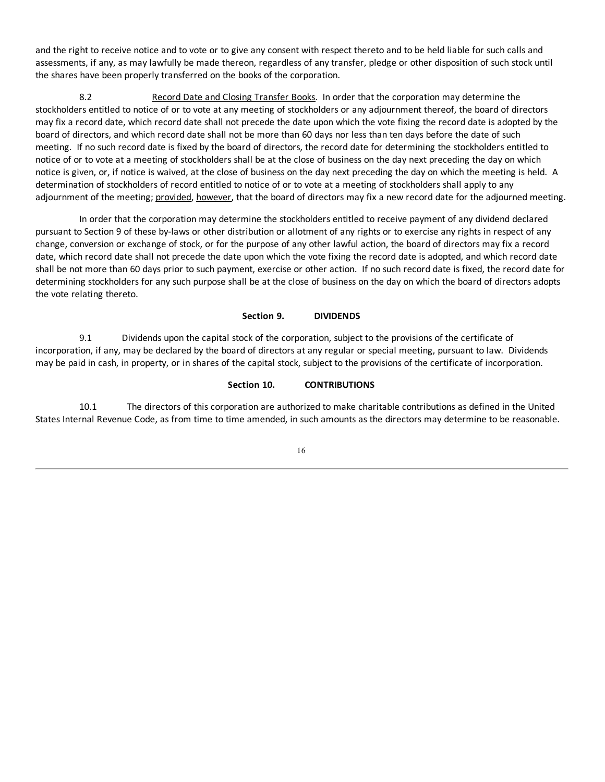and the right to receive notice and to vote or to give any consent with respect thereto and to be held liable for such calls and assessments, if any, as may lawfully be made thereon, regardless of any transfer, pledge or other disposition of such stock until the shares have been properly transferred on the books of the corporation.

8.2 Record Date and Closing Transfer Books. In order that the corporation may determine the stockholders entitled to notice of or to vote at any meeting of stockholders or any adjournment thereof, the board of directors may fix a record date, which record date shall not precede the date upon which the vote fixing the record date is adopted by the board of directors, and which record date shall not be more than 60 days nor less than ten days before the date of such meeting. If no such record date is fixed by the board of directors, the record date for determining the stockholders entitled to notice of or to vote at a meeting of stockholders shall be at the close of business on the day next preceding the day on which notice is given, or, if notice is waived, at the close of business on the day next preceding the day on which the meeting is held. A determination of stockholders of record entitled to notice of or to vote at a meeting of stockholders shall apply to any adjournment of the meeting; provided, however, that the board of directors may fix a new record date for the adjourned meeting.

In order that the corporation may determine the stockholders entitled to receive payment of any dividend declared pursuant to Section 9 of these by-laws or other distribution or allotment of any rights or to exercise any rights in respect of any change, conversion or exchange of stock, or for the purpose of any other lawful action, the board of directors may fix a record date, which record date shall not precede the date upon which the vote fixing the record date is adopted, and which record date shall be not more than 60 days prior to such payment, exercise or other action. If no such record date is fixed, the record date for determining stockholders for any such purpose shall be at the close of business on the day on which the board of directors adopts the vote relating thereto.

### **Section 9. DIVIDENDS**

9.1 Dividends upon the capital stock of the corporation, subject to the provisions of the certificate of incorporation, if any, may be declared by the board of directors at any regular or special meeting, pursuant to law. Dividends may be paid in cash, in property, or in shares of the capital stock, subject to the provisions of the certificate of incorporation.

### **Section 10. CONTRIBUTIONS**

10.1 The directors of this corporation are authorized to make charitable contributions as defined in the United States Internal Revenue Code, as from time to time amended, in such amounts as the directors may determine to be reasonable.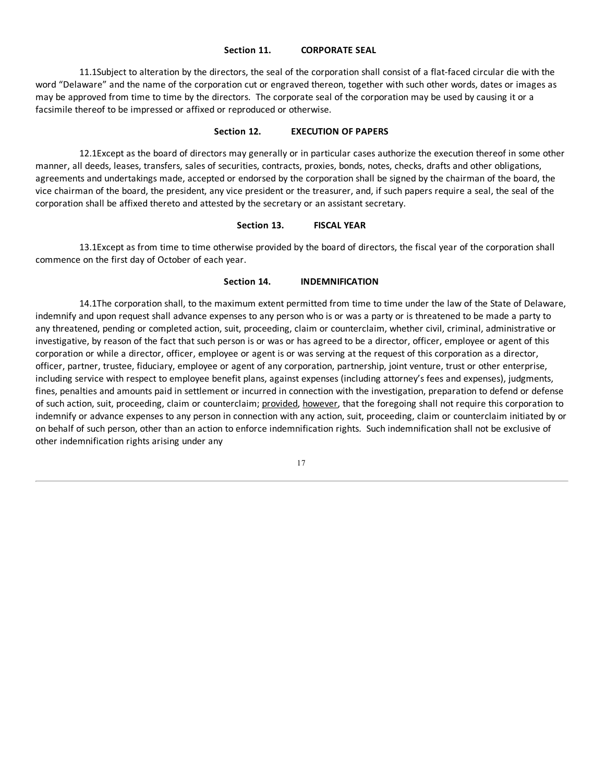### **Section 11. CORPORATE SEAL**

11.1Subject to alteration by the directors, the seal of the corporation shall consist of a flat-faced circular die with the word "Delaware" and the name of the corporation cut or engraved thereon, together with such other words, dates or images as may be approved from time to time by the directors. The corporate seal of the corporation may be used by causing it or a facsimile thereof to be impressed or affixed or reproduced or otherwise.

### **Section 12. EXECUTION OF PAPERS**

12.1Except as the board of directors may generally or in particular cases authorize the execution thereof in some other manner, all deeds, leases, transfers, sales of securities, contracts, proxies, bonds, notes, checks, drafts and other obligations, agreements and undertakings made, accepted or endorsed by the corporation shall be signed by the chairman of the board, the vice chairman of the board, the president, any vice president or the treasurer, and, if such papers require a seal, the seal of the corporation shall be affixed thereto and attested by the secretary or an assistant secretary.

### **Section 13. FISCAL YEAR**

13.1Except as from time to time otherwise provided by the board of directors, the fiscal year of the corporation shall commence on the first day of October of each year.

### **Section 14. INDEMNIFICATION**

14.1The corporation shall, to the maximum extent permitted from time to time under the law of the State of Delaware, indemnify and upon request shall advance expenses to any person who is or was a party or is threatened to be made a party to any threatened, pending or completed action, suit, proceeding, claim or counterclaim, whether civil, criminal, administrative or investigative, by reason of the fact that such person is or was or has agreed to be a director, officer, employee or agent of this corporation or while a director, officer, employee or agent is or was serving at the request of this corporation as a director, officer, partner, trustee, fiduciary, employee or agent of any corporation, partnership, joint venture, trust or other enterprise, including service with respect to employee benefit plans, against expenses (including attorney's fees and expenses), judgments, fines, penalties and amounts paid in settlement or incurred in connection with the investigation, preparation to defend or defense of such action, suit, proceeding, claim or counterclaim; provided, however, that the foregoing shall not require this corporation to indemnify or advance expenses to any person in connection with any action, suit, proceeding, claim or counterclaim initiated by or on behalf of such person, other than an action to enforce indemnification rights. Such indemnification shall not be exclusive of other indemnification rights arising under any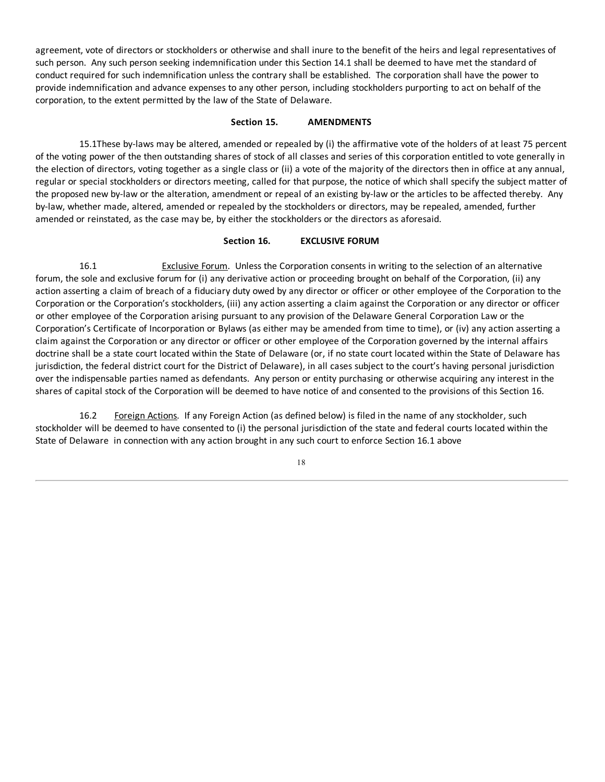agreement, vote of directors or stockholders or otherwise and shall inure to the benefit of the heirs and legal representatives of such person. Any such person seeking indemnification under this Section 14.1 shall be deemed to have met the standard of conduct required for such indemnification unless the contrary shall be established. The corporation shall have the power to provide indemnification and advance expenses to any other person, including stockholders purporting to act on behalf of the corporation, to the extent permitted by the law of the State of Delaware.

### **Section 15. AMENDMENTS**

15.1These by-laws may be altered, amended or repealed by (i) the affirmative vote of the holders of at least 75 percent of the voting power of the then outstanding shares of stock of all classes and series of this corporation entitled to vote generally in the election of directors, voting together as a single class or (ii) a vote of the majority of the directors then in office at any annual, regular or special stockholders or directors meeting, called for that purpose, the notice of which shall specify the subject matter of the proposed new by-law or the alteration, amendment or repeal of an existing by-law or the articles to be affected thereby. Any by-law, whether made, altered, amended or repealed by the stockholders or directors, may be repealed, amended, further amended or reinstated, as the case may be, by either the stockholders or the directors as aforesaid.

### **Section 16. EXCLUSIVE FORUM**

16.1 Exclusive Forum. Unless the Corporation consents in writing to the selection of an alternative forum, the sole and exclusive forum for (i) any derivative action or proceeding brought on behalf of the Corporation, (ii) any action asserting a claim of breach of a fiduciary duty owed by any director or officer or other employee of the Corporation to the Corporation or the Corporation's stockholders, (iii) any action asserting a claim against the Corporation or any director or officer or other employee of the Corporation arising pursuant to any provision of the Delaware General Corporation Law or the Corporation's Certificate of Incorporation or Bylaws (as either may be amended from time to time), or (iv) any action asserting a claim against the Corporation or any director or officer or other employee of the Corporation governed by the internal affairs doctrine shall be a state court located within the State of Delaware (or, if no state court located within the State of Delaware has jurisdiction, the federal district court for the District of Delaware), in all cases subject to the court's having personal jurisdiction over the indispensable parties named as defendants. Any person or entity purchasing or otherwise acquiring any interest in the shares of capital stock of the Corporation will be deemed to have notice of and consented to the provisions of this Section 16.

16.2 Foreign Actions. If any Foreign Action (as defined below) is filed in the name of any stockholder, such stockholder will be deemed to have consented to (i) the personal jurisdiction of the state and federal courts located within the State of Delaware in connection with any action brought in any such court to enforce Section 16.1 above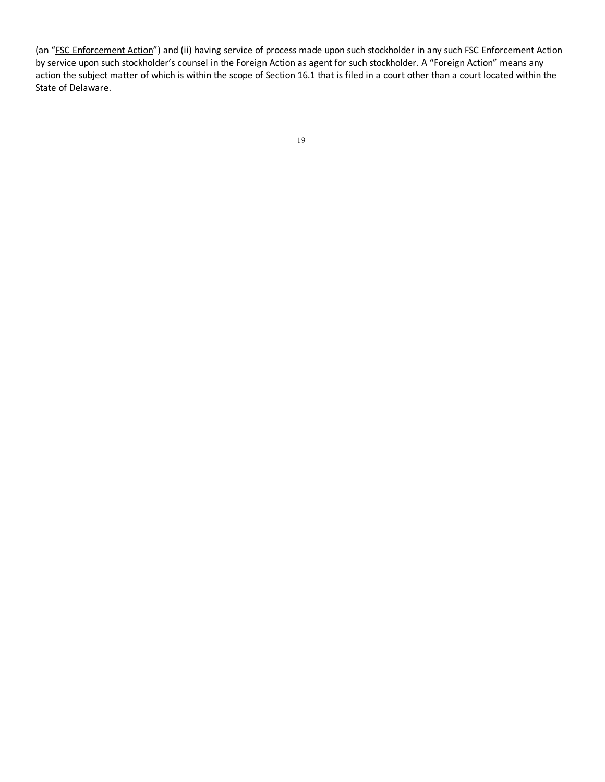(an "FSC Enforcement Action") and (ii) having service of process made upon such stockholder in any such FSC Enforcement Action by service upon such stockholder's counsel in the Foreign Action as agent for such stockholder. A "Foreign Action" means any action the subject matter of which is within the scope of Section 16.1 that is filed in a court other than a court located within the State of Delaware.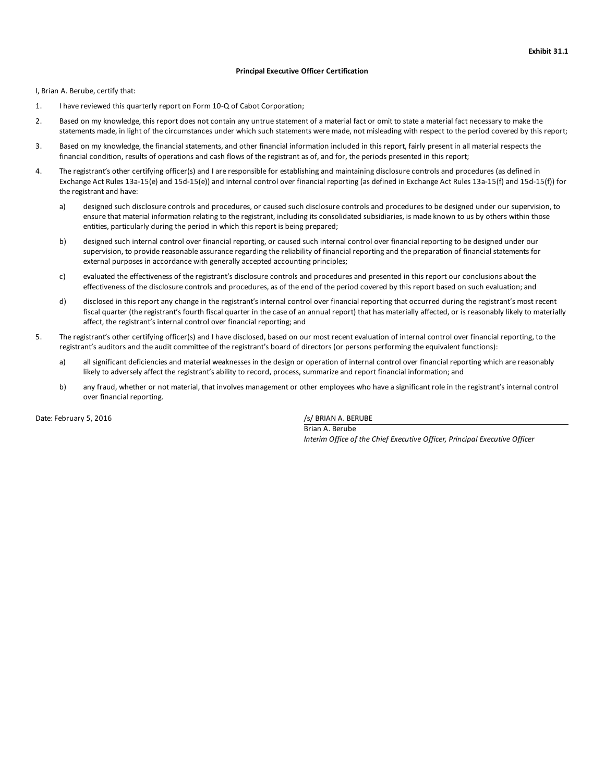#### **Principal Executive Officer Certification**

I, Brian A. Berube, certify that:

- 1. I have reviewed this quarterly report on Form 10-Q of Cabot Corporation;
- 2. Based on my knowledge, this report does not contain any untrue statement of a material fact or omit to state a material fact necessary to make the statements made, in light of the circumstances under which such statements were made, not misleading with respect to the period covered by this report;
- 3. Based on my knowledge, the financial statements, and other financial information included in this report, fairly present in all material respects the financial condition, results of operations and cash flows of the registrant as of, and for, the periods presented in this report;
- 4. The registrant's other certifying officer(s) and I are responsible for establishing and maintaining disclosure controls and procedures (as defined in Exchange Act Rules 13a-15(e) and 15d-15(e)) and internal control over financial reporting (as defined in Exchange Act Rules 13a-15(f) and 15d-15(f)) for the registrant and have:
	- a) designed such disclosure controls and procedures, or caused such disclosure controls and procedures to be designed under our supervision, to ensure that material information relating to the registrant, including its consolidated subsidiaries, is made known to us by others within those entities, particularly during the period in which this report is being prepared;
	- b) designed such internal control over financial reporting, or caused such internal control over financial reporting to be designed under our supervision, to provide reasonable assurance regarding the reliability of financial reporting and the preparation of financial statements for external purposes in accordance with generally accepted accounting principles;
	- c) evaluated the effectiveness of the registrant's disclosure controls and procedures and presented in this report our conclusions about the effectiveness of the disclosure controls and procedures, as of the end of the period covered by this report based on such evaluation; and
	- d) disclosed in this report any change in the registrant's internal control over financial reporting that occurred during the registrant's most recent fiscal quarter (the registrant's fourth fiscal quarter in the case of an annual report) that has materially affected, or is reasonably likely to materially affect, the registrant's internal control over financial reporting; and
- 5. The registrant's other certifying officer(s) and I have disclosed, based on our most recent evaluation of internal control over financial reporting, to the registrant's auditors and the audit committee of the registrant's board of directors (or persons performing the equivalent functions):
	- a) all significant deficiencies and material weaknesses in the design or operation of internal control over financial reporting which are reasonably likely to adversely affect the registrant's ability to record, process, summarize and report financial information; and
	- b) any fraud, whether or not material, that involves management or other employees who have a significant role in the registrant's internal control over financial reporting.

Date: February 5, 2016 /s/ BRIAN A. BERUBE

Brian A. Berube *Interim Office of the Chief Executive Officer, Principal Executive Officer*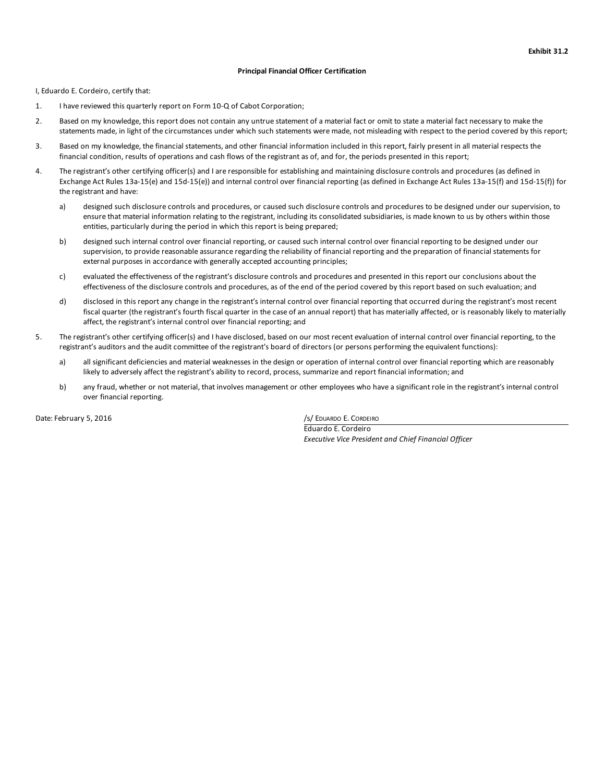#### **Principal Financial Officer Certification**

I, Eduardo E. Cordeiro, certify that:

- 1. I have reviewed this quarterly report on Form 10-Q of Cabot Corporation;
- 2. Based on my knowledge, this report does not contain any untrue statement of a material fact or omit to state a material fact necessary to make the statements made, in light of the circumstances under which such statements were made, not misleading with respect to the period covered by this report;
- 3. Based on my knowledge, the financial statements, and other financial information included in this report, fairly present in all material respects the financial condition, results of operations and cash flows of the registrant as of, and for, the periods presented in this report;
- 4. The registrant's other certifying officer(s) and I are responsible for establishing and maintaining disclosure controls and procedures (as defined in Exchange Act Rules 13a-15(e) and 15d-15(e)) and internal control over financial reporting (as defined in Exchange Act Rules 13a-15(f) and 15d-15(f)) for the registrant and have:
	- a) designed such disclosure controls and procedures, or caused such disclosure controls and procedures to be designed under our supervision, to ensure that material information relating to the registrant, including its consolidated subsidiaries, is made known to us by others within those entities, particularly during the period in which this report is being prepared;
	- b) designed such internal control over financial reporting, or caused such internal control over financial reporting to be designed under our supervision, to provide reasonable assurance regarding the reliability of financial reporting and the preparation of financial statements for external purposes in accordance with generally accepted accounting principles;
	- c) evaluated the effectiveness of the registrant's disclosure controls and procedures and presented in this report our conclusions about the effectiveness of the disclosure controls and procedures, as of the end of the period covered by this report based on such evaluation; and
	- d) disclosed in this report any change in the registrant's internal control over financial reporting that occurred during the registrant's most recent fiscal quarter (the registrant's fourth fiscal quarter in the case of an annual report) that has materially affected, or is reasonably likely to materially affect, the registrant's internal control over financial reporting; and
- 5. The registrant's other certifying officer(s) and I have disclosed, based on our most recent evaluation of internal control over financial reporting, to the registrant's auditors and the audit committee of the registrant's board of directors (or persons performing the equivalent functions):
	- a) all significant deficiencies and material weaknesses in the design or operation of internal control over financial reporting which are reasonably likely to adversely affect the registrant's ability to record, process, summarize and report financial information; and
	- b) any fraud, whether or not material, that involves management or other employees who have a significant role in the registrant's internal control over financial reporting.

Date: February 5, 2016 **1999** and the US of the US of the US of the US of the US of the US of the US of the US of the US of the US of the US of the US of the US of the US of the US of the US of the US of the US of the US o

Eduardo E. Cordeiro *Executive Vice President and Chief Financial Officer*